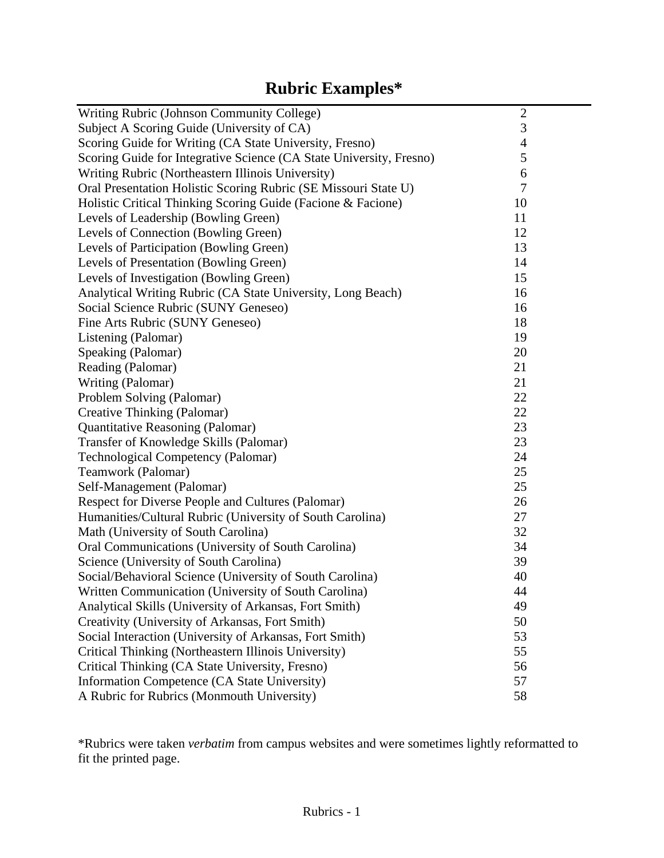# **Rubric Examples\***

| Writing Rubric (Johnson Community College)                          | $\mathfrak{2}$ |
|---------------------------------------------------------------------|----------------|
| Subject A Scoring Guide (University of CA)                          | 3              |
| Scoring Guide for Writing (CA State University, Fresno)             | $\overline{4}$ |
| Scoring Guide for Integrative Science (CA State University, Fresno) | 5              |
| Writing Rubric (Northeastern Illinois University)                   | 6              |
| Oral Presentation Holistic Scoring Rubric (SE Missouri State U)     | $\overline{7}$ |
| Holistic Critical Thinking Scoring Guide (Facione & Facione)        | 10             |
| Levels of Leadership (Bowling Green)                                | 11             |
| Levels of Connection (Bowling Green)                                | 12             |
| Levels of Participation (Bowling Green)                             | 13             |
| Levels of Presentation (Bowling Green)                              | 14             |
| Levels of Investigation (Bowling Green)                             | 15             |
| Analytical Writing Rubric (CA State University, Long Beach)         | 16             |
| Social Science Rubric (SUNY Geneseo)                                | 16             |
| Fine Arts Rubric (SUNY Geneseo)                                     | 18             |
| Listening (Palomar)                                                 | 19             |
| Speaking (Palomar)                                                  | 20             |
| Reading (Palomar)                                                   | 21             |
| Writing (Palomar)                                                   | 21             |
| Problem Solving (Palomar)                                           | 22             |
| Creative Thinking (Palomar)                                         | 22             |
| Quantitative Reasoning (Palomar)                                    | 23             |
| Transfer of Knowledge Skills (Palomar)                              | 23             |
| <b>Technological Competency (Palomar)</b>                           | 24             |
| Teamwork (Palomar)                                                  | 25             |
| Self-Management (Palomar)                                           | 25             |
| Respect for Diverse People and Cultures (Palomar)                   | 26             |
| Humanities/Cultural Rubric (University of South Carolina)           | 27             |
| Math (University of South Carolina)                                 | 32             |
| Oral Communications (University of South Carolina)                  | 34             |
| Science (University of South Carolina)                              | 39             |
| Social/Behavioral Science (University of South Carolina)            | 40             |
| Written Communication (University of South Carolina)                | 44             |
| Analytical Skills (University of Arkansas, Fort Smith)              | 49             |
| Creativity (University of Arkansas, Fort Smith)                     | 50             |
| Social Interaction (University of Arkansas, Fort Smith)             | 53             |
| Critical Thinking (Northeastern Illinois University)                | 55             |
| Critical Thinking (CA State University, Fresno)                     | 56             |
| Information Competence (CA State University)                        | 57             |
| A Rubric for Rubrics (Monmouth University)                          | 58             |

\*Rubrics were taken *verbatim* from campus websites and were sometimes lightly reformatted to fit the printed page.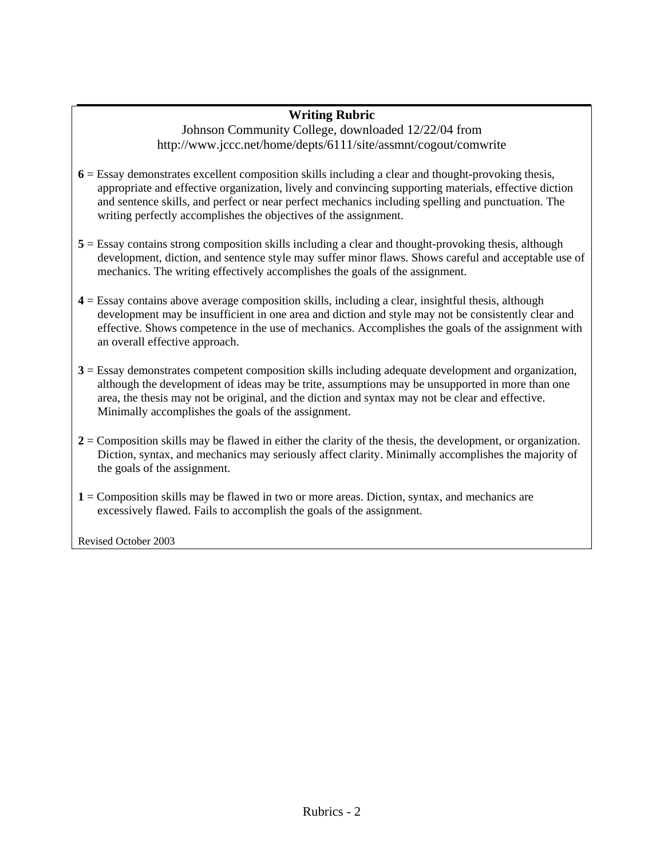### **Writing Rubric**

Johnson Community College, downloaded 12/22/04 from http://www.jccc.net/home/depts/6111/site/assmnt/cogout/comwrite

- **6** = Essay demonstrates excellent composition skills including a clear and thought-provoking thesis, appropriate and effective organization, lively and convincing supporting materials, effective diction and sentence skills, and perfect or near perfect mechanics including spelling and punctuation. The writing perfectly accomplishes the objectives of the assignment.
- **5** = Essay contains strong composition skills including a clear and thought-provoking thesis, although development, diction, and sentence style may suffer minor flaws. Shows careful and acceptable use of mechanics. The writing effectively accomplishes the goals of the assignment.
- **4** = Essay contains above average composition skills, including a clear, insightful thesis, although development may be insufficient in one area and diction and style may not be consistently clear and effective. Shows competence in the use of mechanics. Accomplishes the goals of the assignment with an overall effective approach.
- **3** = Essay demonstrates competent composition skills including adequate development and organization, although the development of ideas may be trite, assumptions may be unsupported in more than one area, the thesis may not be original, and the diction and syntax may not be clear and effective. Minimally accomplishes the goals of the assignment.
- **2** = Composition skills may be flawed in either the clarity of the thesis, the development, or organization. Diction, syntax, and mechanics may seriously affect clarity. Minimally accomplishes the majority of the goals of the assignment.
- **1** = Composition skills may be flawed in two or more areas. Diction, syntax, and mechanics are excessively flawed. Fails to accomplish the goals of the assignment.

Revised October 2003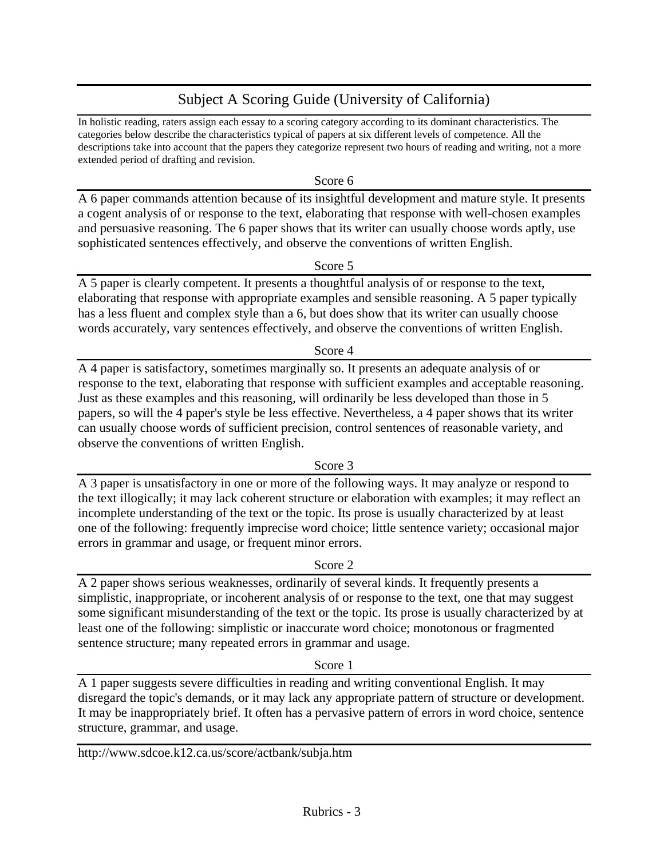# Subject A Scoring Guide (University of California)

In holistic reading, raters assign each essay to a scoring category according to its dominant characteristics. The categories below describe the characteristics typical of papers at six different levels of competence. All the descriptions take into account that the papers they categorize represent two hours of reading and writing, not a more extended period of drafting and revision.

Score 6

A 6 paper commands attention because of its insightful development and mature style. It presents a cogent analysis of or response to the text, elaborating that response with well-chosen examples and persuasive reasoning. The 6 paper shows that its writer can usually choose words aptly, use sophisticated sentences effectively, and observe the conventions of written English.

Score 5

A 5 paper is clearly competent. It presents a thoughtful analysis of or response to the text, elaborating that response with appropriate examples and sensible reasoning. A 5 paper typically has a less fluent and complex style than a 6, but does show that its writer can usually choose words accurately, vary sentences effectively, and observe the conventions of written English.

Score 4

A 4 paper is satisfactory, sometimes marginally so. It presents an adequate analysis of or response to the text, elaborating that response with sufficient examples and acceptable reasoning. Just as these examples and this reasoning, will ordinarily be less developed than those in 5 papers, so will the 4 paper's style be less effective. Nevertheless, a 4 paper shows that its writer can usually choose words of sufficient precision, control sentences of reasonable variety, and observe the conventions of written English.

Score 3

A 3 paper is unsatisfactory in one or more of the following ways. It may analyze or respond to the text illogically; it may lack coherent structure or elaboration with examples; it may reflect an incomplete understanding of the text or the topic. Its prose is usually characterized by at least one of the following: frequently imprecise word choice; little sentence variety; occasional major errors in grammar and usage, or frequent minor errors.

Score 2

A 2 paper shows serious weaknesses, ordinarily of several kinds. It frequently presents a simplistic, inappropriate, or incoherent analysis of or response to the text, one that may suggest some significant misunderstanding of the text or the topic. Its prose is usually characterized by at least one of the following: simplistic or inaccurate word choice; monotonous or fragmented sentence structure; many repeated errors in grammar and usage.

Score 1

A 1 paper suggests severe difficulties in reading and writing conventional English. It may disregard the topic's demands, or it may lack any appropriate pattern of structure or development. It may be inappropriately brief. It often has a pervasive pattern of errors in word choice, sentence structure, grammar, and usage.

http://www.sdcoe.k12.ca.us/score/actbank/subja.htm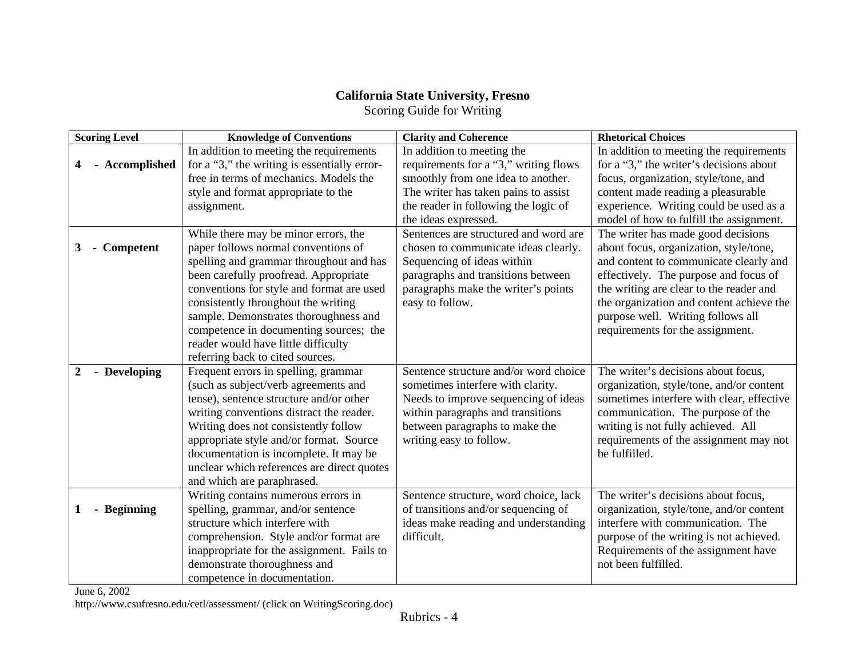# **California State University, Fresno**

Scoring Guide for Writing

| In addition to meeting the requirements<br>In addition to meeting the<br>In addition to meeting the requirements                                      |  |
|-------------------------------------------------------------------------------------------------------------------------------------------------------|--|
| for a "3," the writing is essentially error-<br>for a "3," the writer's decisions about<br>Accomplished<br>requirements for a "3," writing flows<br>4 |  |
| free in terms of mechanics. Models the<br>smoothly from one idea to another.<br>focus, organization, style/tone, and                                  |  |
| style and format appropriate to the<br>The writer has taken pains to assist<br>content made reading a pleasurable                                     |  |
| the reader in following the logic of<br>experience. Writing could be used as a<br>assignment.                                                         |  |
| model of how to fulfill the assignment.<br>the ideas expressed.                                                                                       |  |
| Sentences are structured and word are<br>While there may be minor errors, the<br>The writer has made good decisions                                   |  |
| paper follows normal conventions of<br>chosen to communicate ideas clearly.<br>about focus, organization, style/tone,<br>- Competent<br>3             |  |
| and content to communicate clearly and<br>spelling and grammar throughout and has<br>Sequencing of ideas within                                       |  |
| been carefully proofread. Appropriate<br>paragraphs and transitions between<br>effectively. The purpose and focus of                                  |  |
| conventions for style and format are used<br>paragraphs make the writer's points<br>the writing are clear to the reader and                           |  |
| the organization and content achieve the<br>consistently throughout the writing<br>easy to follow.                                                    |  |
| sample. Demonstrates thoroughness and<br>purpose well. Writing follows all                                                                            |  |
| competence in documenting sources; the<br>requirements for the assignment.                                                                            |  |
| reader would have little difficulty                                                                                                                   |  |
| referring back to cited sources.                                                                                                                      |  |
| The writer's decisions about focus,<br>Frequent errors in spelling, grammar<br>Sentence structure and/or word choice<br>- Developing                  |  |
| (such as subject/verb agreements and<br>sometimes interfere with clarity.<br>organization, style/tone, and/or content                                 |  |
| sometimes interfere with clear, effective<br>tense), sentence structure and/or other<br>Needs to improve sequencing of ideas                          |  |
| writing conventions distract the reader.<br>within paragraphs and transitions<br>communication. The purpose of the                                    |  |
| Writing does not consistently follow<br>between paragraphs to make the<br>writing is not fully achieved. All                                          |  |
| appropriate style and/or format. Source<br>writing easy to follow.<br>requirements of the assignment may not<br>be fulfilled.                         |  |
| documentation is incomplete. It may be                                                                                                                |  |
| unclear which references are direct quotes                                                                                                            |  |
| and which are paraphrased.<br>The writer's decisions about focus,<br>Writing contains numerous errors in<br>Sentence structure, word choice, lack     |  |
| spelling, grammar, and/or sentence<br>of transitions and/or sequencing of<br>- Beginning<br>organization, style/tone, and/or content                  |  |
| structure which interfere with<br>interfere with communication. The<br>ideas make reading and understanding                                           |  |
| difficult.<br>purpose of the writing is not achieved.<br>comprehension. Style and/or format are                                                       |  |
| inappropriate for the assignment. Fails to<br>Requirements of the assignment have                                                                     |  |
| demonstrate thoroughness and<br>not been fulfilled.                                                                                                   |  |
| competence in documentation.                                                                                                                          |  |

June 6, 2002

http://www.csufresno.edu/cetl/assessment/ (click on WritingScoring.doc)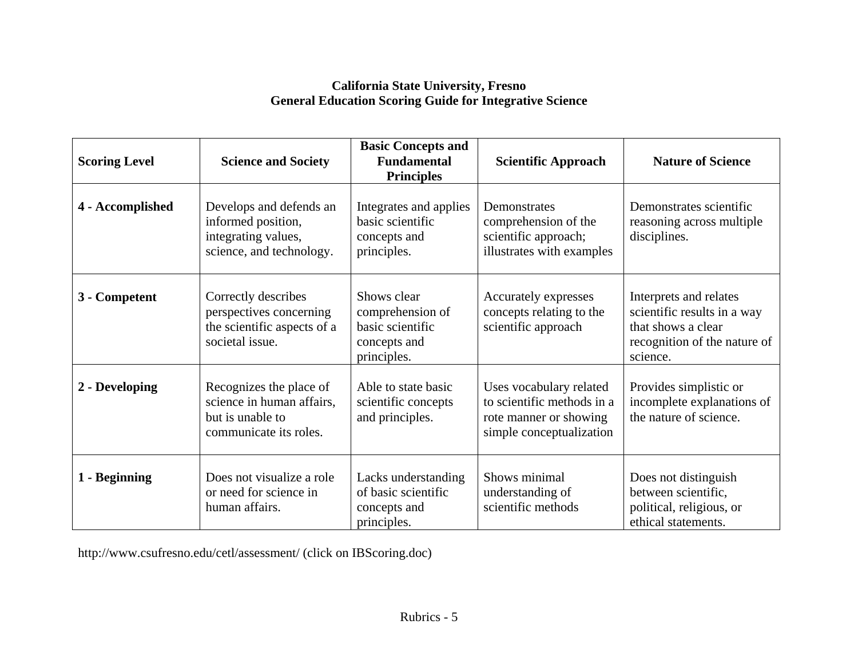# **California State University, Fresno General Education Scoring Guide for Integrative Science**

| <b>Scoring Level</b> | <b>Science and Society</b>                                                                         | <b>Basic Concepts and</b><br><b>Fundamental</b><br><b>Principles</b>               | <b>Scientific Approach</b>                                                                                  | <b>Nature of Science</b>                                                                                                |
|----------------------|----------------------------------------------------------------------------------------------------|------------------------------------------------------------------------------------|-------------------------------------------------------------------------------------------------------------|-------------------------------------------------------------------------------------------------------------------------|
| 4 - Accomplished     | Develops and defends an<br>informed position,<br>integrating values,<br>science, and technology.   | Integrates and applies<br>basic scientific<br>concepts and<br>principles.          | Demonstrates<br>comprehension of the<br>scientific approach;<br>illustrates with examples                   | Demonstrates scientific<br>reasoning across multiple<br>disciplines.                                                    |
| 3 - Competent        | Correctly describes<br>perspectives concerning<br>the scientific aspects of a<br>societal issue.   | Shows clear<br>comprehension of<br>basic scientific<br>concepts and<br>principles. | Accurately expresses<br>concepts relating to the<br>scientific approach                                     | Interprets and relates<br>scientific results in a way<br>that shows a clear<br>recognition of the nature of<br>science. |
| 2 - Developing       | Recognizes the place of<br>science in human affairs,<br>but is unable to<br>communicate its roles. | Able to state basic<br>scientific concepts<br>and principles.                      | Uses vocabulary related<br>to scientific methods in a<br>rote manner or showing<br>simple conceptualization | Provides simplistic or<br>incomplete explanations of<br>the nature of science.                                          |
| 1 - Beginning        | Does not visualize a role<br>or need for science in<br>human affairs.                              | Lacks understanding<br>of basic scientific<br>concepts and<br>principles.          | Shows minimal<br>understanding of<br>scientific methods                                                     | Does not distinguish<br>between scientific,<br>political, religious, or<br>ethical statements.                          |

http://www.csufresno.edu/cetl/assessment/ (click on IBScoring.doc)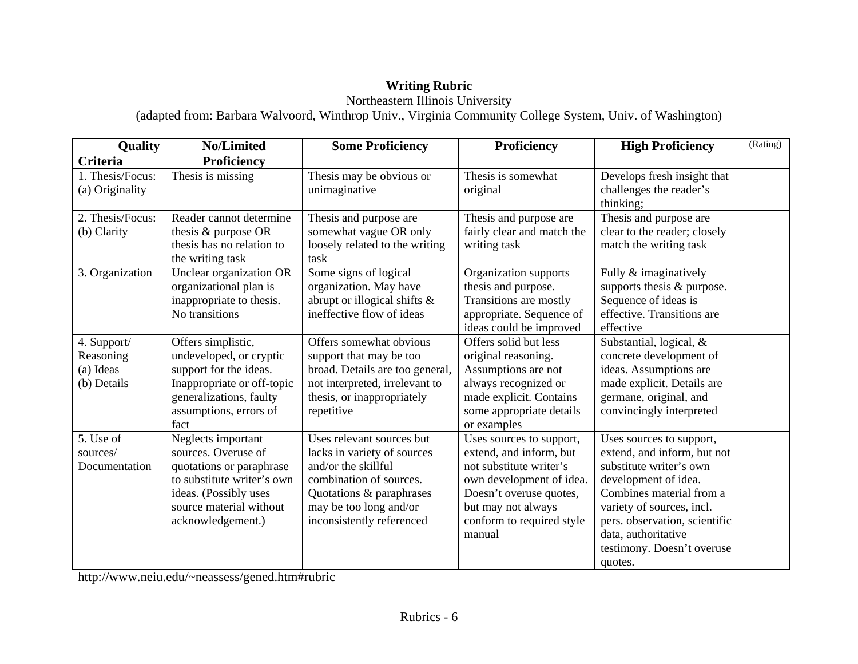# **Writing Rubric**

# Northeastern Illinois University

(adapted from: Barbara Walvoord, Winthrop Univ., Virginia Community College System, Univ. of Washington)

| Quality          | No/Limited                 | <b>Some Proficiency</b>         | Proficiency                | <b>High Proficiency</b>       | (Rating) |
|------------------|----------------------------|---------------------------------|----------------------------|-------------------------------|----------|
| Criteria         | Proficiency                |                                 |                            |                               |          |
| 1. Thesis/Focus: | Thesis is missing          | Thesis may be obvious or        | Thesis is somewhat         | Develops fresh insight that   |          |
| (a) Originality  |                            | unimaginative                   | original                   | challenges the reader's       |          |
|                  |                            |                                 |                            | thinking;                     |          |
| 2. Thesis/Focus: | Reader cannot determine    | Thesis and purpose are          | Thesis and purpose are     | Thesis and purpose are        |          |
| (b) Clarity      | thesis & purpose OR        | somewhat vague OR only          | fairly clear and match the | clear to the reader; closely  |          |
|                  | thesis has no relation to  | loosely related to the writing  | writing task               | match the writing task        |          |
|                  | the writing task           | task                            |                            |                               |          |
| 3. Organization  | Unclear organization OR    | Some signs of logical           | Organization supports      | Fully & imaginatively         |          |
|                  | organizational plan is     | organization. May have          | thesis and purpose.        | supports thesis & purpose.    |          |
|                  | inappropriate to thesis.   | abrupt or illogical shifts &    | Transitions are mostly     | Sequence of ideas is          |          |
|                  | No transitions             | ineffective flow of ideas       | appropriate. Sequence of   | effective. Transitions are    |          |
|                  |                            |                                 | ideas could be improved    | effective                     |          |
| 4. Support/      | Offers simplistic,         | Offers somewhat obvious         | Offers solid but less      | Substantial, logical, &       |          |
| Reasoning        | undeveloped, or cryptic    | support that may be too         | original reasoning.        | concrete development of       |          |
| (a) Ideas        | support for the ideas.     | broad. Details are too general, | Assumptions are not        | ideas. Assumptions are        |          |
| (b) Details      | Inappropriate or off-topic | not interpreted, irrelevant to  | always recognized or       | made explicit. Details are    |          |
|                  | generalizations, faulty    | thesis, or inappropriately      | made explicit. Contains    | germane, original, and        |          |
|                  | assumptions, errors of     | repetitive                      | some appropriate details   | convincingly interpreted      |          |
|                  | fact                       |                                 | or examples                |                               |          |
| 5. Use of        | Neglects important         | Uses relevant sources but       | Uses sources to support,   | Uses sources to support,      |          |
| sources/         | sources. Overuse of        | lacks in variety of sources     | extend, and inform, but    | extend, and inform, but not   |          |
| Documentation    | quotations or paraphrase   | and/or the skillful             | not substitute writer's    | substitute writer's own       |          |
|                  | to substitute writer's own | combination of sources.         | own development of idea.   | development of idea.          |          |
|                  | ideas. (Possibly uses      | Quotations & paraphrases        | Doesn't overuse quotes,    | Combines material from a      |          |
|                  | source material without    | may be too long and/or          | but may not always         | variety of sources, incl.     |          |
|                  | acknowledgement.)          | inconsistently referenced       | conform to required style  | pers. observation, scientific |          |
|                  |                            |                                 | manual                     | data, authoritative           |          |
|                  |                            |                                 |                            | testimony. Doesn't overuse    |          |
|                  |                            |                                 |                            | quotes.                       |          |

http://www.neiu.edu/~neassess/gened.htm#rubric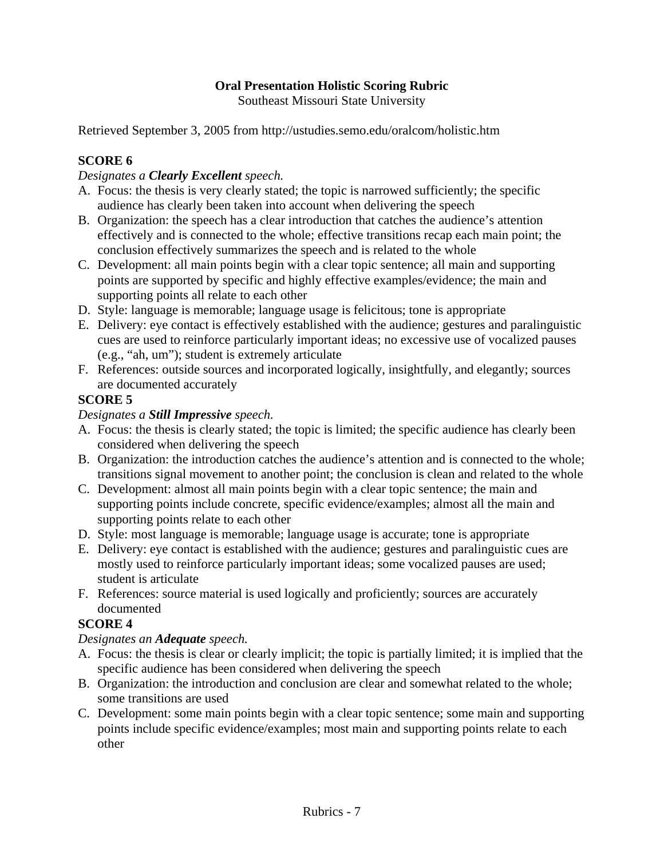# **Oral Presentation Holistic Scoring Rubric**

Southeast Missouri State University

Retrieved September 3, 2005 from http://ustudies.semo.edu/oralcom/holistic.htm

### **SCORE 6**

#### *Designates a Clearly Excellent speech.*

- A. Focus: the thesis is very clearly stated; the topic is narrowed sufficiently; the specific audience has clearly been taken into account when delivering the speech
- B. Organization: the speech has a clear introduction that catches the audience's attention effectively and is connected to the whole; effective transitions recap each main point; the conclusion effectively summarizes the speech and is related to the whole
- C. Development: all main points begin with a clear topic sentence; all main and supporting points are supported by specific and highly effective examples/evidence; the main and supporting points all relate to each other
- D. Style: language is memorable; language usage is felicitous; tone is appropriate
- E. Delivery: eye contact is effectively established with the audience; gestures and paralinguistic cues are used to reinforce particularly important ideas; no excessive use of vocalized pauses (e.g., "ah, um"); student is extremely articulate
- F. References: outside sources and incorporated logically, insightfully, and elegantly; sources are documented accurately

#### **SCORE 5**

#### *Designates a Still Impressive speech.*

- A. Focus: the thesis is clearly stated; the topic is limited; the specific audience has clearly been considered when delivering the speech
- B. Organization: the introduction catches the audience's attention and is connected to the whole; transitions signal movement to another point; the conclusion is clean and related to the whole
- C. Development: almost all main points begin with a clear topic sentence; the main and supporting points include concrete, specific evidence/examples; almost all the main and supporting points relate to each other
- D. Style: most language is memorable; language usage is accurate; tone is appropriate
- E. Delivery: eye contact is established with the audience; gestures and paralinguistic cues are mostly used to reinforce particularly important ideas; some vocalized pauses are used; student is articulate
- F. References: source material is used logically and proficiently; sources are accurately documented

#### **SCORE 4**

#### *Designates an Adequate speech.*

- A. Focus: the thesis is clear or clearly implicit; the topic is partially limited; it is implied that the specific audience has been considered when delivering the speech
- B. Organization: the introduction and conclusion are clear and somewhat related to the whole; some transitions are used
- C. Development: some main points begin with a clear topic sentence; some main and supporting points include specific evidence/examples; most main and supporting points relate to each other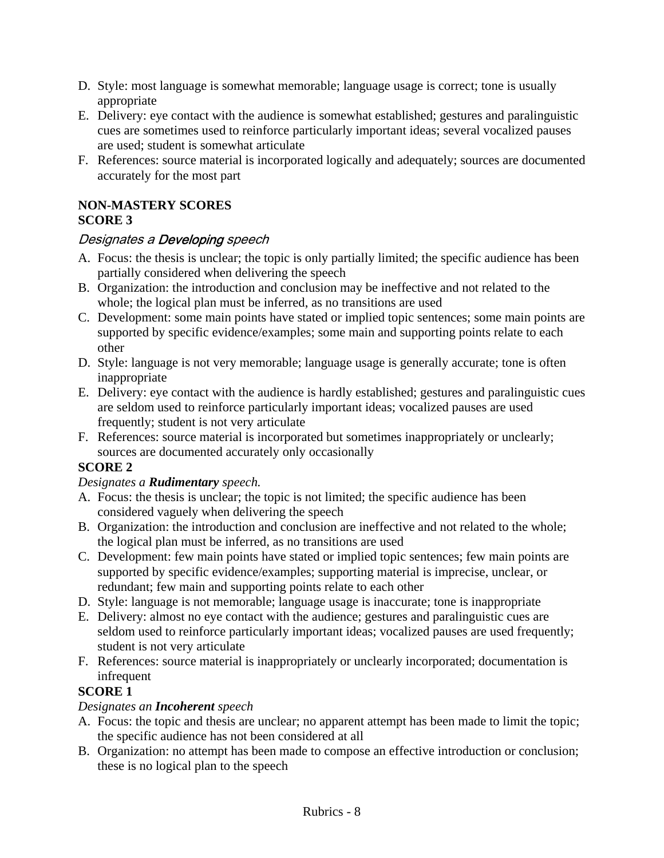- D. Style: most language is somewhat memorable; language usage is correct; tone is usually appropriate
- E. Delivery: eye contact with the audience is somewhat established; gestures and paralinguistic cues are sometimes used to reinforce particularly important ideas; several vocalized pauses are used; student is somewhat articulate
- F. References: source material is incorporated logically and adequately; sources are documented accurately for the most part

#### **NON-MASTERY SCORES SCORE 3**

# Designates a Developing speech

- A. Focus: the thesis is unclear; the topic is only partially limited; the specific audience has been partially considered when delivering the speech
- B. Organization: the introduction and conclusion may be ineffective and not related to the whole; the logical plan must be inferred, as no transitions are used
- C. Development: some main points have stated or implied topic sentences; some main points are supported by specific evidence/examples; some main and supporting points relate to each other
- D. Style: language is not very memorable; language usage is generally accurate; tone is often inappropriate
- E. Delivery: eye contact with the audience is hardly established; gestures and paralinguistic cues are seldom used to reinforce particularly important ideas; vocalized pauses are used frequently; student is not very articulate
- F. References: source material is incorporated but sometimes inappropriately or unclearly; sources are documented accurately only occasionally

# **SCORE 2**

#### *Designates a Rudimentary speech.*

- A. Focus: the thesis is unclear; the topic is not limited; the specific audience has been considered vaguely when delivering the speech
- B. Organization: the introduction and conclusion are ineffective and not related to the whole; the logical plan must be inferred, as no transitions are used
- C. Development: few main points have stated or implied topic sentences; few main points are supported by specific evidence/examples; supporting material is imprecise, unclear, or redundant; few main and supporting points relate to each other
- D. Style: language is not memorable; language usage is inaccurate; tone is inappropriate
- E. Delivery: almost no eye contact with the audience; gestures and paralinguistic cues are seldom used to reinforce particularly important ideas; vocalized pauses are used frequently; student is not very articulate
- F. References: source material is inappropriately or unclearly incorporated; documentation is infrequent

# **SCORE 1**

#### *Designates an Incoherent speech*

- A. Focus: the topic and thesis are unclear; no apparent attempt has been made to limit the topic; the specific audience has not been considered at all
- B. Organization: no attempt has been made to compose an effective introduction or conclusion; these is no logical plan to the speech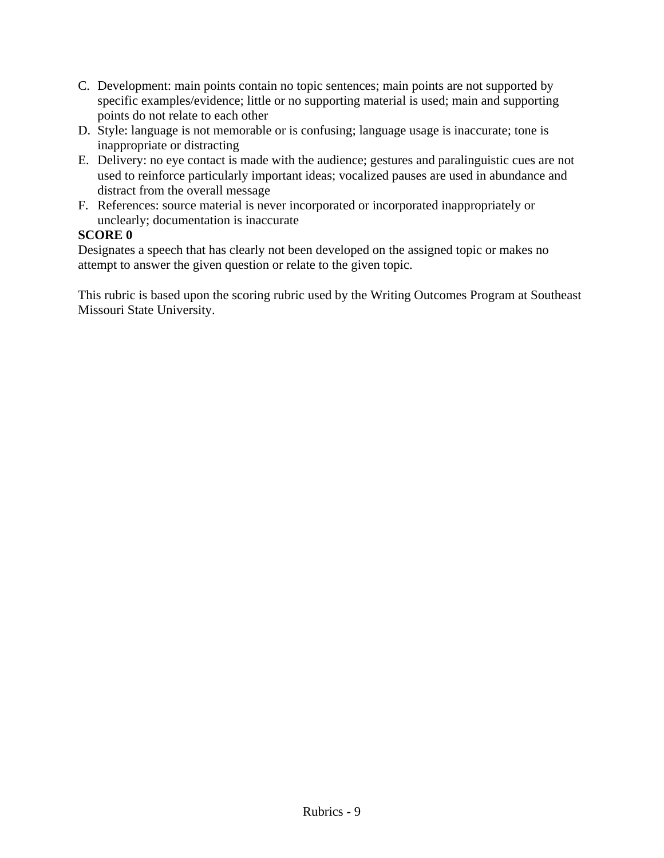- C. Development: main points contain no topic sentences; main points are not supported by specific examples/evidence; little or no supporting material is used; main and supporting points do not relate to each other
- D. Style: language is not memorable or is confusing; language usage is inaccurate; tone is inappropriate or distracting
- E. Delivery: no eye contact is made with the audience; gestures and paralinguistic cues are not used to reinforce particularly important ideas; vocalized pauses are used in abundance and distract from the overall message
- F. References: source material is never incorporated or incorporated inappropriately or unclearly; documentation is inaccurate

#### **SCORE 0**

Designates a speech that has clearly not been developed on the assigned topic or makes no attempt to answer the given question or relate to the given topic.

This rubric is based upon the scoring rubric used by the Writing Outcomes Program at Southeast Missouri State University.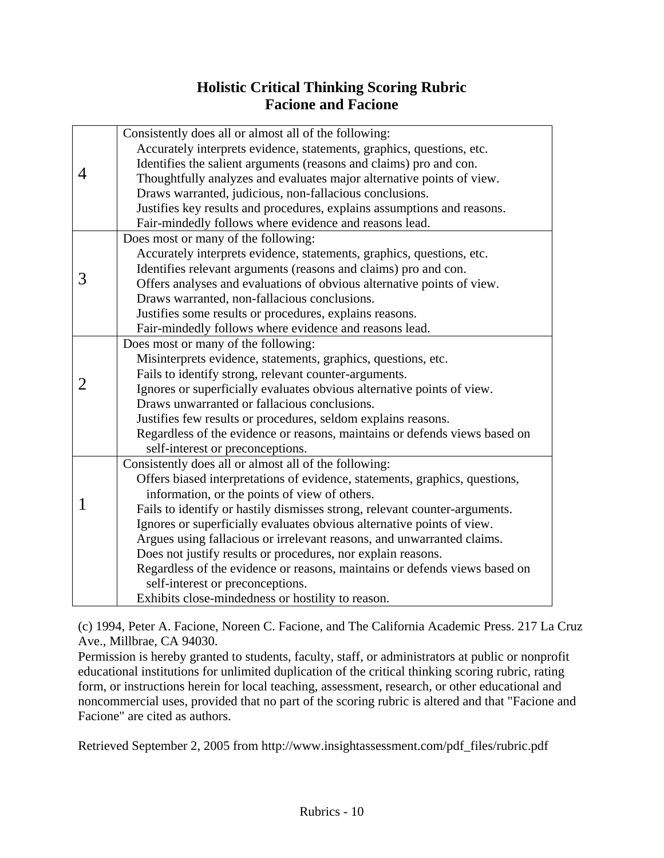# **Holistic Critical Thinking Scoring Rubric Facione and Facione**

|   | Consistently does all or almost all of the following:                       |
|---|-----------------------------------------------------------------------------|
|   | Accurately interprets evidence, statements, graphics, questions, etc.       |
|   | Identifies the salient arguments (reasons and claims) pro and con.          |
| 4 | Thoughtfully analyzes and evaluates major alternative points of view.       |
|   | Draws warranted, judicious, non-fallacious conclusions.                     |
|   | Justifies key results and procedures, explains assumptions and reasons.     |
|   | Fair-mindedly follows where evidence and reasons lead.                      |
|   | Does most or many of the following:                                         |
|   | Accurately interprets evidence, statements, graphics, questions, etc.       |
|   | Identifies relevant arguments (reasons and claims) pro and con.             |
| 3 | Offers analyses and evaluations of obvious alternative points of view.      |
|   | Draws warranted, non-fallacious conclusions.                                |
|   | Justifies some results or procedures, explains reasons.                     |
|   | Fair-mindedly follows where evidence and reasons lead.                      |
|   | Does most or many of the following:                                         |
|   | Misinterprets evidence, statements, graphics, questions, etc.               |
|   | Fails to identify strong, relevant counter-arguments.                       |
| 2 | Ignores or superficially evaluates obvious alternative points of view.      |
|   | Draws unwarranted or fallacious conclusions.                                |
|   | Justifies few results or procedures, seldom explains reasons.               |
|   | Regardless of the evidence or reasons, maintains or defends views based on  |
|   | self-interest or preconceptions.                                            |
|   | Consistently does all or almost all of the following:                       |
|   | Offers biased interpretations of evidence, statements, graphics, questions, |
|   | information, or the points of view of others.                               |
|   | Fails to identify or hastily dismisses strong, relevant counter-arguments.  |
|   | Ignores or superficially evaluates obvious alternative points of view.      |
|   | Argues using fallacious or irrelevant reasons, and unwarranted claims.      |
|   | Does not justify results or procedures, nor explain reasons.                |
|   | Regardless of the evidence or reasons, maintains or defends views based on  |
|   | self-interest or preconceptions.                                            |
|   | Exhibits close-mindedness or hostility to reason.                           |

(c) 1994, Peter A. Facione, Noreen C. Facione, and The California Academic Press. 217 La Cruz Ave., Millbrae, CA 94030.

Permission is hereby granted to students, faculty, staff, or administrators at public or nonprofit educational institutions for unlimited duplication of the critical thinking scoring rubric, rating form, or instructions herein for local teaching, assessment, research, or other educational and noncommercial uses, provided that no part of the scoring rubric is altered and that "Facione and Facione" are cited as authors.

Retrieved September 2, 2005 from http://www.insightassessment.com/pdf\_files/rubric.pdf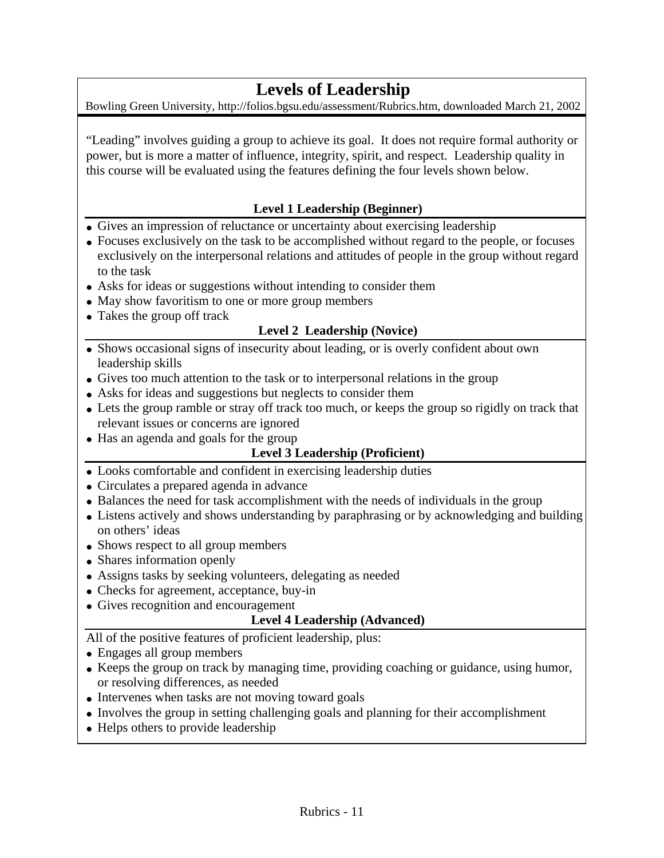# **Levels of Leadership**

Bowling Green University, http://folios.bgsu.edu/assessment/Rubrics.htm, downloaded March 21, 2002

"Leading" involves guiding a group to achieve its goal. It does not require formal authority or power, but is more a matter of influence, integrity, spirit, and respect. Leadership quality in this course will be evaluated using the features defining the four levels shown below.

# **Level 1 Leadership (Beginner)**

- Gives an impression of reluctance or uncertainty about exercising leadership
- Focuses exclusively on the task to be accomplished without regard to the people, or focuses exclusively on the interpersonal relations and attitudes of people in the group without regard to the task
- Asks for ideas or suggestions without intending to consider them
- May show favoritism to one or more group members
- Takes the group off track

# **Level 2 Leadership (Novice)**

- Shows occasional signs of insecurity about leading, or is overly confident about own leadership skills
- Gives too much attention to the task or to interpersonal relations in the group
- Asks for ideas and suggestions but neglects to consider them
- Lets the group ramble or stray off track too much, or keeps the group so rigidly on track that relevant issues or concerns are ignored
- Has an agenda and goals for the group

#### **Level 3 Leadership (Proficient)**

- Looks comfortable and confident in exercising leadership duties
- Circulates a prepared agenda in advance
- Balances the need for task accomplishment with the needs of individuals in the group
- Listens actively and shows understanding by paraphrasing or by acknowledging and building on others' ideas
- Shows respect to all group members
- Shares information openly
- Assigns tasks by seeking volunteers, delegating as needed
- Checks for agreement, acceptance, buy-in
- Gives recognition and encouragement

#### **Level 4 Leadership (Advanced)**

All of the positive features of proficient leadership, plus:

- Engages all group members
- Keeps the group on track by managing time, providing coaching or guidance, using humor, or resolving differences, as needed
- Intervenes when tasks are not moving toward goals
- Involves the group in setting challenging goals and planning for their accomplishment
- Helps others to provide leadership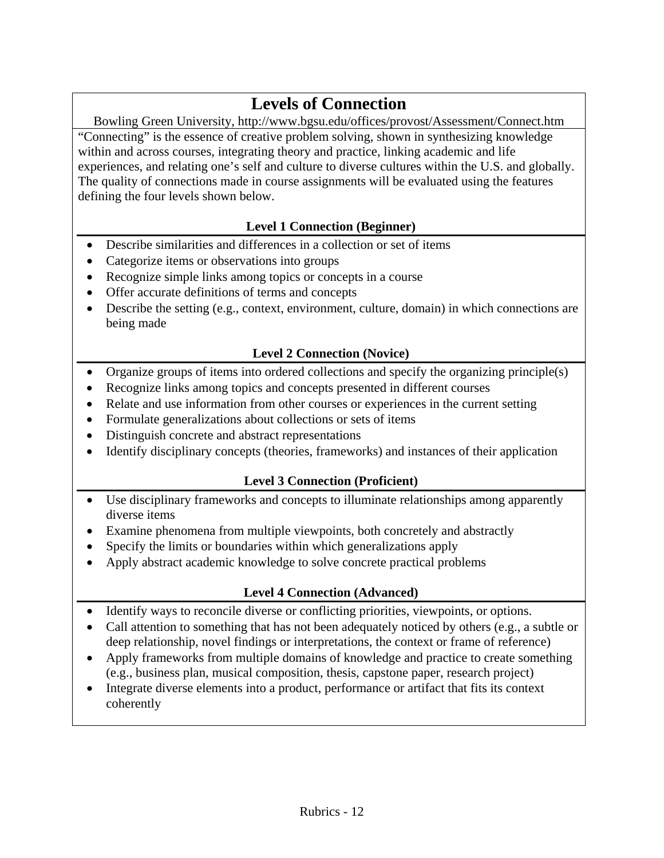# **Levels of Connection**

Bowling Green University, http://www.bgsu.edu/offices/provost/Assessment/Connect.htm "Connecting" is the essence of creative problem solving, shown in synthesizing knowledge within and across courses, integrating theory and practice, linking academic and life experiences, and relating one's self and culture to diverse cultures within the U.S. and globally. The quality of connections made in course assignments will be evaluated using the features defining the four levels shown below.

# **Level 1 Connection (Beginner)**

- Describe similarities and differences in a collection or set of items
- Categorize items or observations into groups
- Recognize simple links among topics or concepts in a course
- Offer accurate definitions of terms and concepts
- Describe the setting (e.g., context, environment, culture, domain) in which connections are being made

# **Level 2 Connection (Novice)**

- Organize groups of items into ordered collections and specify the organizing principle(s)
- Recognize links among topics and concepts presented in different courses
- Relate and use information from other courses or experiences in the current setting
- Formulate generalizations about collections or sets of items
- Distinguish concrete and abstract representations
- Identify disciplinary concepts (theories, frameworks) and instances of their application

# **Level 3 Connection (Proficient)**

- Use disciplinary frameworks and concepts to illuminate relationships among apparently diverse items
- Examine phenomena from multiple viewpoints, both concretely and abstractly
- Specify the limits or boundaries within which generalizations apply
- Apply abstract academic knowledge to solve concrete practical problems

# **Level 4 Connection (Advanced)**

- Identify ways to reconcile diverse or conflicting priorities, viewpoints, or options.
- Call attention to something that has not been adequately noticed by others (e.g., a subtle or deep relationship, novel findings or interpretations, the context or frame of reference)
- Apply frameworks from multiple domains of knowledge and practice to create something (e.g., business plan, musical composition, thesis, capstone paper, research project)
- Integrate diverse elements into a product, performance or artifact that fits its context coherently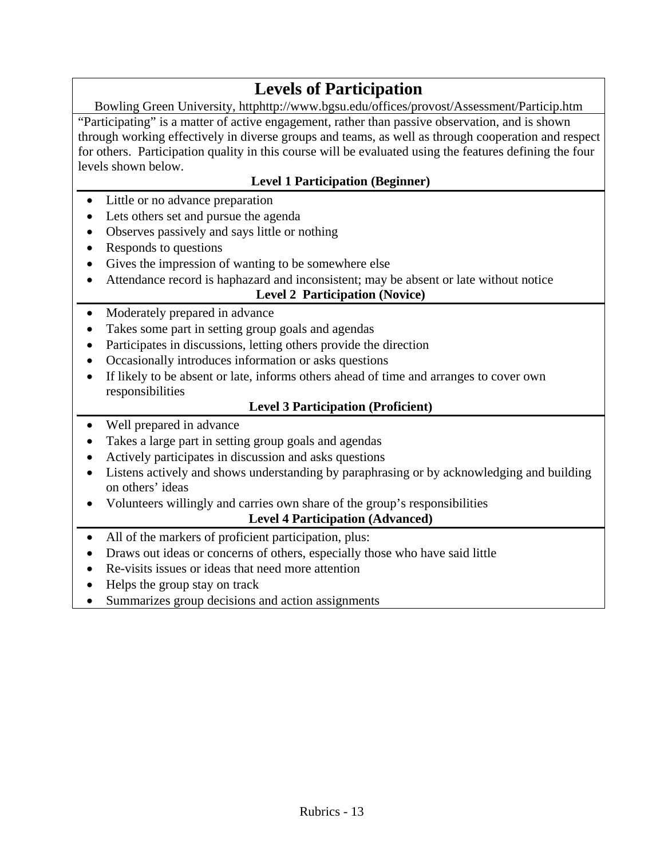# **Levels of Participation**

Bowling Green University, httphttp://www.bgsu.edu/offices/provost/Assessment/Particip.htm "Participating" is a matter of active engagement, rather than passive observation, and is shown through working effectively in diverse groups and teams, as well as through cooperation and respect for others. Participation quality in this course will be evaluated using the features defining the four levels shown below.

# **Level 1 Participation (Beginner)**

- Little or no advance preparation
- Lets others set and pursue the agenda
- Observes passively and says little or nothing
- Responds to questions
- Gives the impression of wanting to be somewhere else
- Attendance record is haphazard and inconsistent; may be absent or late without notice

# **Level 2 Participation (Novice)**

- Moderately prepared in advance
- Takes some part in setting group goals and agendas
- Participates in discussions, letting others provide the direction
- Occasionally introduces information or asks questions
- If likely to be absent or late, informs others ahead of time and arranges to cover own responsibilities

#### **Level 3 Participation (Proficient)**

- Well prepared in advance
- Takes a large part in setting group goals and agendas
- Actively participates in discussion and asks questions
- Listens actively and shows understanding by paraphrasing or by acknowledging and building on others' ideas
- Volunteers willingly and carries own share of the group's responsibilities

# **Level 4 Participation (Advanced)**

- All of the markers of proficient participation, plus:
- Draws out ideas or concerns of others, especially those who have said little
- Re-visits issues or ideas that need more attention
- Helps the group stay on track
- Summarizes group decisions and action assignments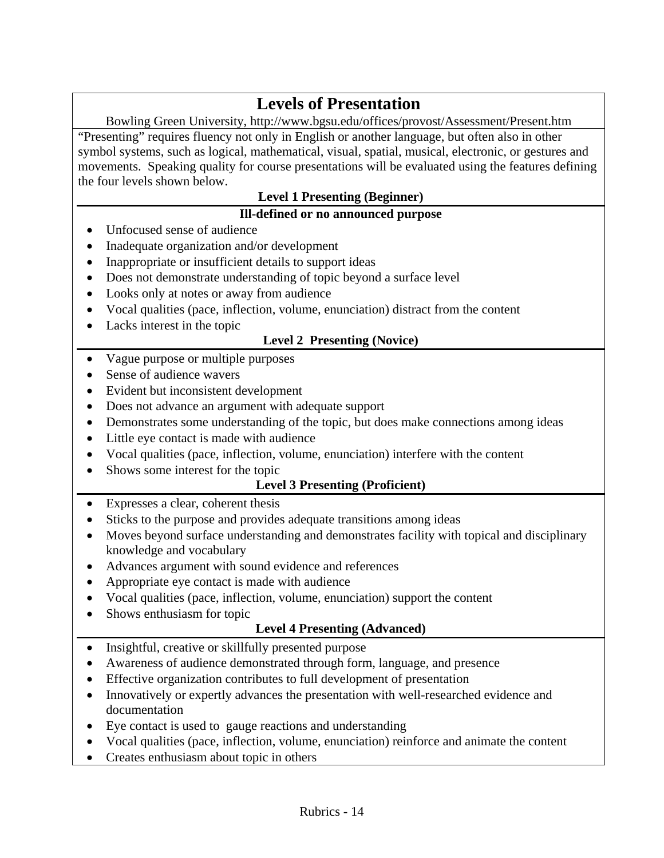# **Levels of Presentation**

Bowling Green University, http://www.bgsu.edu/offices/provost/Assessment/Present.htm "Presenting" requires fluency not only in English or another language, but often also in other symbol systems, such as logical, mathematical, visual, spatial, musical, electronic, or gestures and movements. Speaking quality for course presentations will be evaluated using the features defining the four levels shown below.

# **Level 1 Presenting (Beginner)**

#### **Ill-defined or no announced purpose**

- Unfocused sense of audience
- Inadequate organization and/or development
- Inappropriate or insufficient details to support ideas
- Does not demonstrate understanding of topic beyond a surface level
- Looks only at notes or away from audience
- Vocal qualities (pace, inflection, volume, enunciation) distract from the content
- Lacks interest in the topic

# **Level 2 Presenting (Novice)**

- Vague purpose or multiple purposes
- Sense of audience wavers
- Evident but inconsistent development
- Does not advance an argument with adequate support
- Demonstrates some understanding of the topic, but does make connections among ideas
- Little eye contact is made with audience
- Vocal qualities (pace, inflection, volume, enunciation) interfere with the content
- Shows some interest for the topic

# **Level 3 Presenting (Proficient)**

- Expresses a clear, coherent thesis
- Sticks to the purpose and provides adequate transitions among ideas
- Moves beyond surface understanding and demonstrates facility with topical and disciplinary knowledge and vocabulary
- Advances argument with sound evidence and references
- Appropriate eye contact is made with audience
- Vocal qualities (pace, inflection, volume, enunciation) support the content
- Shows enthusiasm for topic

# **Level 4 Presenting (Advanced)**

- Insightful, creative or skillfully presented purpose
- Awareness of audience demonstrated through form, language, and presence
- Effective organization contributes to full development of presentation
- Innovatively or expertly advances the presentation with well-researched evidence and documentation
- Eye contact is used to gauge reactions and understanding
- Vocal qualities (pace, inflection, volume, enunciation) reinforce and animate the content
- Creates enthusiasm about topic in others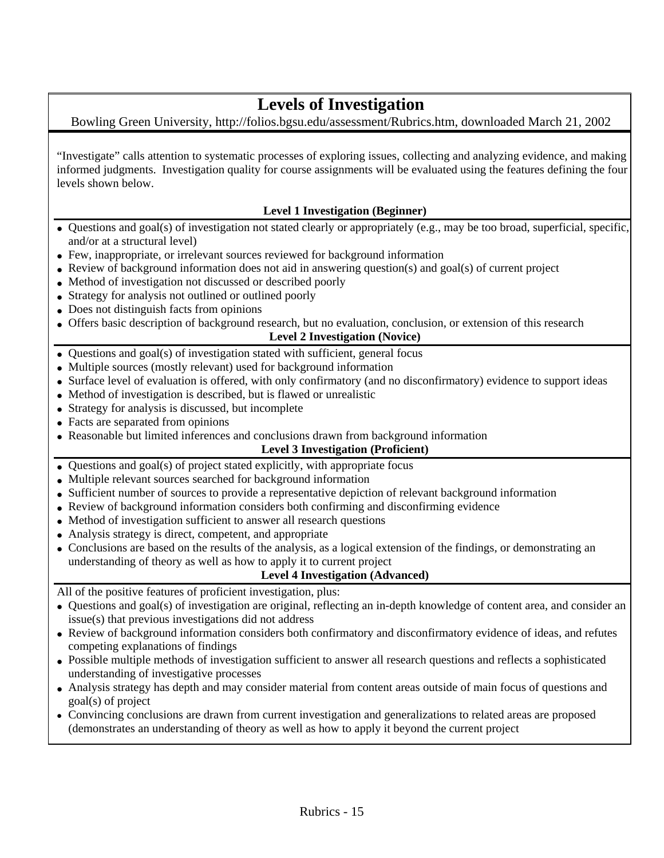# **Levels of Investigation**

Bowling Green University, http://folios.bgsu.edu/assessment/Rubrics.htm, downloaded March 21, 2002

"Investigate" calls attention to systematic processes of exploring issues, collecting and analyzing evidence, and making informed judgments. Investigation quality for course assignments will be evaluated using the features defining the four levels shown below.

#### **Level 1 Investigation (Beginner)**

- Questions and goal(s) of investigation not stated clearly or appropriately (e.g., may be too broad, superficial, specific, and/or at a structural level)
- Few, inappropriate, or irrelevant sources reviewed for background information
- Review of background information does not aid in answering question(s) and goal(s) of current project
- Method of investigation not discussed or described poorly
- Strategy for analysis not outlined or outlined poorly
- Does not distinguish facts from opinions
- Offers basic description of background research, but no evaluation, conclusion, or extension of this research

#### **Level 2 Investigation (Novice)**

- Questions and goal(s) of investigation stated with sufficient, general focus
- Multiple sources (mostly relevant) used for background information
- Surface level of evaluation is offered, with only confirmatory (and no disconfirmatory) evidence to support ideas
- Method of investigation is described, but is flawed or unrealistic
- Strategy for analysis is discussed, but incomplete
- Facts are separated from opinions
- Reasonable but limited inferences and conclusions drawn from background information

#### **Level 3 Investigation (Proficient)**

- Questions and goal(s) of project stated explicitly, with appropriate focus
- Multiple relevant sources searched for background information
- Sufficient number of sources to provide a representative depiction of relevant background information
- Review of background information considers both confirming and disconfirming evidence
- Method of investigation sufficient to answer all research questions
- Analysis strategy is direct, competent, and appropriate
- Conclusions are based on the results of the analysis, as a logical extension of the findings, or demonstrating an understanding of theory as well as how to apply it to current project

#### **Level 4 Investigation (Advanced)**

All of the positive features of proficient investigation, plus:

- Questions and goal(s) of investigation are original, reflecting an in-depth knowledge of content area, and consider an issue(s) that previous investigations did not address
- Review of background information considers both confirmatory and disconfirmatory evidence of ideas, and refutes competing explanations of findings
- Possible multiple methods of investigation sufficient to answer all research questions and reflects a sophisticated understanding of investigative processes
- Analysis strategy has depth and may consider material from content areas outside of main focus of questions and goal(s) of project
- Convincing conclusions are drawn from current investigation and generalizations to related areas are proposed (demonstrates an understanding of theory as well as how to apply it beyond the current project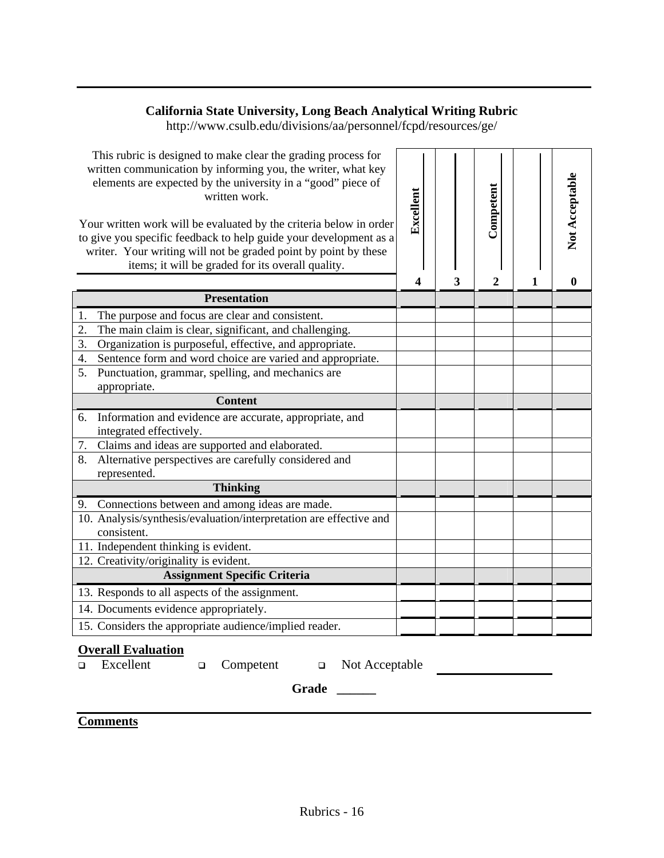# **California State University, Long Beach Analytical Writing Rubric**

http://www.csulb.edu/divisions/aa/personnel/fcpd/resources/ge/

| This rubric is designed to make clear the grading process for<br>written communication by informing you, the writer, what key<br>elements are expected by the university in a "good" piece of<br>written work.<br>Your written work will be evaluated by the criteria below in order<br>to give you specific feedback to help guide your development as a<br>writer. Your writing will not be graded point by point by these<br>items; it will be graded for its overall quality. | Excellent |   | Competent |   | Not Acceptable |
|-----------------------------------------------------------------------------------------------------------------------------------------------------------------------------------------------------------------------------------------------------------------------------------------------------------------------------------------------------------------------------------------------------------------------------------------------------------------------------------|-----------|---|-----------|---|----------------|
| <b>Presentation</b>                                                                                                                                                                                                                                                                                                                                                                                                                                                               | 4         | 3 | 2         | 1 | $\mathbf{0}$   |
|                                                                                                                                                                                                                                                                                                                                                                                                                                                                                   |           |   |           |   |                |
| The purpose and focus are clear and consistent.<br>1.                                                                                                                                                                                                                                                                                                                                                                                                                             |           |   |           |   |                |
| 2.<br>The main claim is clear, significant, and challenging.<br>3.                                                                                                                                                                                                                                                                                                                                                                                                                |           |   |           |   |                |
| Organization is purposeful, effective, and appropriate.<br>4.                                                                                                                                                                                                                                                                                                                                                                                                                     |           |   |           |   |                |
| Sentence form and word choice are varied and appropriate.<br>5.<br>Punctuation, grammar, spelling, and mechanics are                                                                                                                                                                                                                                                                                                                                                              |           |   |           |   |                |
| appropriate.                                                                                                                                                                                                                                                                                                                                                                                                                                                                      |           |   |           |   |                |
| <b>Content</b>                                                                                                                                                                                                                                                                                                                                                                                                                                                                    |           |   |           |   |                |
| 6.                                                                                                                                                                                                                                                                                                                                                                                                                                                                                |           |   |           |   |                |
| Information and evidence are accurate, appropriate, and<br>integrated effectively.                                                                                                                                                                                                                                                                                                                                                                                                |           |   |           |   |                |
| Claims and ideas are supported and elaborated.<br>7.                                                                                                                                                                                                                                                                                                                                                                                                                              |           |   |           |   |                |
| 8.<br>Alternative perspectives are carefully considered and                                                                                                                                                                                                                                                                                                                                                                                                                       |           |   |           |   |                |
| represented.                                                                                                                                                                                                                                                                                                                                                                                                                                                                      |           |   |           |   |                |
| <b>Thinking</b>                                                                                                                                                                                                                                                                                                                                                                                                                                                                   |           |   |           |   |                |
| 9. Connections between and among ideas are made.                                                                                                                                                                                                                                                                                                                                                                                                                                  |           |   |           |   |                |
| 10. Analysis/synthesis/evaluation/interpretation are effective and                                                                                                                                                                                                                                                                                                                                                                                                                |           |   |           |   |                |
| consistent.                                                                                                                                                                                                                                                                                                                                                                                                                                                                       |           |   |           |   |                |
| 11. Independent thinking is evident.                                                                                                                                                                                                                                                                                                                                                                                                                                              |           |   |           |   |                |
| 12. Creativity/originality is evident.                                                                                                                                                                                                                                                                                                                                                                                                                                            |           |   |           |   |                |
| <b>Assignment Specific Criteria</b>                                                                                                                                                                                                                                                                                                                                                                                                                                               |           |   |           |   |                |
| 13. Responds to all aspects of the assignment.                                                                                                                                                                                                                                                                                                                                                                                                                                    |           |   |           |   |                |
| 14. Documents evidence appropriately.                                                                                                                                                                                                                                                                                                                                                                                                                                             |           |   |           |   |                |
| 15. Considers the appropriate audience/implied reader.                                                                                                                                                                                                                                                                                                                                                                                                                            |           |   |           |   |                |

# **Overall Evaluation**<br> **<u>D</u>** Excellent

 $\Box$  Competent  $\Box$  Not Acceptable

Grade \_\_\_\_\_\_

# **Comments**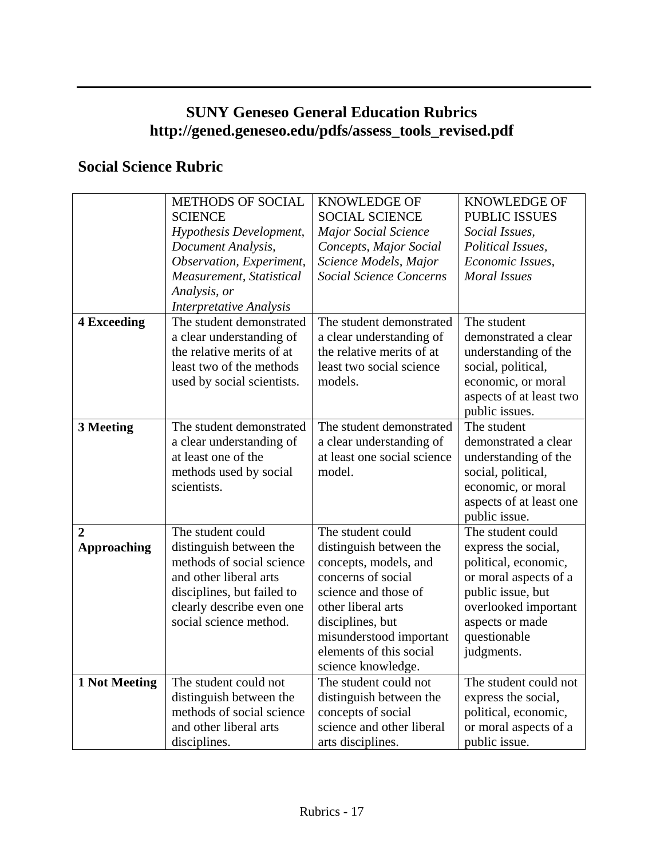# **SUNY Geneseo General Education Rubrics http://gened.geneseo.edu/pdfs/assess\_tools\_revised.pdf**

# **Social Science Rubric**

|                    | <b>METHODS OF SOCIAL</b>       | <b>KNOWLEDGE OF</b>            | <b>KNOWLEDGE OF</b>     |
|--------------------|--------------------------------|--------------------------------|-------------------------|
|                    | <b>SCIENCE</b>                 | <b>SOCIAL SCIENCE</b>          | <b>PUBLIC ISSUES</b>    |
|                    | Hypothesis Development,        | <b>Major Social Science</b>    | Social Issues,          |
|                    | Document Analysis,             | Concepts, Major Social         | Political Issues,       |
|                    | Observation, Experiment,       | Science Models, Major          | Economic Issues,        |
|                    | Measurement, Statistical       | <b>Social Science Concerns</b> | <b>Moral Issues</b>     |
|                    | Analysis, or                   |                                |                         |
|                    | <b>Interpretative Analysis</b> |                                |                         |
| <b>4 Exceeding</b> | The student demonstrated       | The student demonstrated       | The student             |
|                    | a clear understanding of       | a clear understanding of       | demonstrated a clear    |
|                    | the relative merits of at      | the relative merits of at      | understanding of the    |
|                    | least two of the methods       | least two social science       | social, political,      |
|                    | used by social scientists.     | models.                        | economic, or moral      |
|                    |                                |                                | aspects of at least two |
|                    |                                |                                | public issues.          |
| 3 Meeting          | The student demonstrated       | The student demonstrated       | The student             |
|                    | a clear understanding of       | a clear understanding of       | demonstrated a clear    |
|                    | at least one of the            | at least one social science    | understanding of the    |
|                    | methods used by social         | model.                         | social, political,      |
|                    | scientists.                    |                                | economic, or moral      |
|                    |                                |                                | aspects of at least one |
|                    |                                |                                | public issue.           |
| 2                  | The student could              | The student could              | The student could       |
| <b>Approaching</b> | distinguish between the        | distinguish between the        | express the social,     |
|                    | methods of social science      | concepts, models, and          | political, economic,    |
|                    | and other liberal arts         | concerns of social             | or moral aspects of a   |
|                    | disciplines, but failed to     | science and those of           | public issue, but       |
|                    | clearly describe even one      | other liberal arts             | overlooked important    |
|                    | social science method.         | disciplines, but               | aspects or made         |
|                    |                                | misunderstood important        | questionable            |
|                    |                                | elements of this social        | judgments.              |
|                    |                                | science knowledge.             |                         |
| 1 Not Meeting      | The student could not          | The student could not          | The student could not   |
|                    | distinguish between the        | distinguish between the        | express the social,     |
|                    | methods of social science      | concepts of social             | political, economic,    |
|                    | and other liberal arts         | science and other liberal      | or moral aspects of a   |
|                    | disciplines.                   | arts disciplines.              | public issue.           |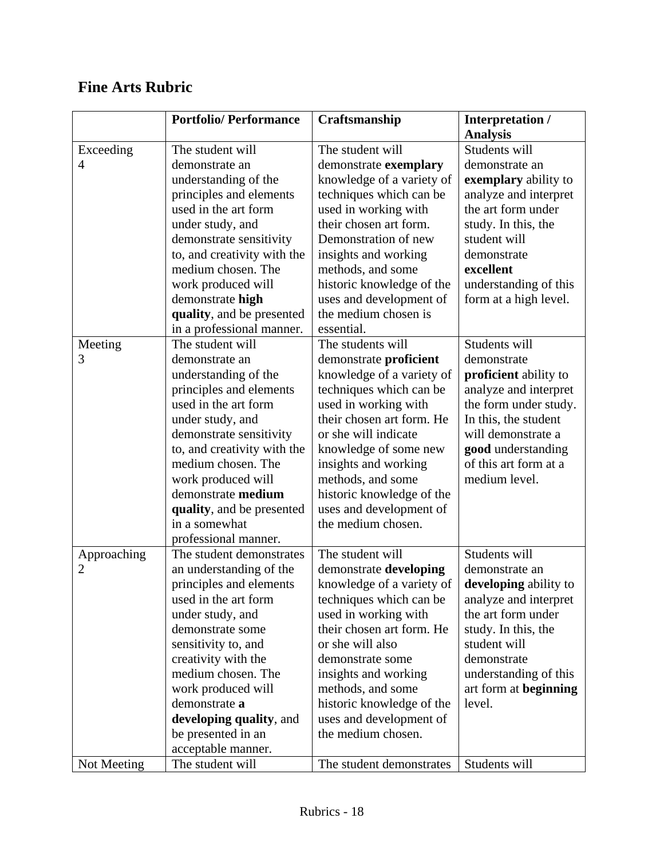|                | <b>Portfolio/Performance</b> | Craftsmanship             | Interpretation /      |
|----------------|------------------------------|---------------------------|-----------------------|
|                |                              |                           | <b>Analysis</b>       |
| Exceeding      | The student will             | The student will          | Students will         |
| 4              | demonstrate an               | demonstrate exemplary     | demonstrate an        |
|                | understanding of the         | knowledge of a variety of | exemplary ability to  |
|                | principles and elements      | techniques which can be   | analyze and interpret |
|                | used in the art form         | used in working with      | the art form under    |
|                | under study, and             | their chosen art form.    | study. In this, the   |
|                | demonstrate sensitivity      | Demonstration of new      | student will          |
|                | to, and creativity with the  | insights and working      | demonstrate           |
|                | medium chosen. The           | methods, and some         | excellent             |
|                | work produced will           | historic knowledge of the | understanding of this |
|                | demonstrate high             | uses and development of   | form at a high level. |
|                | quality, and be presented    | the medium chosen is      |                       |
|                | in a professional manner.    | essential.                |                       |
| Meeting        | The student will             | The students will         | Students will         |
| 3              | demonstrate an               | demonstrate proficient    | demonstrate           |
|                | understanding of the         | knowledge of a variety of | proficient ability to |
|                | principles and elements      | techniques which can be   | analyze and interpret |
|                | used in the art form         | used in working with      | the form under study. |
|                | under study, and             | their chosen art form. He | In this, the student  |
|                | demonstrate sensitivity      | or she will indicate      | will demonstrate a    |
|                | to, and creativity with the  | knowledge of some new     | good understanding    |
|                | medium chosen. The           | insights and working      | of this art form at a |
|                | work produced will           | methods, and some         | medium level.         |
|                | demonstrate medium           | historic knowledge of the |                       |
|                | quality, and be presented    | uses and development of   |                       |
|                | in a somewhat                | the medium chosen.        |                       |
|                | professional manner.         |                           |                       |
| Approaching    | The student demonstrates     | The student will          | Students will         |
| $\overline{2}$ | an understanding of the      | demonstrate developing    | demonstrate an        |
|                | principles and elements      | knowledge of a variety of | developing ability to |
|                | used in the art form         | techniques which can be   | analyze and interpret |
|                | under study, and             | used in working with      | the art form under    |
|                | demonstrate some             | their chosen art form. He | study. In this, the   |
|                | sensitivity to, and          | or she will also          | student will          |
|                | creativity with the          | demonstrate some          | demonstrate           |
|                | medium chosen. The           | insights and working      | understanding of this |
|                | work produced will           | methods, and some         | art form at beginning |
|                | demonstrate a                | historic knowledge of the | level.                |
|                | developing quality, and      | uses and development of   |                       |
|                | be presented in an           | the medium chosen.        |                       |
|                | acceptable manner.           |                           |                       |
| Not Meeting    | The student will             | The student demonstrates  | Students will         |

# **Fine Arts Rubric**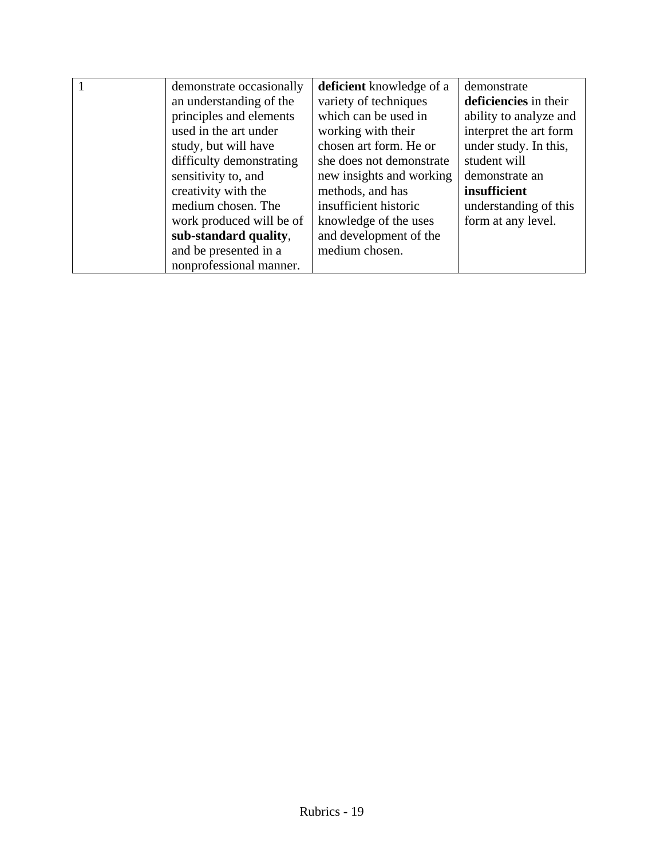| demonstrate occasionally | <b>deficient</b> knowledge of a | demonstrate            |
|--------------------------|---------------------------------|------------------------|
| an understanding of the  | variety of techniques           | deficiencies in their  |
| principles and elements  | which can be used in            | ability to analyze and |
| used in the art under    | working with their              | interpret the art form |
| study, but will have     | chosen art form. He or          | under study. In this,  |
| difficulty demonstrating | she does not demonstrate        | student will           |
| sensitivity to, and      | new insights and working        | demonstrate an         |
| creativity with the      | methods, and has                | insufficient           |
| medium chosen. The       | insufficient historic           | understanding of this  |
| work produced will be of | knowledge of the uses           | form at any level.     |
| sub-standard quality,    | and development of the          |                        |
| and be presented in a    | medium chosen.                  |                        |
| nonprofessional manner.  |                                 |                        |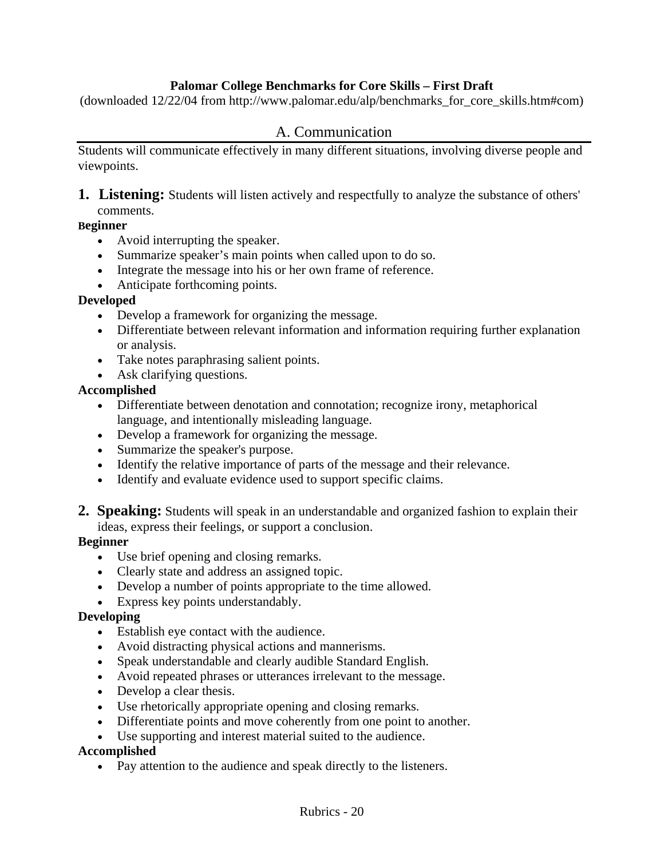#### **Palomar College Benchmarks for Core Skills – First Draft**

(downloaded 12/22/04 from http://www.palomar.edu/alp/benchmarks\_for\_core\_skills.htm#com)

### A. Communication

Students will communicate effectively in many different situations, involving diverse people and viewpoints.

**1. Listening:** Students will listen actively and respectfully to analyze the substance of others' comments.

#### **Beginner**

- Avoid interrupting the speaker.
- Summarize speaker's main points when called upon to do so.
- Integrate the message into his or her own frame of reference.
- Anticipate forthcoming points.

#### **Developed**

- Develop a framework for organizing the message.
- Differentiate between relevant information and information requiring further explanation or analysis.
- Take notes paraphrasing salient points.
- Ask clarifying questions.

#### **Accomplished**

- Differentiate between denotation and connotation; recognize irony, metaphorical language, and intentionally misleading language.
- Develop a framework for organizing the message.
- Summarize the speaker's purpose.
- Identify the relative importance of parts of the message and their relevance.
- Identify and evaluate evidence used to support specific claims.
- **2. Speaking:** Students will speak in an understandable and organized fashion to explain their ideas, express their feelings, or support a conclusion.

#### **Beginner**

- Use brief opening and closing remarks.
- Clearly state and address an assigned topic.
- Develop a number of points appropriate to the time allowed.
- Express key points understandably.

#### **Developing**

- Establish eye contact with the audience.
- Avoid distracting physical actions and mannerisms.
- Speak understandable and clearly audible Standard English.
- Avoid repeated phrases or utterances irrelevant to the message.
- Develop a clear thesis.
- Use rhetorically appropriate opening and closing remarks.
- Differentiate points and move coherently from one point to another.
- Use supporting and interest material suited to the audience.

#### **Accomplished**

• Pay attention to the audience and speak directly to the listeners.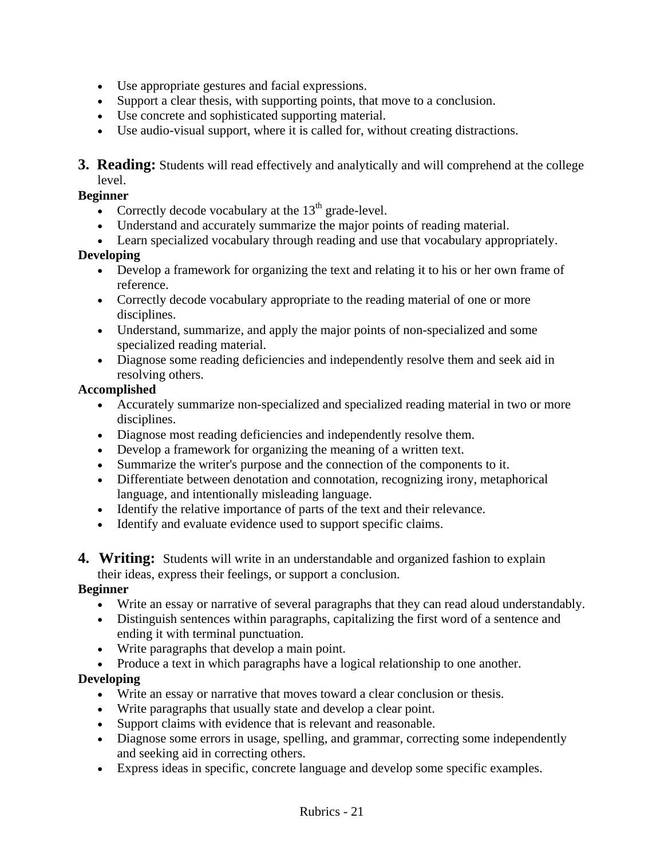- Use appropriate gestures and facial expressions.
- Support a clear thesis, with supporting points, that move to a conclusion.
- Use concrete and sophisticated supporting material.
- Use audio-visual support, where it is called for, without creating distractions.
- **3. Reading:** Students will read effectively and analytically and will comprehend at the college level.

#### **Beginner**

- Correctly decode vocabulary at the  $13<sup>th</sup>$  grade-level.
- Understand and accurately summarize the major points of reading material.
- Learn specialized vocabulary through reading and use that vocabulary appropriately.

#### **Developing**

- Develop a framework for organizing the text and relating it to his or her own frame of reference.
- Correctly decode vocabulary appropriate to the reading material of one or more disciplines.
- Understand, summarize, and apply the major points of non-specialized and some specialized reading material.
- Diagnose some reading deficiencies and independently resolve them and seek aid in resolving others.

#### **Accomplished**

- Accurately summarize non-specialized and specialized reading material in two or more disciplines.
- Diagnose most reading deficiencies and independently resolve them.
- Develop a framework for organizing the meaning of a written text.
- Summarize the writer's purpose and the connection of the components to it.
- Differentiate between denotation and connotation, recognizing irony, metaphorical language, and intentionally misleading language.
- Identify the relative importance of parts of the text and their relevance.
- Identify and evaluate evidence used to support specific claims.
- **4. Writing:** Students will write in an understandable and organized fashion to explain their ideas, express their feelings, or support a conclusion.

#### **Beginner**

- Write an essay or narrative of several paragraphs that they can read aloud understandably.
- Distinguish sentences within paragraphs, capitalizing the first word of a sentence and ending it with terminal punctuation.
- Write paragraphs that develop a main point.
- Produce a text in which paragraphs have a logical relationship to one another.

#### **Developing**

- Write an essay or narrative that moves toward a clear conclusion or thesis.
- Write paragraphs that usually state and develop a clear point.
- Support claims with evidence that is relevant and reasonable.
- Diagnose some errors in usage, spelling, and grammar, correcting some independently and seeking aid in correcting others.
- Express ideas in specific, concrete language and develop some specific examples.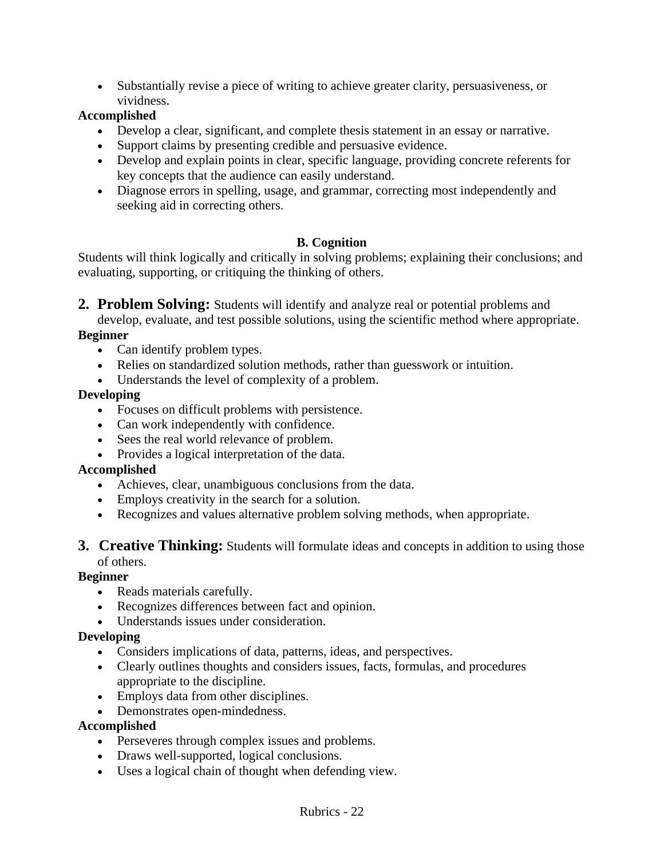• Substantially revise a piece of writing to achieve greater clarity, persuasiveness, or vividness.

### **Accomplished**

- Develop a clear, significant, and complete thesis statement in an essay or narrative.
- Support claims by presenting credible and persuasive evidence.
- Develop and explain points in clear, specific language, providing concrete referents for key concepts that the audience can easily understand.
- Diagnose errors in spelling, usage, and grammar, correcting most independently and seeking aid in correcting others.

# **B. Cognition**

Students will think logically and critically in solving problems; explaining their conclusions; and evaluating, supporting, or critiquing the thinking of others.

**2. Problem Solving:** Students will identify and analyze real or potential problems and

develop, evaluate, and test possible solutions, using the scientific method where appropriate. **Beginner** 

- Can identify problem types.
- Relies on standardized solution methods, rather than guesswork or intuition.
- Understands the level of complexity of a problem.

#### **Developing**

- Focuses on difficult problems with persistence.
- Can work independently with confidence.
- Sees the real world relevance of problem.
- Provides a logical interpretation of the data.

#### **Accomplished**

- Achieves, clear, unambiguous conclusions from the data.
- Employs creativity in the search for a solution.
- Recognizes and values alternative problem solving methods, when appropriate.

#### **3. Creative Thinking:** Students will formulate ideas and concepts in addition to using those of others.

#### **Beginner**

- Reads materials carefully.
- Recognizes differences between fact and opinion.
- Understands issues under consideration.

#### **Developing**

- Considers implications of data, patterns, ideas, and perspectives.
- Clearly outlines thoughts and considers issues, facts, formulas, and procedures appropriate to the discipline.
- Employs data from other disciplines.
- Demonstrates open-mindedness.

#### **Accomplished**

- Perseveres through complex issues and problems.
- Draws well-supported, logical conclusions.
- Uses a logical chain of thought when defending view.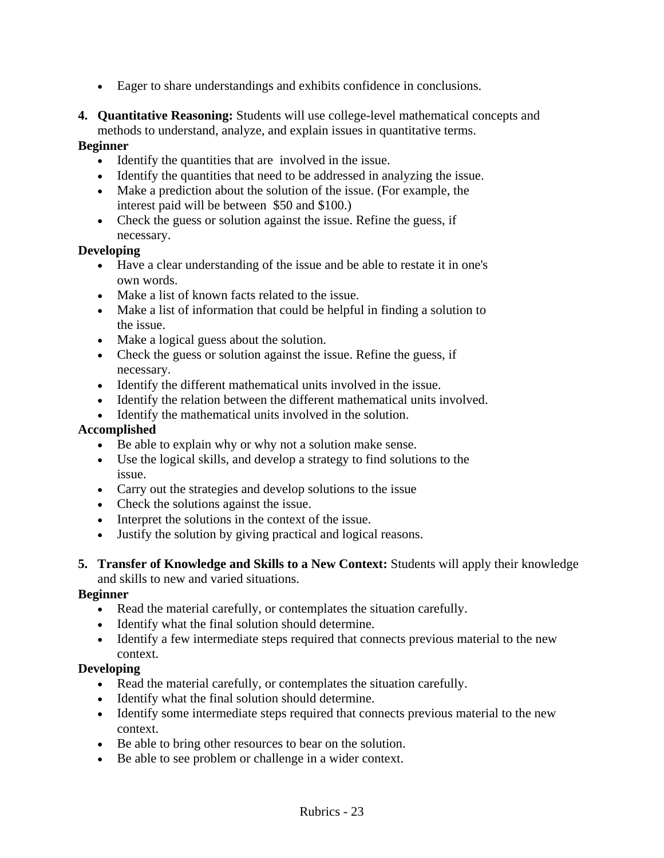- Eager to share understandings and exhibits confidence in conclusions.
- **4. Quantitative Reasoning:** Students will use college-level mathematical concepts and methods to understand, analyze, and explain issues in quantitative terms.

### **Beginner**

- Identify the quantities that are involved in the issue.
- Identify the quantities that need to be addressed in analyzing the issue.
- Make a prediction about the solution of the issue. (For example, the interest paid will be between \$50 and \$100.)
- Check the guess or solution against the issue. Refine the guess, if necessary.

# **Developing**

- Have a clear understanding of the issue and be able to restate it in one's own words.
- Make a list of known facts related to the issue.
- Make a list of information that could be helpful in finding a solution to the issue.
- Make a logical guess about the solution.
- Check the guess or solution against the issue. Refine the guess, if necessary.
- Identify the different mathematical units involved in the issue.
- Identify the relation between the different mathematical units involved.
- Identify the mathematical units involved in the solution.

### **Accomplished**

- Be able to explain why or why not a solution make sense.
- Use the logical skills, and develop a strategy to find solutions to the issue.
- Carry out the strategies and develop solutions to the issue
- Check the solutions against the issue.
- Interpret the solutions in the context of the issue.
- Justify the solution by giving practical and logical reasons.
- **5. Transfer of Knowledge and Skills to a New Context:** Students will apply their knowledge and skills to new and varied situations.

#### **Beginner**

- Read the material carefully, or contemplates the situation carefully.
- Identify what the final solution should determine.
- Identify a few intermediate steps required that connects previous material to the new context.

# **Developing**

- Read the material carefully, or contemplates the situation carefully.
- Identify what the final solution should determine.
- Identify some intermediate steps required that connects previous material to the new context.
- Be able to bring other resources to bear on the solution.
- Be able to see problem or challenge in a wider context.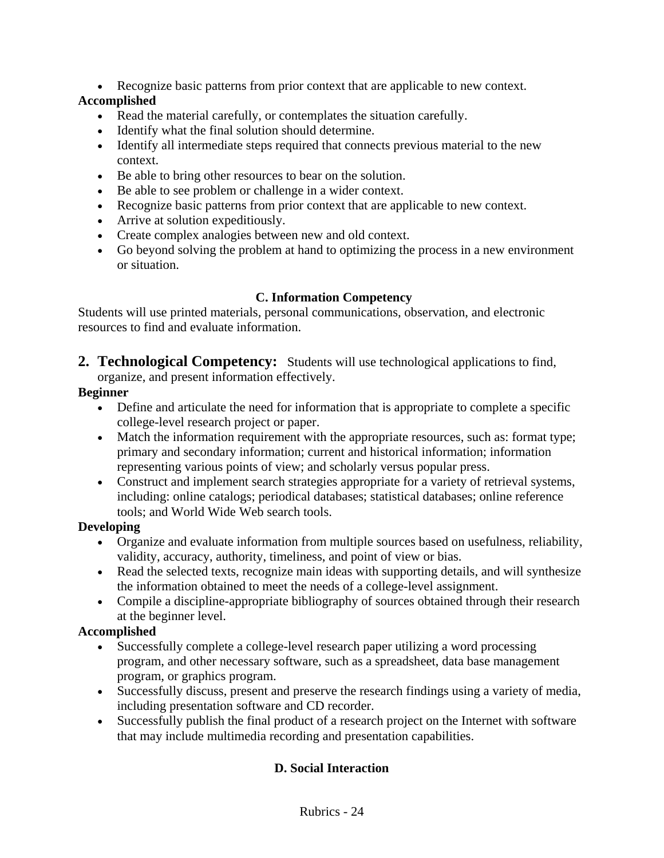• Recognize basic patterns from prior context that are applicable to new context.

# **Accomplished**

- Read the material carefully, or contemplates the situation carefully.
- Identify what the final solution should determine.
- Identify all intermediate steps required that connects previous material to the new context.
- Be able to bring other resources to bear on the solution.
- Be able to see problem or challenge in a wider context.
- Recognize basic patterns from prior context that are applicable to new context.
- Arrive at solution expeditiously.
- Create complex analogies between new and old context.
- Go beyond solving the problem at hand to optimizing the process in a new environment or situation.

# **C. Information Competency**

Students will use printed materials, personal communications, observation, and electronic resources to find and evaluate information.

**2. Technological Competency:** Students will use technological applications to find, organize, and present information effectively.

# **Beginner**

- Define and articulate the need for information that is appropriate to complete a specific college-level research project or paper.
- Match the information requirement with the appropriate resources, such as: format type; primary and secondary information; current and historical information; information representing various points of view; and scholarly versus popular press.
- Construct and implement search strategies appropriate for a variety of retrieval systems, including: online catalogs; periodical databases; statistical databases; online reference tools; and World Wide Web search tools.

# **Developing**

- Organize and evaluate information from multiple sources based on usefulness, reliability, validity, accuracy, authority, timeliness, and point of view or bias.
- Read the selected texts, recognize main ideas with supporting details, and will synthesize the information obtained to meet the needs of a college-level assignment.
- Compile a discipline-appropriate bibliography of sources obtained through their research at the beginner level.

# **Accomplished**

- Successfully complete a college-level research paper utilizing a word processing program, and other necessary software, such as a spreadsheet, data base management program, or graphics program.
- Successfully discuss, present and preserve the research findings using a variety of media, including presentation software and CD recorder.
- Successfully publish the final product of a research project on the Internet with software that may include multimedia recording and presentation capabilities.

# **D. Social Interaction**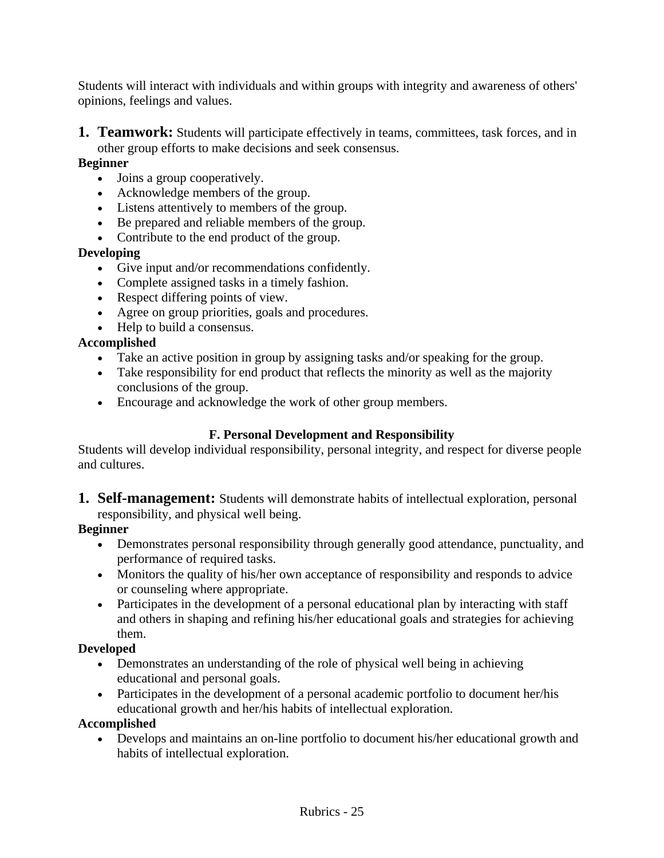Students will interact with individuals and within groups with integrity and awareness of others' opinions, feelings and values.

**1. Teamwork:** Students will participate effectively in teams, committees, task forces, and in other group efforts to make decisions and seek consensus.

#### **Beginner**

- Joins a group cooperatively.
- Acknowledge members of the group.
- Listens attentively to members of the group.
- Be prepared and reliable members of the group.
- Contribute to the end product of the group.

#### **Developing**

- Give input and/or recommendations confidently.
- Complete assigned tasks in a timely fashion.
- Respect differing points of view.
- Agree on group priorities, goals and procedures.
- Help to build a consensus.

#### **Accomplished**

- Take an active position in group by assigning tasks and/or speaking for the group.
- Take responsibility for end product that reflects the minority as well as the majority conclusions of the group.
- Encourage and acknowledge the work of other group members.

# **F. Personal Development and Responsibility**

Students will develop individual responsibility, personal integrity, and respect for diverse people and cultures.

**1. Self-management:** Students will demonstrate habits of intellectual exploration, personal responsibility, and physical well being.

#### **Beginner**

- Demonstrates personal responsibility through generally good attendance, punctuality, and performance of required tasks.
- Monitors the quality of his/her own acceptance of responsibility and responds to advice or counseling where appropriate.
- Participates in the development of a personal educational plan by interacting with staff and others in shaping and refining his/her educational goals and strategies for achieving them.

#### **Developed**

- Demonstrates an understanding of the role of physical well being in achieving educational and personal goals.
- Participates in the development of a personal academic portfolio to document her/his educational growth and her/his habits of intellectual exploration.

#### **Accomplished**

• Develops and maintains an on-line portfolio to document his/her educational growth and habits of intellectual exploration.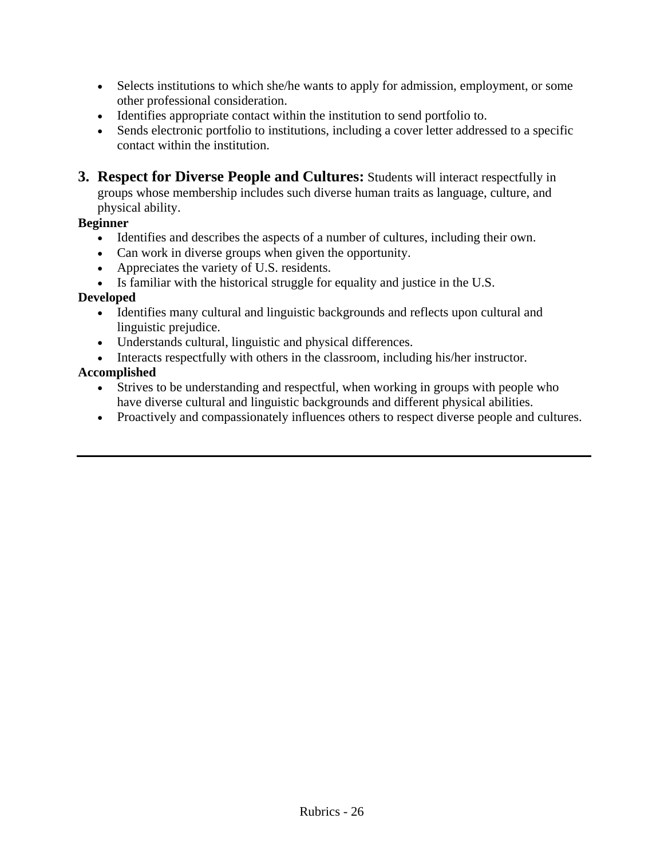- Selects institutions to which she/he wants to apply for admission, employment, or some other professional consideration.
- Identifies appropriate contact within the institution to send portfolio to.
- Sends electronic portfolio to institutions, including a cover letter addressed to a specific contact within the institution.
- **3. Respect for Diverse People and Cultures:** Students will interact respectfully in groups whose membership includes such diverse human traits as language, culture, and physical ability.

#### **Beginner**

- Identifies and describes the aspects of a number of cultures, including their own.
- Can work in diverse groups when given the opportunity.
- Appreciates the variety of U.S. residents.
- Is familiar with the historical struggle for equality and justice in the U.S.

#### **Developed**

- Identifies many cultural and linguistic backgrounds and reflects upon cultural and linguistic prejudice.
- Understands cultural, linguistic and physical differences.
- Interacts respectfully with others in the classroom, including his/her instructor.

#### **Accomplished**

- Strives to be understanding and respectful, when working in groups with people who have diverse cultural and linguistic backgrounds and different physical abilities.
- Proactively and compassionately influences others to respect diverse people and cultures.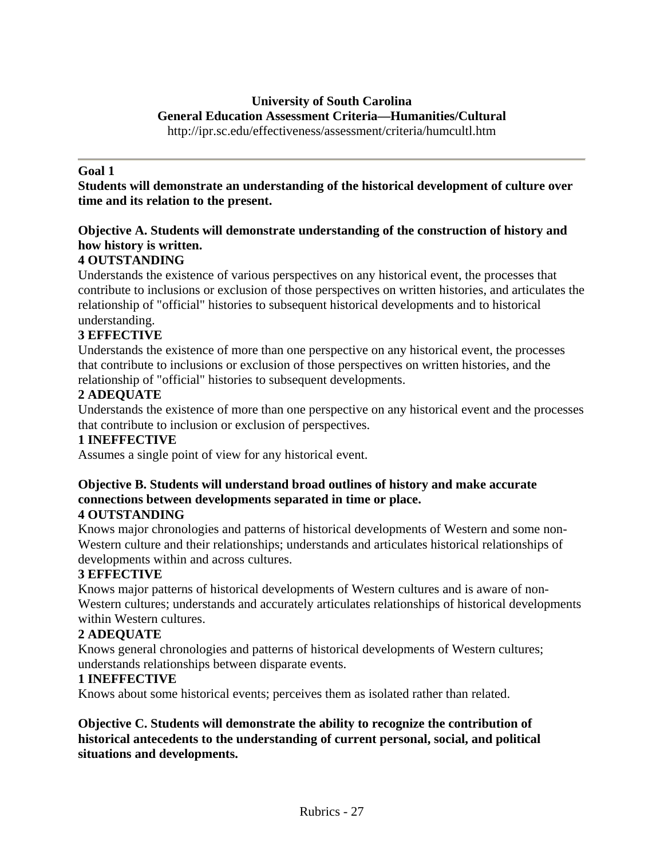#### **University of South Carolina General Education Assessment Criteria—Humanities/Cultural** http://ipr.sc.edu/effectiveness/assessment/criteria/humcultl.htm

#### **Goal 1**

**Students will demonstrate an understanding of the historical development of culture over time and its relation to the present.**

### **Objective A. Students will demonstrate understanding of the construction of history and how history is written.**

#### **4 OUTSTANDING**

Understands the existence of various perspectives on any historical event, the processes that contribute to inclusions or exclusion of those perspectives on written histories, and articulates the relationship of "official" histories to subsequent historical developments and to historical understanding.

#### **3 EFFECTIVE**

Understands the existence of more than one perspective on any historical event, the processes that contribute to inclusions or exclusion of those perspectives on written histories, and the relationship of "official" histories to subsequent developments.

#### **2 ADEQUATE**

Understands the existence of more than one perspective on any historical event and the processes that contribute to inclusion or exclusion of perspectives.

#### **1 INEFFECTIVE**

Assumes a single point of view for any historical event.

# **Objective B. Students will understand broad outlines of history and make accurate connections between developments separated in time or place.**

#### **4 OUTSTANDING**

Knows major chronologies and patterns of historical developments of Western and some non-Western culture and their relationships; understands and articulates historical relationships of developments within and across cultures.

#### **3 EFFECTIVE**

Knows major patterns of historical developments of Western cultures and is aware of non-Western cultures; understands and accurately articulates relationships of historical developments within Western cultures.

#### **2 ADEQUATE**

Knows general chronologies and patterns of historical developments of Western cultures; understands relationships between disparate events.

#### **1 INEFFECTIVE**

Knows about some historical events; perceives them as isolated rather than related.

#### **Objective C. Students will demonstrate the ability to recognize the contribution of historical antecedents to the understanding of current personal, social, and political situations and developments.**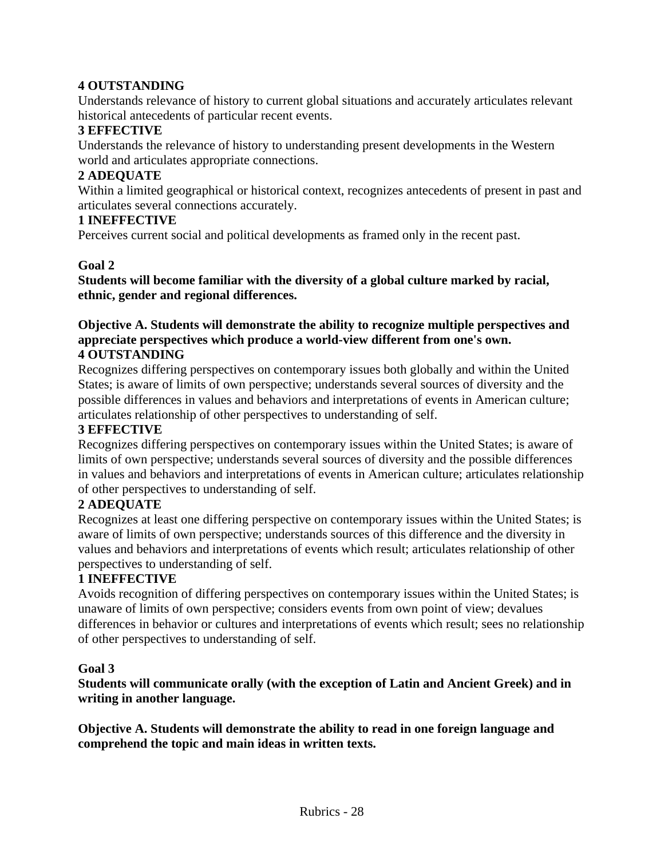# **4 OUTSTANDING**

Understands relevance of history to current global situations and accurately articulates relevant historical antecedents of particular recent events.

#### **3 EFFECTIVE**

Understands the relevance of history to understanding present developments in the Western world and articulates appropriate connections.

### **2 ADEQUATE**

Within a limited geographical or historical context, recognizes antecedents of present in past and articulates several connections accurately.

#### **1 INEFFECTIVE**

Perceives current social and political developments as framed only in the recent past.

#### **Goal 2**

**Students will become familiar with the diversity of a global culture marked by racial, ethnic, gender and regional differences.**

#### **Objective A. Students will demonstrate the ability to recognize multiple perspectives and appreciate perspectives which produce a world-view different from one's own. 4 OUTSTANDING**

Recognizes differing perspectives on contemporary issues both globally and within the United States; is aware of limits of own perspective; understands several sources of diversity and the possible differences in values and behaviors and interpretations of events in American culture; articulates relationship of other perspectives to understanding of self.

### **3 EFFECTIVE**

Recognizes differing perspectives on contemporary issues within the United States; is aware of limits of own perspective; understands several sources of diversity and the possible differences in values and behaviors and interpretations of events in American culture; articulates relationship of other perspectives to understanding of self.

#### **2 ADEQUATE**

Recognizes at least one differing perspective on contemporary issues within the United States; is aware of limits of own perspective; understands sources of this difference and the diversity in values and behaviors and interpretations of events which result; articulates relationship of other perspectives to understanding of self.

#### **1 INEFFECTIVE**

Avoids recognition of differing perspectives on contemporary issues within the United States; is unaware of limits of own perspective; considers events from own point of view; devalues differences in behavior or cultures and interpretations of events which result; sees no relationship of other perspectives to understanding of self.

#### **Goal 3**

**Students will communicate orally (with the exception of Latin and Ancient Greek) and in writing in another language.**

**Objective A. Students will demonstrate the ability to read in one foreign language and comprehend the topic and main ideas in written texts.**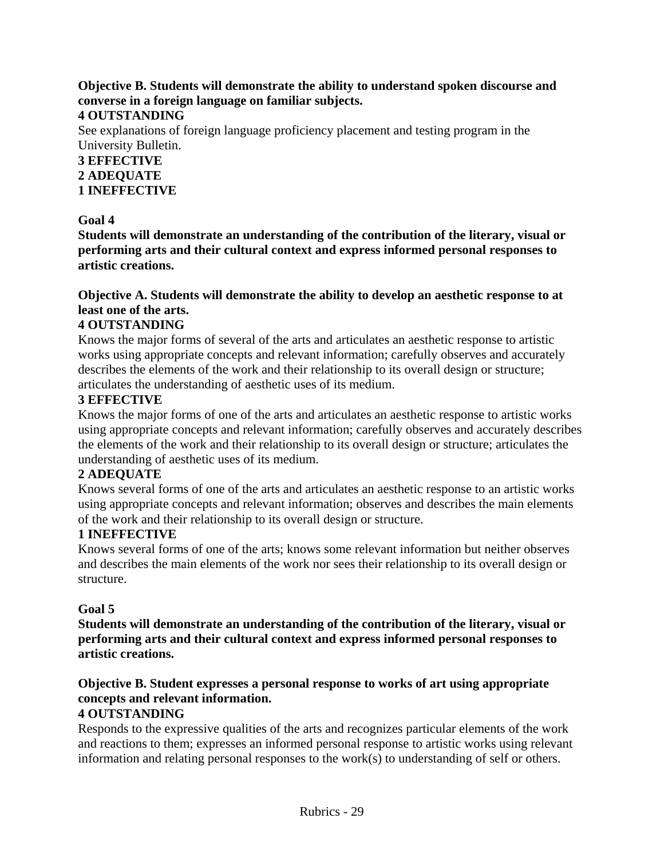#### **Objective B. Students will demonstrate the ability to understand spoken discourse and converse in a foreign language on familiar subjects.**

#### **4 OUTSTANDING**

See explanations of foreign language proficiency placement and testing program in the University Bulletin.

#### **3 EFFECTIVE 2 ADEQUATE 1 INEFFECTIVE**

#### **Goal 4**

**Students will demonstrate an understanding of the contribution of the literary, visual or performing arts and their cultural context and express informed personal responses to artistic creations.**

# **Objective A. Students will demonstrate the ability to develop an aesthetic response to at least one of the arts.**

# **4 OUTSTANDING**

Knows the major forms of several of the arts and articulates an aesthetic response to artistic works using appropriate concepts and relevant information; carefully observes and accurately describes the elements of the work and their relationship to its overall design or structure; articulates the understanding of aesthetic uses of its medium.

#### **3 EFFECTIVE**

Knows the major forms of one of the arts and articulates an aesthetic response to artistic works using appropriate concepts and relevant information; carefully observes and accurately describes the elements of the work and their relationship to its overall design or structure; articulates the understanding of aesthetic uses of its medium.

#### **2 ADEQUATE**

Knows several forms of one of the arts and articulates an aesthetic response to an artistic works using appropriate concepts and relevant information; observes and describes the main elements of the work and their relationship to its overall design or structure.

#### **1 INEFFECTIVE**

Knows several forms of one of the arts; knows some relevant information but neither observes and describes the main elements of the work nor sees their relationship to its overall design or structure.

#### **Goal 5**

**Students will demonstrate an understanding of the contribution of the literary, visual or performing arts and their cultural context and express informed personal responses to artistic creations.** 

#### **Objective B. Student expresses a personal response to works of art using appropriate concepts and relevant information.**

#### **4 OUTSTANDING**

Responds to the expressive qualities of the arts and recognizes particular elements of the work and reactions to them; expresses an informed personal response to artistic works using relevant information and relating personal responses to the work(s) to understanding of self or others.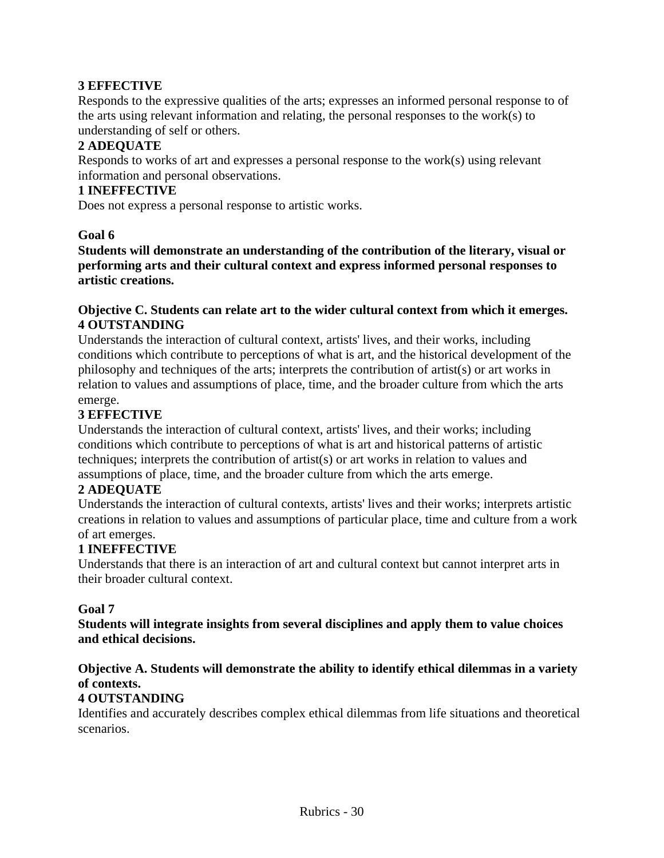# **3 EFFECTIVE**

Responds to the expressive qualities of the arts; expresses an informed personal response to of the arts using relevant information and relating, the personal responses to the work(s) to understanding of self or others.

# **2 ADEQUATE**

Responds to works of art and expresses a personal response to the work(s) using relevant information and personal observations.

#### **1 INEFFECTIVE**

Does not express a personal response to artistic works.

#### **Goal 6**

**Students will demonstrate an understanding of the contribution of the literary, visual or performing arts and their cultural context and express informed personal responses to artistic creations.** 

#### **Objective C. Students can relate art to the wider cultural context from which it emerges. 4 OUTSTANDING**

Understands the interaction of cultural context, artists' lives, and their works, including conditions which contribute to perceptions of what is art, and the historical development of the philosophy and techniques of the arts; interprets the contribution of artist(s) or art works in relation to values and assumptions of place, time, and the broader culture from which the arts emerge.

#### **3 EFFECTIVE**

Understands the interaction of cultural context, artists' lives, and their works; including conditions which contribute to perceptions of what is art and historical patterns of artistic techniques; interprets the contribution of artist(s) or art works in relation to values and assumptions of place, time, and the broader culture from which the arts emerge.

#### **2 ADEQUATE**

Understands the interaction of cultural contexts, artists' lives and their works; interprets artistic creations in relation to values and assumptions of particular place, time and culture from a work of art emerges.

#### **1 INEFFECTIVE**

Understands that there is an interaction of art and cultural context but cannot interpret arts in their broader cultural context.

#### **Goal 7**

**Students will integrate insights from several disciplines and apply them to value choices and ethical decisions.**

# **Objective A. Students will demonstrate the ability to identify ethical dilemmas in a variety of contexts.**

#### **4 OUTSTANDING**

Identifies and accurately describes complex ethical dilemmas from life situations and theoretical scenarios.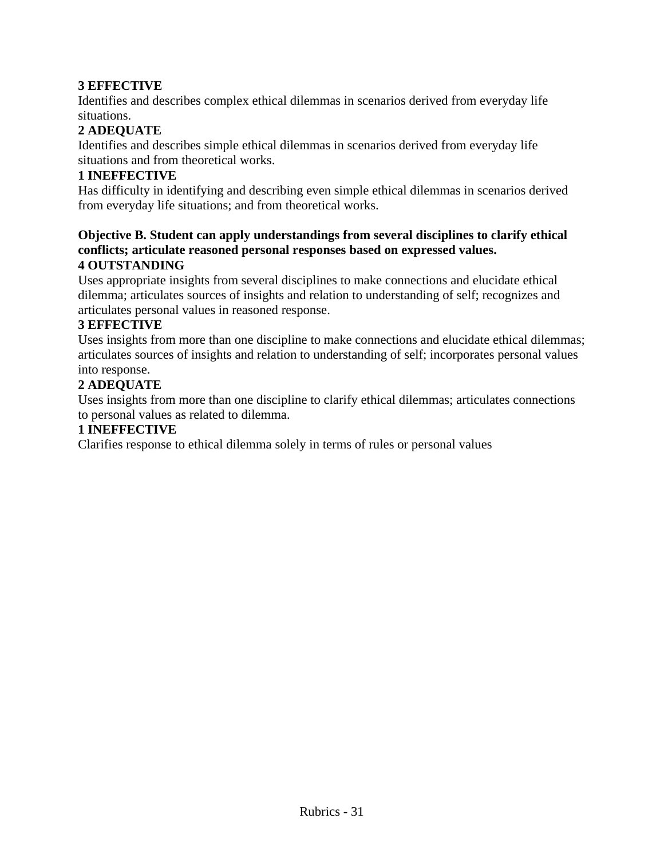# **3 EFFECTIVE**

Identifies and describes complex ethical dilemmas in scenarios derived from everyday life situations.

# **2 ADEQUATE**

Identifies and describes simple ethical dilemmas in scenarios derived from everyday life situations and from theoretical works.

#### **1 INEFFECTIVE**

Has difficulty in identifying and describing even simple ethical dilemmas in scenarios derived from everyday life situations; and from theoretical works.

#### **Objective B. Student can apply understandings from several disciplines to clarify ethical conflicts; articulate reasoned personal responses based on expressed values. 4 OUTSTANDING**

Uses appropriate insights from several disciplines to make connections and elucidate ethical dilemma; articulates sources of insights and relation to understanding of self; recognizes and articulates personal values in reasoned response.

#### **3 EFFECTIVE**

Uses insights from more than one discipline to make connections and elucidate ethical dilemmas; articulates sources of insights and relation to understanding of self; incorporates personal values into response.

#### **2 ADEQUATE**

Uses insights from more than one discipline to clarify ethical dilemmas; articulates connections to personal values as related to dilemma.

#### **1 INEFFECTIVE**

Clarifies response to ethical dilemma solely in terms of rules or personal values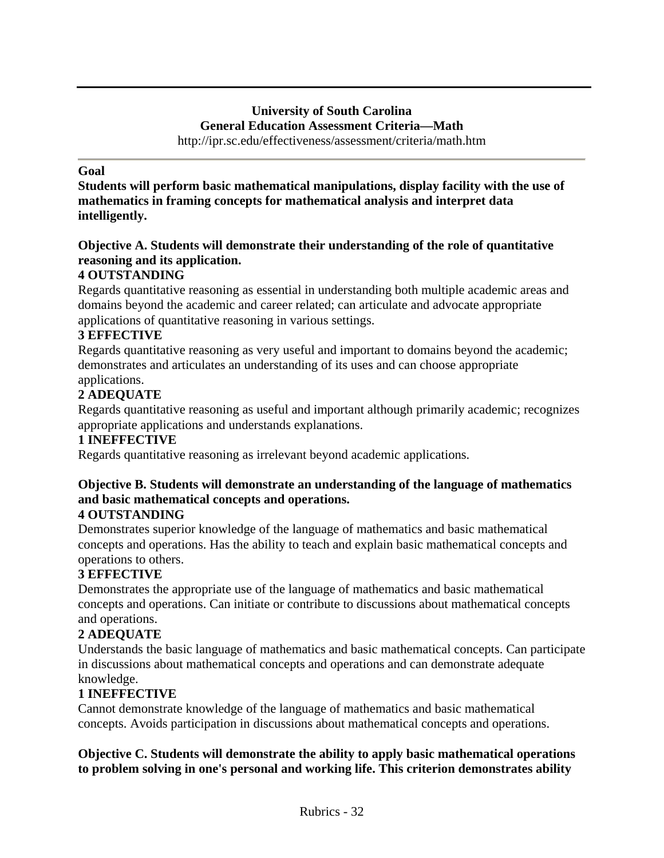# **University of South Carolina General Education Assessment Criteria—Math**

http://ipr.sc.edu/effectiveness/assessment/criteria/math.htm

#### **Goal**

**Students will perform basic mathematical manipulations, display facility with the use of mathematics in framing concepts for mathematical analysis and interpret data intelligently.**

# **Objective A. Students will demonstrate their understanding of the role of quantitative reasoning and its application.**

# **4 OUTSTANDING**

Regards quantitative reasoning as essential in understanding both multiple academic areas and domains beyond the academic and career related; can articulate and advocate appropriate applications of quantitative reasoning in various settings.

#### **3 EFFECTIVE**

Regards quantitative reasoning as very useful and important to domains beyond the academic; demonstrates and articulates an understanding of its uses and can choose appropriate applications.

# **2 ADEQUATE**

Regards quantitative reasoning as useful and important although primarily academic; recognizes appropriate applications and understands explanations.

#### **1 INEFFECTIVE**

Regards quantitative reasoning as irrelevant beyond academic applications.

# **Objective B. Students will demonstrate an understanding of the language of mathematics and basic mathematical concepts and operations.**

#### **4 OUTSTANDING**

Demonstrates superior knowledge of the language of mathematics and basic mathematical concepts and operations. Has the ability to teach and explain basic mathematical concepts and operations to others.

#### **3 EFFECTIVE**

Demonstrates the appropriate use of the language of mathematics and basic mathematical concepts and operations. Can initiate or contribute to discussions about mathematical concepts and operations.

#### **2 ADEQUATE**

Understands the basic language of mathematics and basic mathematical concepts. Can participate in discussions about mathematical concepts and operations and can demonstrate adequate knowledge.

#### **1 INEFFECTIVE**

Cannot demonstrate knowledge of the language of mathematics and basic mathematical concepts. Avoids participation in discussions about mathematical concepts and operations.

#### **Objective C. Students will demonstrate the ability to apply basic mathematical operations to problem solving in one's personal and working life. This criterion demonstrates ability**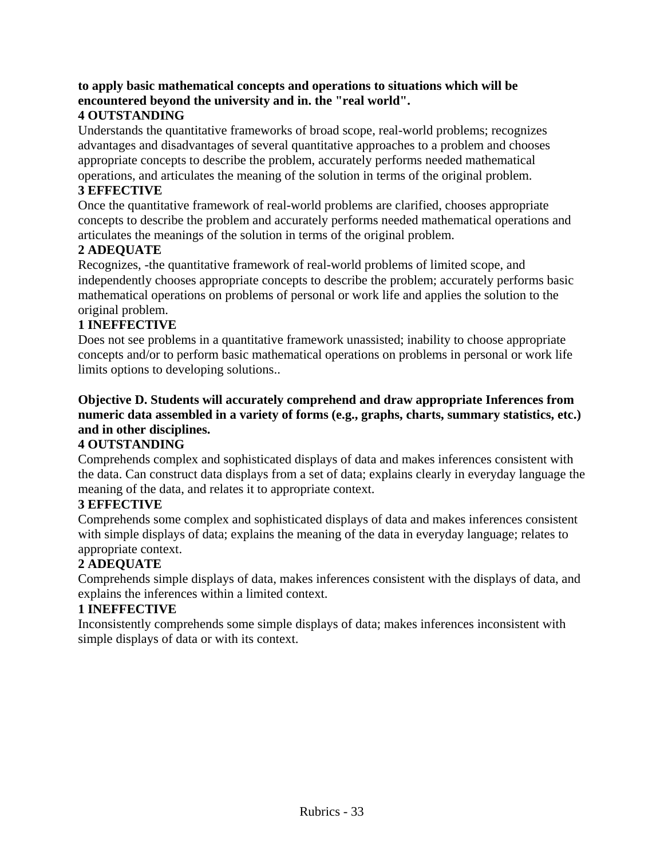# **to apply basic mathematical concepts and operations to situations which will be encountered beyond the university and in. the "real world".**

# **4 OUTSTANDING**

Understands the quantitative frameworks of broad scope, real-world problems; recognizes advantages and disadvantages of several quantitative approaches to a problem and chooses appropriate concepts to describe the problem, accurately performs needed mathematical operations, and articulates the meaning of the solution in terms of the original problem.

# **3 EFFECTIVE**

Once the quantitative framework of real-world problems are clarified, chooses appropriate concepts to describe the problem and accurately performs needed mathematical operations and articulates the meanings of the solution in terms of the original problem.

# **2 ADEQUATE**

Recognizes, -the quantitative framework of real-world problems of limited scope, and independently chooses appropriate concepts to describe the problem; accurately performs basic mathematical operations on problems of personal or work life and applies the solution to the original problem.

# **1 INEFFECTIVE**

Does not see problems in a quantitative framework unassisted; inability to choose appropriate concepts and/or to perform basic mathematical operations on problems in personal or work life limits options to developing solutions..

# **Objective D. Students will accurately comprehend and draw appropriate Inferences from numeric data assembled in a variety of forms (e.g., graphs, charts, summary statistics, etc.) and in other disciplines.**

# **4 OUTSTANDING**

Comprehends complex and sophisticated displays of data and makes inferences consistent with the data. Can construct data displays from a set of data; explains clearly in everyday language the meaning of the data, and relates it to appropriate context.

# **3 EFFECTIVE**

Comprehends some complex and sophisticated displays of data and makes inferences consistent with simple displays of data; explains the meaning of the data in everyday language; relates to appropriate context.

# **2 ADEQUATE**

Comprehends simple displays of data, makes inferences consistent with the displays of data, and explains the inferences within a limited context.

# **1 INEFFECTIVE**

Inconsistently comprehends some simple displays of data; makes inferences inconsistent with simple displays of data or with its context.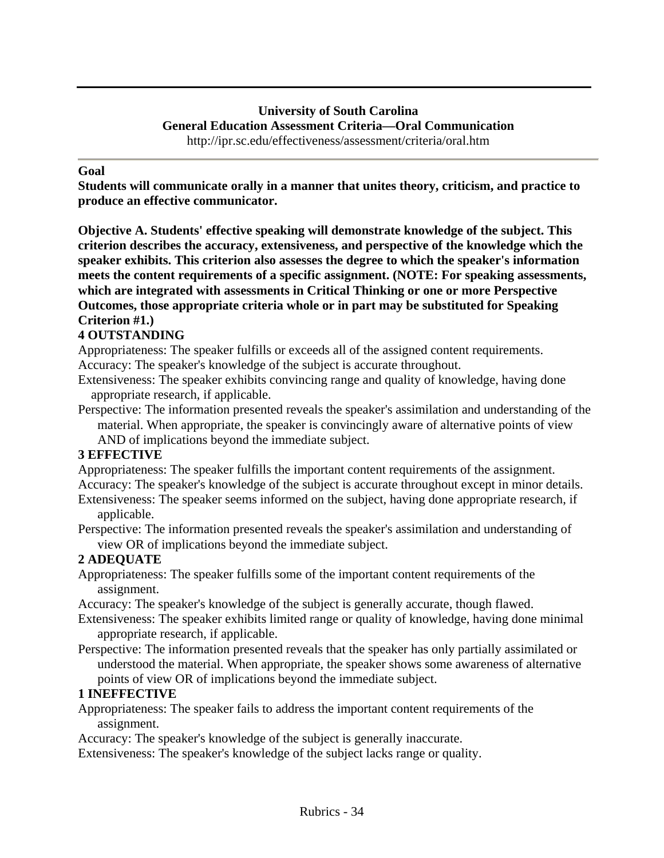#### **University of South Carolina General Education Assessment Criteria—Oral Communication** http://ipr.sc.edu/effectiveness/assessment/criteria/oral.htm

**Goal**

**Students will communicate orally in a manner that unites theory, criticism, and practice to produce an effective communicator.**

**Objective A. Students' effective speaking will demonstrate knowledge of the subject. This criterion describes the accuracy, extensiveness, and perspective of the knowledge which the speaker exhibits. This criterion also assesses the degree to which the speaker's information meets the content requirements of a specific assignment. (NOTE: For speaking assessments, which are integrated with assessments in Critical Thinking or one or more Perspective Outcomes, those appropriate criteria whole or in part may be substituted for Speaking Criterion #1.)** 

# **4 OUTSTANDING**

Appropriateness: The speaker fulfills or exceeds all of the assigned content requirements. Accuracy: The speaker's knowledge of the subject is accurate throughout.

Extensiveness: The speaker exhibits convincing range and quality of knowledge, having done appropriate research, if applicable.

Perspective: The information presented reveals the speaker's assimilation and understanding of the material. When appropriate, the speaker is convincingly aware of alternative points of view

AND of implications beyond the immediate subject.

#### **3 EFFECTIVE**

Appropriateness: The speaker fulfills the important content requirements of the assignment. Accuracy: The speaker's knowledge of the subject is accurate throughout except in minor details. Extensiveness: The speaker seems informed on the subject, having done appropriate research, if

#### applicable.

Perspective: The information presented reveals the speaker's assimilation and understanding of view OR of implications beyond the immediate subject.

#### **2 ADEQUATE**

Appropriateness: The speaker fulfills some of the important content requirements of the assignment.

Accuracy: The speaker's knowledge of the subject is generally accurate, though flawed.

Extensiveness: The speaker exhibits limited range or quality of knowledge, having done minimal appropriate research, if applicable.

Perspective: The information presented reveals that the speaker has only partially assimilated or understood the material. When appropriate, the speaker shows some awareness of alternative points of view OR of implications beyond the immediate subject.

#### **1 INEFFECTIVE**

Appropriateness: The speaker fails to address the important content requirements of the assignment.

Accuracy: The speaker's knowledge of the subject is generally inaccurate.

Extensiveness: The speaker's knowledge of the subject lacks range or quality.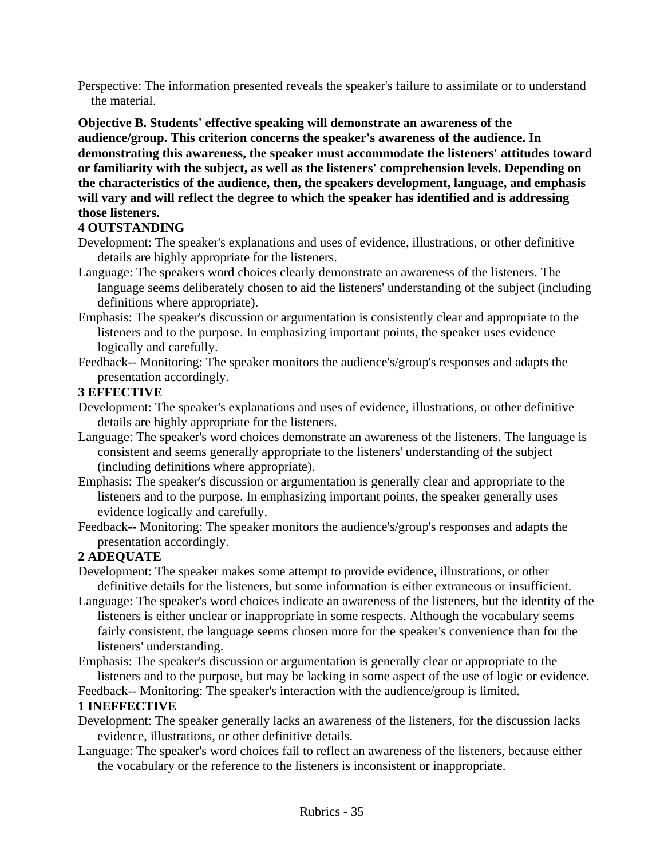Perspective: The information presented reveals the speaker's failure to assimilate or to understand the material.

**Objective B. Students' effective speaking will demonstrate an awareness of the audience/group. This criterion concerns the speaker's awareness of the audience. In demonstrating this awareness, the speaker must accommodate the listeners' attitudes toward or familiarity with the subject, as well as the listeners' comprehension levels. Depending on the characteristics of the audience, then, the speakers development, language, and emphasis will vary and will reflect the degree to which the speaker has identified and is addressing those listeners.**

#### **4 OUTSTANDING**

- Development: The speaker's explanations and uses of evidence, illustrations, or other definitive details are highly appropriate for the listeners.
- Language: The speakers word choices clearly demonstrate an awareness of the listeners. The language seems deliberately chosen to aid the listeners' understanding of the subject (including definitions where appropriate).
- Emphasis: The speaker's discussion or argumentation is consistently clear and appropriate to the listeners and to the purpose. In emphasizing important points, the speaker uses evidence logically and carefully.
- Feedback-- Monitoring: The speaker monitors the audience's/group's responses and adapts the presentation accordingly.

#### **3 EFFECTIVE**

- Development: The speaker's explanations and uses of evidence, illustrations, or other definitive details are highly appropriate for the listeners.
- Language: The speaker's word choices demonstrate an awareness of the listeners. The language is consistent and seems generally appropriate to the listeners' understanding of the subject (including definitions where appropriate).
- Emphasis: The speaker's discussion or argumentation is generally clear and appropriate to the listeners and to the purpose. In emphasizing important points, the speaker generally uses evidence logically and carefully.
- Feedback-- Monitoring: The speaker monitors the audience's/group's responses and adapts the presentation accordingly.

#### **2 ADEQUATE**

- Development: The speaker makes some attempt to provide evidence, illustrations, or other definitive details for the listeners, but some information is either extraneous or insufficient.
- Language: The speaker's word choices indicate an awareness of the listeners, but the identity of the listeners is either unclear or inappropriate in some respects. Although the vocabulary seems fairly consistent, the language seems chosen more for the speaker's convenience than for the listeners' understanding.
- Emphasis: The speaker's discussion or argumentation is generally clear or appropriate to the listeners and to the purpose, but may be lacking in some aspect of the use of logic or evidence.

Feedback-- Monitoring: The speaker's interaction with the audience/group is limited.

#### **1 INEFFECTIVE**

- Development: The speaker generally lacks an awareness of the listeners, for the discussion lacks evidence, illustrations, or other definitive details.
- Language: The speaker's word choices fail to reflect an awareness of the listeners, because either the vocabulary or the reference to the listeners is inconsistent or inappropriate.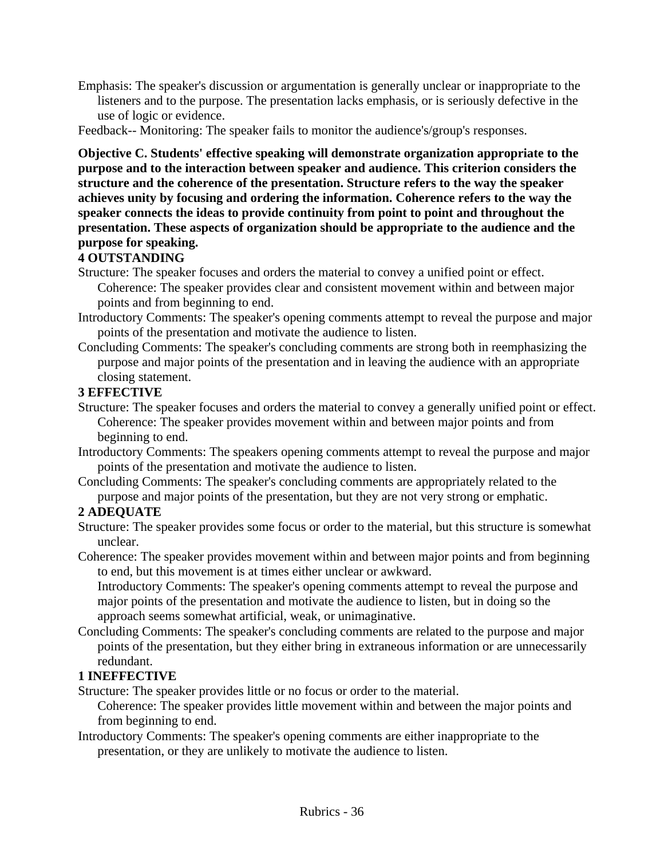- Emphasis: The speaker's discussion or argumentation is generally unclear or inappropriate to the listeners and to the purpose. The presentation lacks emphasis, or is seriously defective in the use of logic or evidence.
- Feedback-- Monitoring: The speaker fails to monitor the audience's/group's responses.

**Objective C. Students' effective speaking will demonstrate organization appropriate to the purpose and to the interaction between speaker and audience. This criterion considers the structure and the coherence of the presentation. Structure refers to the way the speaker achieves unity by focusing and ordering the information. Coherence refers to the way the speaker connects the ideas to provide continuity from point to point and throughout the presentation. These aspects of organization should be appropriate to the audience and the purpose for speaking.** 

## **4 OUTSTANDING**

Structure: The speaker focuses and orders the material to convey a unified point or effect. Coherence: The speaker provides clear and consistent movement within and between major points and from beginning to end.

- Introductory Comments: The speaker's opening comments attempt to reveal the purpose and major points of the presentation and motivate the audience to listen.
- Concluding Comments: The speaker's concluding comments are strong both in reemphasizing the purpose and major points of the presentation and in leaving the audience with an appropriate closing statement.

#### **3 EFFECTIVE**

- Structure: The speaker focuses and orders the material to convey a generally unified point or effect. Coherence: The speaker provides movement within and between major points and from beginning to end.
- Introductory Comments: The speakers opening comments attempt to reveal the purpose and major points of the presentation and motivate the audience to listen.
- Concluding Comments: The speaker's concluding comments are appropriately related to the purpose and major points of the presentation, but they are not very strong or emphatic.

### **2 ADEQUATE**

Structure: The speaker provides some focus or order to the material, but this structure is somewhat unclear.

Coherence: The speaker provides movement within and between major points and from beginning to end, but this movement is at times either unclear or awkward.

Introductory Comments: The speaker's opening comments attempt to reveal the purpose and major points of the presentation and motivate the audience to listen, but in doing so the approach seems somewhat artificial, weak, or unimaginative.

Concluding Comments: The speaker's concluding comments are related to the purpose and major points of the presentation, but they either bring in extraneous information or are unnecessarily redundant.

#### **1 INEFFECTIVE**

Structure: The speaker provides little or no focus or order to the material.

Coherence: The speaker provides little movement within and between the major points and from beginning to end.

Introductory Comments: The speaker's opening comments are either inappropriate to the presentation, or they are unlikely to motivate the audience to listen.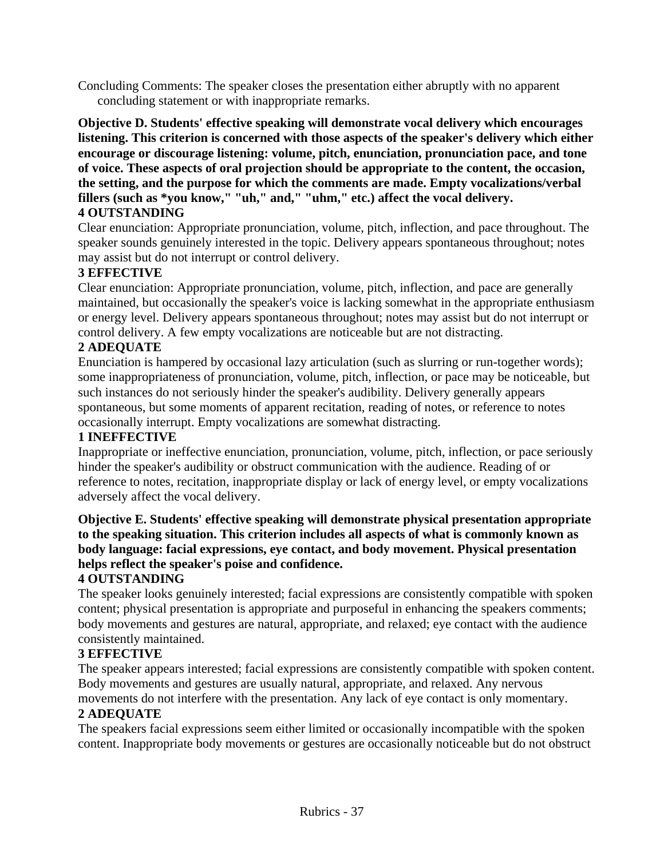Concluding Comments: The speaker closes the presentation either abruptly with no apparent concluding statement or with inappropriate remarks.

**Objective D. Students' effective speaking will demonstrate vocal delivery which encourages listening. This criterion is concerned with those aspects of the speaker's delivery which either encourage or discourage listening: volume, pitch, enunciation, pronunciation pace, and tone of voice. These aspects of oral projection should be appropriate to the content, the occasion, the setting, and the purpose for which the comments are made. Empty vocalizations/verbal fillers (such as \*you know," "uh," and," "uhm," etc.) affect the vocal delivery. 4 OUTSTANDING**

Clear enunciation: Appropriate pronunciation, volume, pitch, inflection, and pace throughout. The speaker sounds genuinely interested in the topic. Delivery appears spontaneous throughout; notes may assist but do not interrupt or control delivery.

#### **3 EFFECTIVE**

Clear enunciation: Appropriate pronunciation, volume, pitch, inflection, and pace are generally maintained, but occasionally the speaker's voice is lacking somewhat in the appropriate enthusiasm or energy level. Delivery appears spontaneous throughout; notes may assist but do not interrupt or control delivery. A few empty vocalizations are noticeable but are not distracting.

#### **2 ADEQUATE**

Enunciation is hampered by occasional lazy articulation (such as slurring or run-together words); some inappropriateness of pronunciation, volume, pitch, inflection, or pace may be noticeable, but such instances do not seriously hinder the speaker's audibility. Delivery generally appears spontaneous, but some moments of apparent recitation, reading of notes, or reference to notes occasionally interrupt. Empty vocalizations are somewhat distracting.

#### **1 INEFFECTIVE**

Inappropriate or ineffective enunciation, pronunciation, volume, pitch, inflection, or pace seriously hinder the speaker's audibility or obstruct communication with the audience. Reading of or reference to notes, recitation, inappropriate display or lack of energy level, or empty vocalizations adversely affect the vocal delivery.

### **Objective E. Students' effective speaking will demonstrate physical presentation appropriate to the speaking situation. This criterion includes all aspects of what is commonly known as body language: facial expressions, eye contact, and body movement. Physical presentation helps reflect the speaker's poise and confidence.**

#### **4 OUTSTANDING**

The speaker looks genuinely interested; facial expressions are consistently compatible with spoken content; physical presentation is appropriate and purposeful in enhancing the speakers comments; body movements and gestures are natural, appropriate, and relaxed; eye contact with the audience consistently maintained.

#### **3 EFFECTIVE**

The speaker appears interested; facial expressions are consistently compatible with spoken content. Body movements and gestures are usually natural, appropriate, and relaxed. Any nervous movements do not interfere with the presentation. Any lack of eye contact is only momentary.

# **2 ADEQUATE**

The speakers facial expressions seem either limited or occasionally incompatible with the spoken content. Inappropriate body movements or gestures are occasionally noticeable but do not obstruct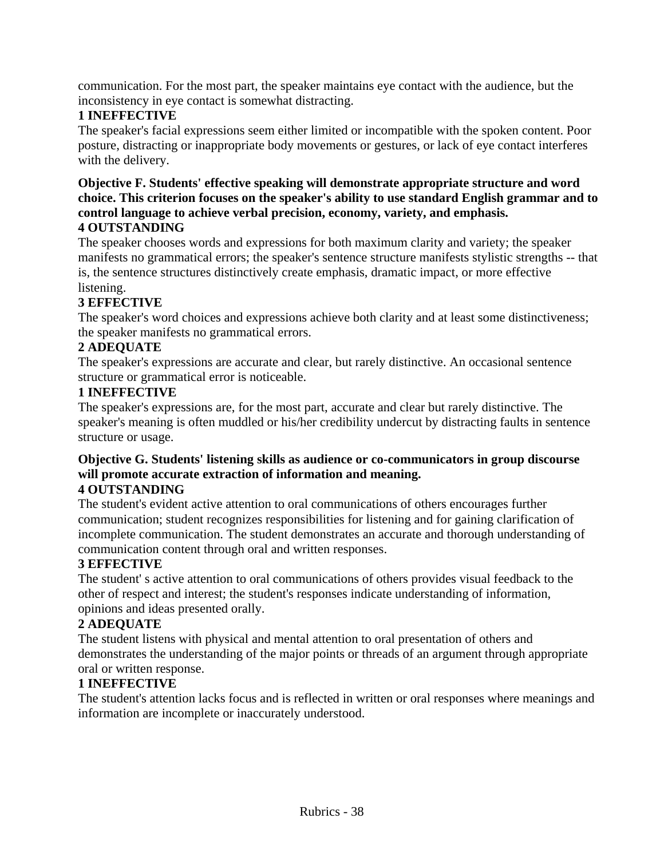communication. For the most part, the speaker maintains eye contact with the audience, but the inconsistency in eye contact is somewhat distracting.

# **1 INEFFECTIVE**

The speaker's facial expressions seem either limited or incompatible with the spoken content. Poor posture, distracting or inappropriate body movements or gestures, or lack of eye contact interferes with the delivery.

#### **Objective F. Students' effective speaking will demonstrate appropriate structure and word choice. This criterion focuses on the speaker's ability to use standard English grammar and to control language to achieve verbal precision, economy, variety, and emphasis. 4 OUTSTANDING**

The speaker chooses words and expressions for both maximum clarity and variety; the speaker manifests no grammatical errors; the speaker's sentence structure manifests stylistic strengths -- that is, the sentence structures distinctively create emphasis, dramatic impact, or more effective listening.

# **3 EFFECTIVE**

The speaker's word choices and expressions achieve both clarity and at least some distinctiveness; the speaker manifests no grammatical errors.

#### **2 ADEQUATE**

The speaker's expressions are accurate and clear, but rarely distinctive. An occasional sentence structure or grammatical error is noticeable.

#### **1 INEFFECTIVE**

The speaker's expressions are, for the most part, accurate and clear but rarely distinctive. The speaker's meaning is often muddled or his/her credibility undercut by distracting faults in sentence structure or usage.

#### **Objective G. Students' listening skills as audience or co-communicators in group discourse will promote accurate extraction of information and meaning. 4 OUTSTANDING**

The student's evident active attention to oral communications of others encourages further communication; student recognizes responsibilities for listening and for gaining clarification of incomplete communication. The student demonstrates an accurate and thorough understanding of communication content through oral and written responses.

#### **3 EFFECTIVE**

The student' s active attention to oral communications of others provides visual feedback to the other of respect and interest; the student's responses indicate understanding of information, opinions and ideas presented orally.

#### **2 ADEQUATE**

The student listens with physical and mental attention to oral presentation of others and demonstrates the understanding of the major points or threads of an argument through appropriate oral or written response.

#### **1 INEFFECTIVE**

The student's attention lacks focus and is reflected in written or oral responses where meanings and information are incomplete or inaccurately understood.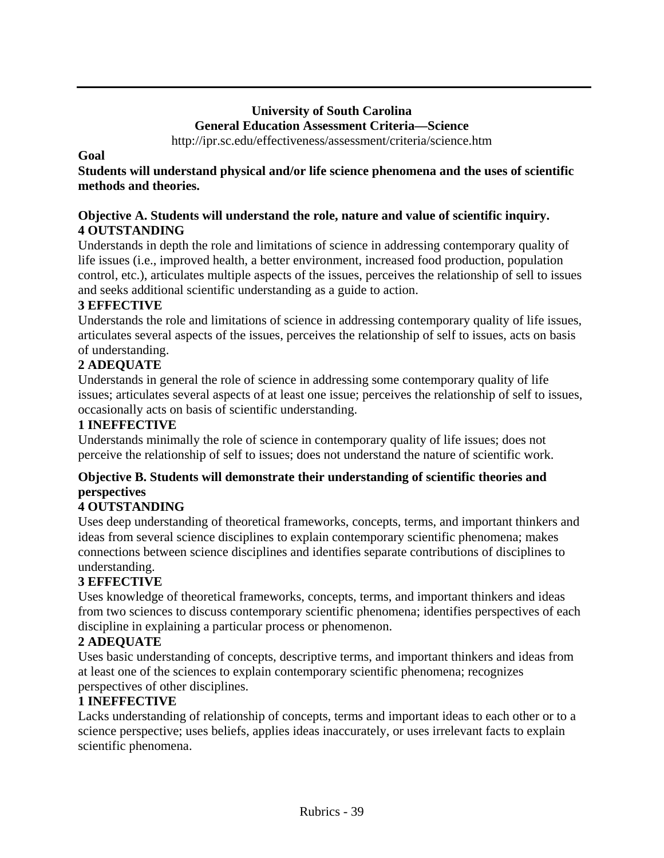# **University of South Carolina General Education Assessment Criteria—Science**

http://ipr.sc.edu/effectiveness/assessment/criteria/science.htm

#### **Goal**

**Students will understand physical and/or life science phenomena and the uses of scientific methods and theories.**

#### **Objective A. Students will understand the role, nature and value of scientific inquiry. 4 OUTSTANDING**

Understands in depth the role and limitations of science in addressing contemporary quality of life issues (i.e., improved health, a better environment, increased food production, population control, etc.), articulates multiple aspects of the issues, perceives the relationship of sell to issues and seeks additional scientific understanding as a guide to action.

# **3 EFFECTIVE**

Understands the role and limitations of science in addressing contemporary quality of life issues, articulates several aspects of the issues, perceives the relationship of self to issues, acts on basis of understanding.

# **2 ADEQUATE**

Understands in general the role of science in addressing some contemporary quality of life issues; articulates several aspects of at least one issue; perceives the relationship of self to issues, occasionally acts on basis of scientific understanding.

### **1 INEFFECTIVE**

Understands minimally the role of science in contemporary quality of life issues; does not perceive the relationship of self to issues; does not understand the nature of scientific work.

# **Objective B. Students will demonstrate their understanding of scientific theories and perspectives**

# **4 OUTSTANDING**

Uses deep understanding of theoretical frameworks, concepts, terms, and important thinkers and ideas from several science disciplines to explain contemporary scientific phenomena; makes connections between science disciplines and identifies separate contributions of disciplines to understanding.

# **3 EFFECTIVE**

Uses knowledge of theoretical frameworks, concepts, terms, and important thinkers and ideas from two sciences to discuss contemporary scientific phenomena; identifies perspectives of each discipline in explaining a particular process or phenomenon.

# **2 ADEQUATE**

Uses basic understanding of concepts, descriptive terms, and important thinkers and ideas from at least one of the sciences to explain contemporary scientific phenomena; recognizes perspectives of other disciplines.

#### **1 INEFFECTIVE**

Lacks understanding of relationship of concepts, terms and important ideas to each other or to a science perspective; uses beliefs, applies ideas inaccurately, or uses irrelevant facts to explain scientific phenomena.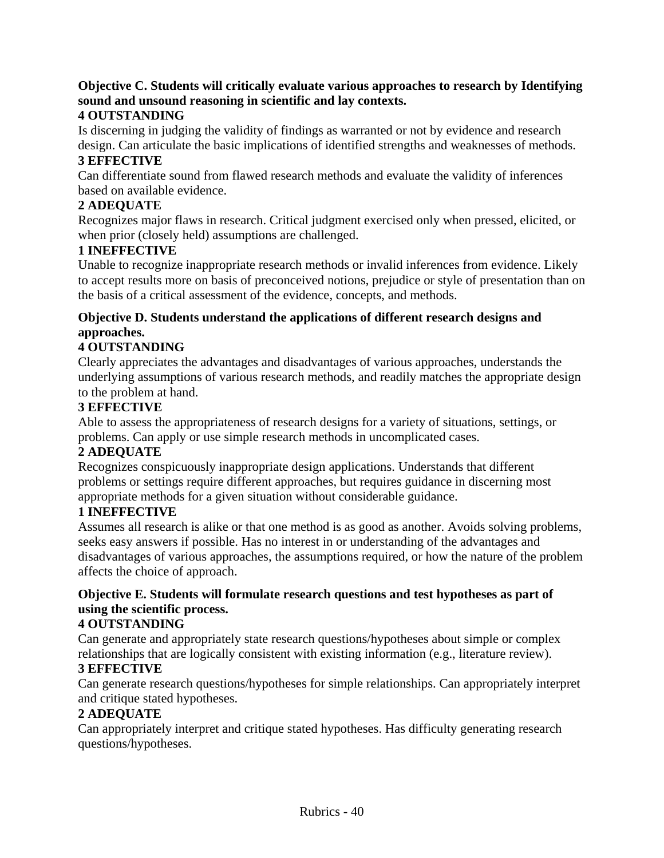# **Objective C. Students will critically evaluate various approaches to research by Identifying sound and unsound reasoning in scientific and lay contexts.**

# **4 OUTSTANDING**

Is discerning in judging the validity of findings as warranted or not by evidence and research design. Can articulate the basic implications of identified strengths and weaknesses of methods.

# **3 EFFECTIVE**

Can differentiate sound from flawed research methods and evaluate the validity of inferences based on available evidence.

# **2 ADEQUATE**

Recognizes major flaws in research. Critical judgment exercised only when pressed, elicited, or when prior (closely held) assumptions are challenged.

# **1 INEFFECTIVE**

Unable to recognize inappropriate research methods or invalid inferences from evidence. Likely to accept results more on basis of preconceived notions, prejudice or style of presentation than on the basis of a critical assessment of the evidence, concepts, and methods.

#### **Objective D. Students understand the applications of different research designs and approaches.**

# **4 OUTSTANDING**

Clearly appreciates the advantages and disadvantages of various approaches, understands the underlying assumptions of various research methods, and readily matches the appropriate design to the problem at hand.

#### **3 EFFECTIVE**

Able to assess the appropriateness of research designs for a variety of situations, settings, or problems. Can apply or use simple research methods in uncomplicated cases.

#### **2 ADEQUATE**

Recognizes conspicuously inappropriate design applications. Understands that different problems or settings require different approaches, but requires guidance in discerning most appropriate methods for a given situation without considerable guidance.

#### **1 INEFFECTIVE**

Assumes all research is alike or that one method is as good as another. Avoids solving problems, seeks easy answers if possible. Has no interest in or understanding of the advantages and disadvantages of various approaches, the assumptions required, or how the nature of the problem affects the choice of approach.

# **Objective E. Students will formulate research questions and test hypotheses as part of using the scientific process.**

#### **4 OUTSTANDING**

Can generate and appropriately state research questions/hypotheses about simple or complex relationships that are logically consistent with existing information (e.g., literature review).

#### **3 EFFECTIVE**

Can generate research questions/hypotheses for simple relationships. Can appropriately interpret and critique stated hypotheses.

#### **2 ADEQUATE**

Can appropriately interpret and critique stated hypotheses. Has difficulty generating research questions/hypotheses.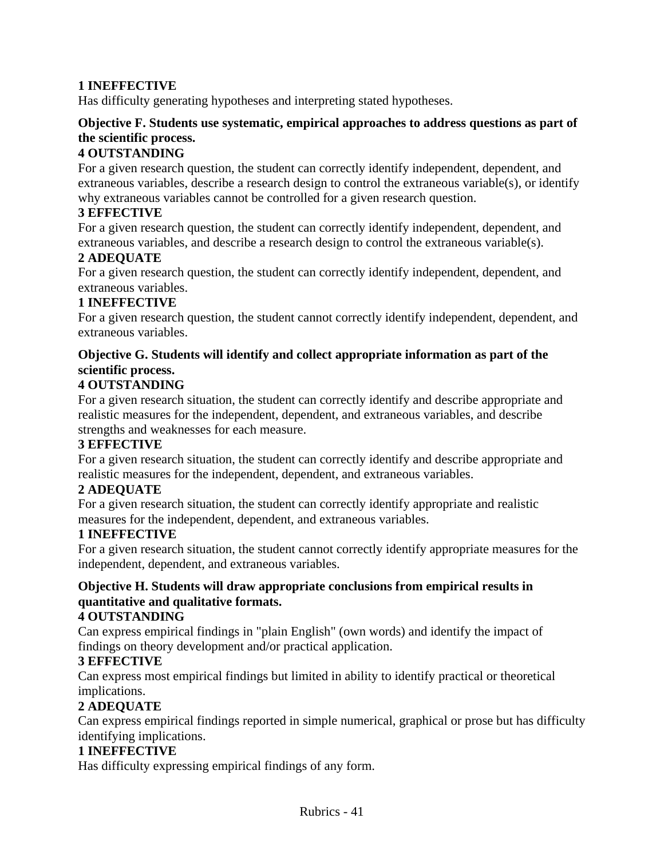# **1 INEFFECTIVE**

Has difficulty generating hypotheses and interpreting stated hypotheses.

# **Objective F. Students use systematic, empirical approaches to address questions as part of the scientific process.**

#### **4 OUTSTANDING**

For a given research question, the student can correctly identify independent, dependent, and extraneous variables, describe a research design to control the extraneous variable(s), or identify why extraneous variables cannot be controlled for a given research question.

#### **3 EFFECTIVE**

For a given research question, the student can correctly identify independent, dependent, and extraneous variables, and describe a research design to control the extraneous variable(s).

#### **2 ADEQUATE**

For a given research question, the student can correctly identify independent, dependent, and extraneous variables.

#### **1 INEFFECTIVE**

For a given research question, the student cannot correctly identify independent, dependent, and extraneous variables.

### **Objective G. Students will identify and collect appropriate information as part of the scientific process.**

#### **4 OUTSTANDING**

For a given research situation, the student can correctly identify and describe appropriate and realistic measures for the independent, dependent, and extraneous variables, and describe strengths and weaknesses for each measure.

#### **3 EFFECTIVE**

For a given research situation, the student can correctly identify and describe appropriate and realistic measures for the independent, dependent, and extraneous variables.

#### **2 ADEQUATE**

For a given research situation, the student can correctly identify appropriate and realistic measures for the independent, dependent, and extraneous variables.

#### **1 INEFFECTIVE**

For a given research situation, the student cannot correctly identify appropriate measures for the independent, dependent, and extraneous variables.

# **Objective H. Students will draw appropriate conclusions from empirical results in quantitative and qualitative formats.**

#### **4 OUTSTANDING**

Can express empirical findings in "plain English" (own words) and identify the impact of findings on theory development and/or practical application.

#### **3 EFFECTIVE**

Can express most empirical findings but limited in ability to identify practical or theoretical implications.

# **2 ADEQUATE**

Can express empirical findings reported in simple numerical, graphical or prose but has difficulty identifying implications.

#### **1 INEFFECTIVE**

Has difficulty expressing empirical findings of any form.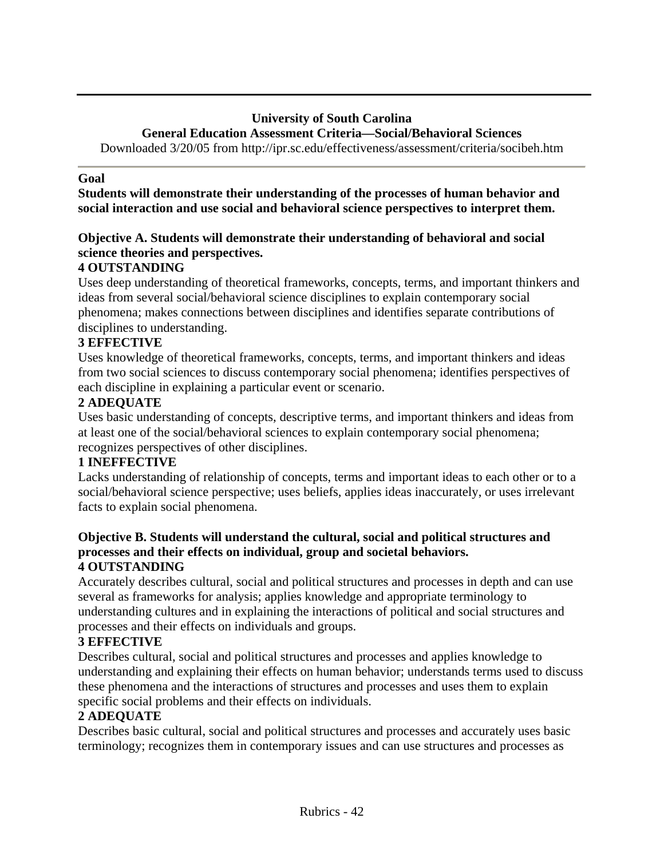#### **University of South Carolina General Education Assessment Criteria—Social/Behavioral Sciences**

Downloaded 3/20/05 from http://ipr.sc.edu/effectiveness/assessment/criteria/socibeh.htm

### **Goal**

**Students will demonstrate their understanding of the processes of human behavior and social interaction and use social and behavioral science perspectives to interpret them.**

# **Objective A. Students will demonstrate their understanding of behavioral and social science theories and perspectives.**

# **4 OUTSTANDING**

Uses deep understanding of theoretical frameworks, concepts, terms, and important thinkers and ideas from several social/behavioral science disciplines to explain contemporary social phenomena; makes connections between disciplines and identifies separate contributions of disciplines to understanding.

# **3 EFFECTIVE**

Uses knowledge of theoretical frameworks, concepts, terms, and important thinkers and ideas from two social sciences to discuss contemporary social phenomena; identifies perspectives of each discipline in explaining a particular event or scenario.

# **2 ADEQUATE**

Uses basic understanding of concepts, descriptive terms, and important thinkers and ideas from at least one of the social/behavioral sciences to explain contemporary social phenomena; recognizes perspectives of other disciplines.

#### **1 INEFFECTIVE**

Lacks understanding of relationship of concepts, terms and important ideas to each other or to a social/behavioral science perspective; uses beliefs, applies ideas inaccurately, or uses irrelevant facts to explain social phenomena.

#### **Objective B. Students will understand the cultural, social and political structures and processes and their effects on individual, group and societal behaviors. 4 OUTSTANDING**

Accurately describes cultural, social and political structures and processes in depth and can use several as frameworks for analysis; applies knowledge and appropriate terminology to understanding cultures and in explaining the interactions of political and social structures and processes and their effects on individuals and groups.

# **3 EFFECTIVE**

Describes cultural, social and political structures and processes and applies knowledge to understanding and explaining their effects on human behavior; understands terms used to discuss these phenomena and the interactions of structures and processes and uses them to explain specific social problems and their effects on individuals.

# **2 ADEQUATE**

Describes basic cultural, social and political structures and processes and accurately uses basic terminology; recognizes them in contemporary issues and can use structures and processes as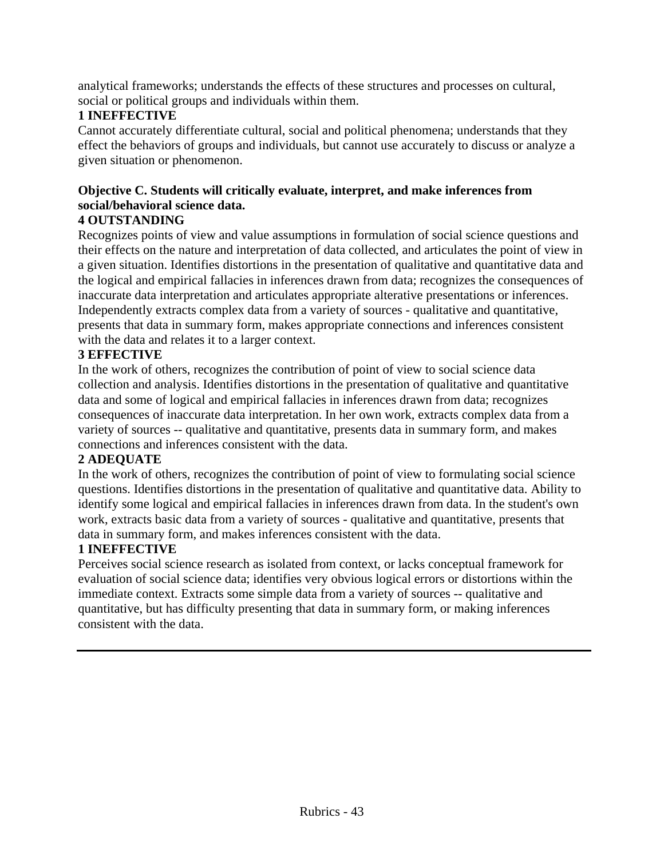analytical frameworks; understands the effects of these structures and processes on cultural, social or political groups and individuals within them.

# **1 INEFFECTIVE**

Cannot accurately differentiate cultural, social and political phenomena; understands that they effect the behaviors of groups and individuals, but cannot use accurately to discuss or analyze a given situation or phenomenon.

# **Objective C. Students will critically evaluate, interpret, and make inferences from social/behavioral science data.**

#### **4 OUTSTANDING**

Recognizes points of view and value assumptions in formulation of social science questions and their effects on the nature and interpretation of data collected, and articulates the point of view in a given situation. Identifies distortions in the presentation of qualitative and quantitative data and the logical and empirical fallacies in inferences drawn from data; recognizes the consequences of inaccurate data interpretation and articulates appropriate alterative presentations or inferences. Independently extracts complex data from a variety of sources - qualitative and quantitative, presents that data in summary form, makes appropriate connections and inferences consistent with the data and relates it to a larger context.

# **3 EFFECTIVE**

In the work of others, recognizes the contribution of point of view to social science data collection and analysis. Identifies distortions in the presentation of qualitative and quantitative data and some of logical and empirical fallacies in inferences drawn from data; recognizes consequences of inaccurate data interpretation. In her own work, extracts complex data from a variety of sources -- qualitative and quantitative, presents data in summary form, and makes connections and inferences consistent with the data.

#### **2 ADEQUATE**

In the work of others, recognizes the contribution of point of view to formulating social science questions. Identifies distortions in the presentation of qualitative and quantitative data. Ability to identify some logical and empirical fallacies in inferences drawn from data. In the student's own work, extracts basic data from a variety of sources - qualitative and quantitative, presents that data in summary form, and makes inferences consistent with the data.

#### **1 INEFFECTIVE**

Perceives social science research as isolated from context, or lacks conceptual framework for evaluation of social science data; identifies very obvious logical errors or distortions within the immediate context. Extracts some simple data from a variety of sources -- qualitative and quantitative, but has difficulty presenting that data in summary form, or making inferences consistent with the data.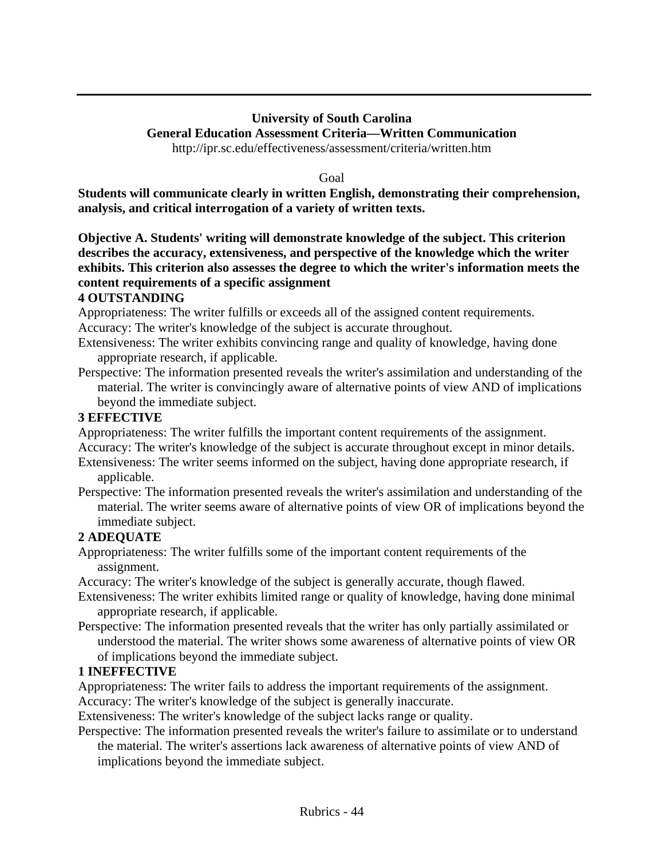#### **University of South Carolina General Education Assessment Criteria—Written Communication** http://ipr.sc.edu/effectiveness/assessment/criteria/written.htm

Goal

**Students will communicate clearly in written English, demonstrating their comprehension, analysis, and critical interrogation of a variety of written texts.**

**Objective A. Students' writing will demonstrate knowledge of the subject. This criterion describes the accuracy, extensiveness, and perspective of the knowledge which the writer exhibits. This criterion also assesses the degree to which the writer's information meets the content requirements of a specific assignment** 

#### **4 OUTSTANDING**

Appropriateness: The writer fulfills or exceeds all of the assigned content requirements. Accuracy: The writer's knowledge of the subject is accurate throughout.

- Extensiveness: The writer exhibits convincing range and quality of knowledge, having done appropriate research, if applicable.
- Perspective: The information presented reveals the writer's assimilation and understanding of the material. The writer is convincingly aware of alternative points of view AND of implications beyond the immediate subject.

#### **3 EFFECTIVE**

Appropriateness: The writer fulfills the important content requirements of the assignment.

Accuracy: The writer's knowledge of the subject is accurate throughout except in minor details.

- Extensiveness: The writer seems informed on the subject, having done appropriate research, if applicable.
- Perspective: The information presented reveals the writer's assimilation and understanding of the material. The writer seems aware of alternative points of view OR of implications beyond the immediate subject.

# **2 ADEQUATE**

Appropriateness: The writer fulfills some of the important content requirements of the assignment.

Accuracy: The writer's knowledge of the subject is generally accurate, though flawed.

- Extensiveness: The writer exhibits limited range or quality of knowledge, having done minimal appropriate research, if applicable.
- Perspective: The information presented reveals that the writer has only partially assimilated or understood the material. The writer shows some awareness of alternative points of view OR of implications beyond the immediate subject.

# **1 INEFFECTIVE**

Appropriateness: The writer fails to address the important requirements of the assignment. Accuracy: The writer's knowledge of the subject is generally inaccurate.

Extensiveness: The writer's knowledge of the subject lacks range or quality.

Perspective: The information presented reveals the writer's failure to assimilate or to understand the material. The writer's assertions lack awareness of alternative points of view AND of

implications beyond the immediate subject.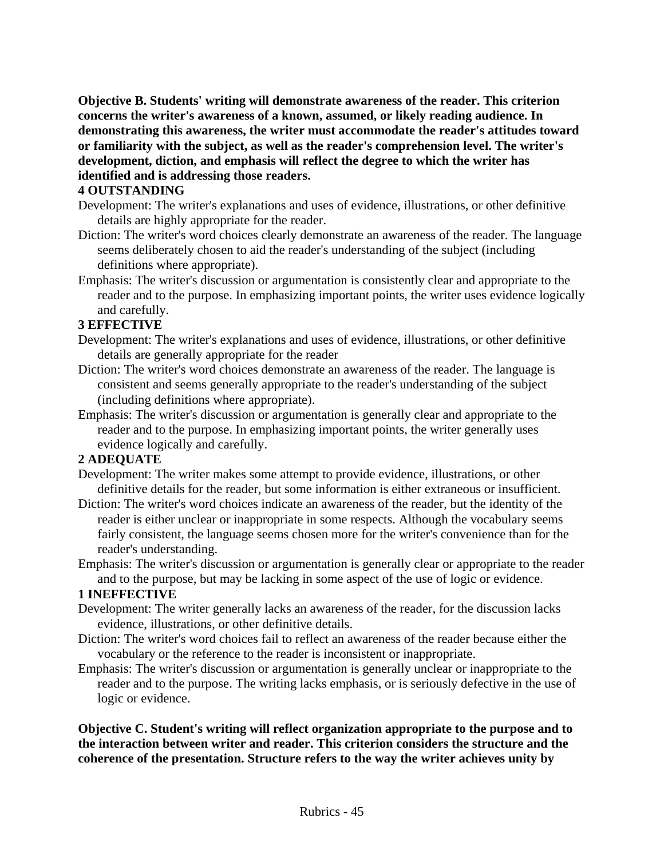**Objective B. Students' writing will demonstrate awareness of the reader. This criterion concerns the writer's awareness of a known, assumed, or likely reading audience. In demonstrating this awareness, the writer must accommodate the reader's attitudes toward or familiarity with the subject, as well as the reader's comprehension level. The writer's development, diction, and emphasis will reflect the degree to which the writer has identified and is addressing those readers.** 

#### **4 OUTSTANDING**

- Development: The writer's explanations and uses of evidence, illustrations, or other definitive details are highly appropriate for the reader.
- Diction: The writer's word choices clearly demonstrate an awareness of the reader. The language seems deliberately chosen to aid the reader's understanding of the subject (including definitions where appropriate).
- Emphasis: The writer's discussion or argumentation is consistently clear and appropriate to the reader and to the purpose. In emphasizing important points, the writer uses evidence logically and carefully.

#### **3 EFFECTIVE**

- Development: The writer's explanations and uses of evidence, illustrations, or other definitive details are generally appropriate for the reader
- Diction: The writer's word choices demonstrate an awareness of the reader. The language is consistent and seems generally appropriate to the reader's understanding of the subject (including definitions where appropriate).
- Emphasis: The writer's discussion or argumentation is generally clear and appropriate to the reader and to the purpose. In emphasizing important points, the writer generally uses evidence logically and carefully.

#### **2 ADEQUATE**

- Development: The writer makes some attempt to provide evidence, illustrations, or other definitive details for the reader, but some information is either extraneous or insufficient.
- Diction: The writer's word choices indicate an awareness of the reader, but the identity of the reader is either unclear or inappropriate in some respects. Although the vocabulary seems fairly consistent, the language seems chosen more for the writer's convenience than for the reader's understanding.
- Emphasis: The writer's discussion or argumentation is generally clear or appropriate to the reader and to the purpose, but may be lacking in some aspect of the use of logic or evidence.

#### **1 INEFFECTIVE**

- Development: The writer generally lacks an awareness of the reader, for the discussion lacks evidence, illustrations, or other definitive details.
- Diction: The writer's word choices fail to reflect an awareness of the reader because either the vocabulary or the reference to the reader is inconsistent or inappropriate.
- Emphasis: The writer's discussion or argumentation is generally unclear or inappropriate to the reader and to the purpose. The writing lacks emphasis, or is seriously defective in the use of logic or evidence.

#### **Objective C. Student's writing will reflect organization appropriate to the purpose and to the interaction between writer and reader. This criterion considers the structure and the coherence of the presentation. Structure refers to the way the writer achieves unity by**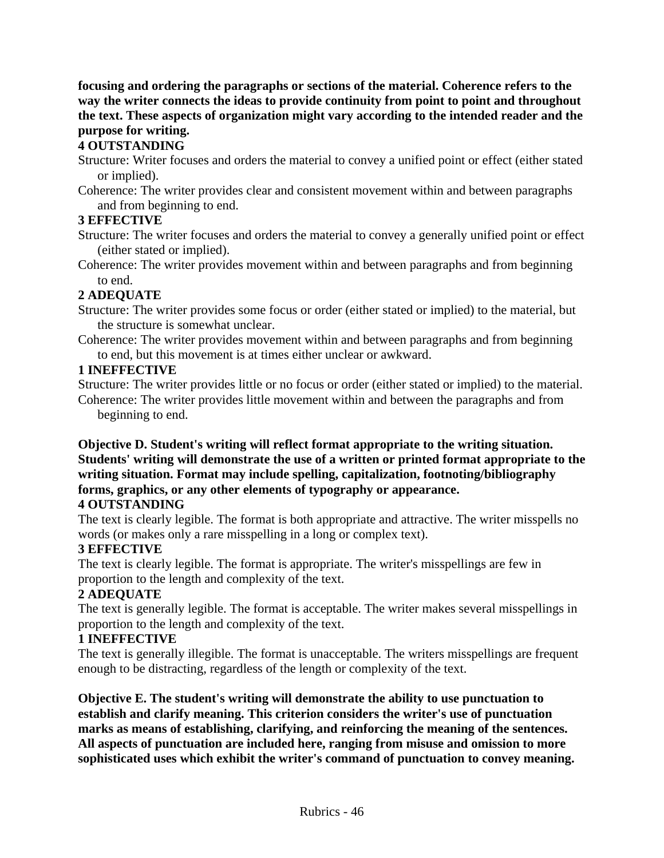**focusing and ordering the paragraphs or sections of the material. Coherence refers to the way the writer connects the ideas to provide continuity from point to point and throughout the text. These aspects of organization might vary according to the intended reader and the purpose for writing.**

# **4 OUTSTANDING**

- Structure: Writer focuses and orders the material to convey a unified point or effect (either stated or implied).
- Coherence: The writer provides clear and consistent movement within and between paragraphs and from beginning to end.

# **3 EFFECTIVE**

- Structure: The writer focuses and orders the material to convey a generally unified point or effect (either stated or implied).
- Coherence: The writer provides movement within and between paragraphs and from beginning to end.

# **2 ADEQUATE**

- Structure: The writer provides some focus or order (either stated or implied) to the material, but the structure is somewhat unclear.
- Coherence: The writer provides movement within and between paragraphs and from beginning to end, but this movement is at times either unclear or awkward.

# **1 INEFFECTIVE**

Structure: The writer provides little or no focus or order (either stated or implied) to the material. Coherence: The writer provides little movement within and between the paragraphs and from beginning to end.

#### **Objective D. Student's writing will reflect format appropriate to the writing situation. Students' writing will demonstrate the use of a written or printed format appropriate to the writing situation. Format may include spelling, capitalization, footnoting/bibliography forms, graphics, or any other elements of typography or appearance. 4 OUTSTANDING**

The text is clearly legible. The format is both appropriate and attractive. The writer misspells no words (or makes only a rare misspelling in a long or complex text).

# **3 EFFECTIVE**

The text is clearly legible. The format is appropriate. The writer's misspellings are few in proportion to the length and complexity of the text.

# **2 ADEQUATE**

The text is generally legible. The format is acceptable. The writer makes several misspellings in proportion to the length and complexity of the text.

# **1 INEFFECTIVE**

The text is generally illegible. The format is unacceptable. The writers misspellings are frequent enough to be distracting, regardless of the length or complexity of the text.

**Objective E. The student's writing will demonstrate the ability to use punctuation to establish and clarify meaning. This criterion considers the writer's use of punctuation marks as means of establishing, clarifying, and reinforcing the meaning of the sentences. All aspects of punctuation are included here, ranging from misuse and omission to more sophisticated uses which exhibit the writer's command of punctuation to convey meaning.**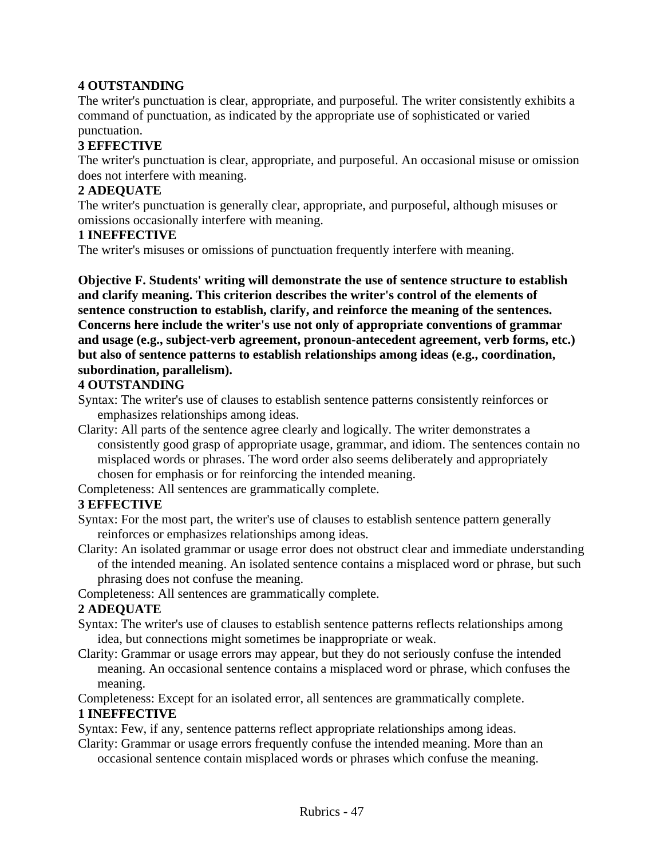#### **4 OUTSTANDING**

The writer's punctuation is clear, appropriate, and purposeful. The writer consistently exhibits a command of punctuation, as indicated by the appropriate use of sophisticated or varied punctuation.

### **3 EFFECTIVE**

The writer's punctuation is clear, appropriate, and purposeful. An occasional misuse or omission does not interfere with meaning.

#### **2 ADEQUATE**

The writer's punctuation is generally clear, appropriate, and purposeful, although misuses or omissions occasionally interfere with meaning.

#### **1 INEFFECTIVE**

The writer's misuses or omissions of punctuation frequently interfere with meaning.

**Objective F. Students' writing will demonstrate the use of sentence structure to establish and clarify meaning. This criterion describes the writer's control of the elements of sentence construction to establish, clarify, and reinforce the meaning of the sentences. Concerns here include the writer's use not only of appropriate conventions of grammar and usage (e.g., subject-verb agreement, pronoun-antecedent agreement, verb forms, etc.) but also of sentence patterns to establish relationships among ideas (e.g., coordination, subordination, parallelism).**

#### **4 OUTSTANDING**

Syntax: The writer's use of clauses to establish sentence patterns consistently reinforces or emphasizes relationships among ideas.

Clarity: All parts of the sentence agree clearly and logically. The writer demonstrates a consistently good grasp of appropriate usage, grammar, and idiom. The sentences contain no misplaced words or phrases. The word order also seems deliberately and appropriately chosen for emphasis or for reinforcing the intended meaning.

Completeness: All sentences are grammatically complete.

#### **3 EFFECTIVE**

Syntax: For the most part, the writer's use of clauses to establish sentence pattern generally reinforces or emphasizes relationships among ideas.

Clarity: An isolated grammar or usage error does not obstruct clear and immediate understanding of the intended meaning. An isolated sentence contains a misplaced word or phrase, but such phrasing does not confuse the meaning.

Completeness: All sentences are grammatically complete.

#### **2 ADEQUATE**

- Syntax: The writer's use of clauses to establish sentence patterns reflects relationships among idea, but connections might sometimes be inappropriate or weak.
- Clarity: Grammar or usage errors may appear, but they do not seriously confuse the intended meaning. An occasional sentence contains a misplaced word or phrase, which confuses the meaning.

Completeness: Except for an isolated error, all sentences are grammatically complete.

#### **1 INEFFECTIVE**

Syntax: Few, if any, sentence patterns reflect appropriate relationships among ideas.

Clarity: Grammar or usage errors frequently confuse the intended meaning. More than an

occasional sentence contain misplaced words or phrases which confuse the meaning.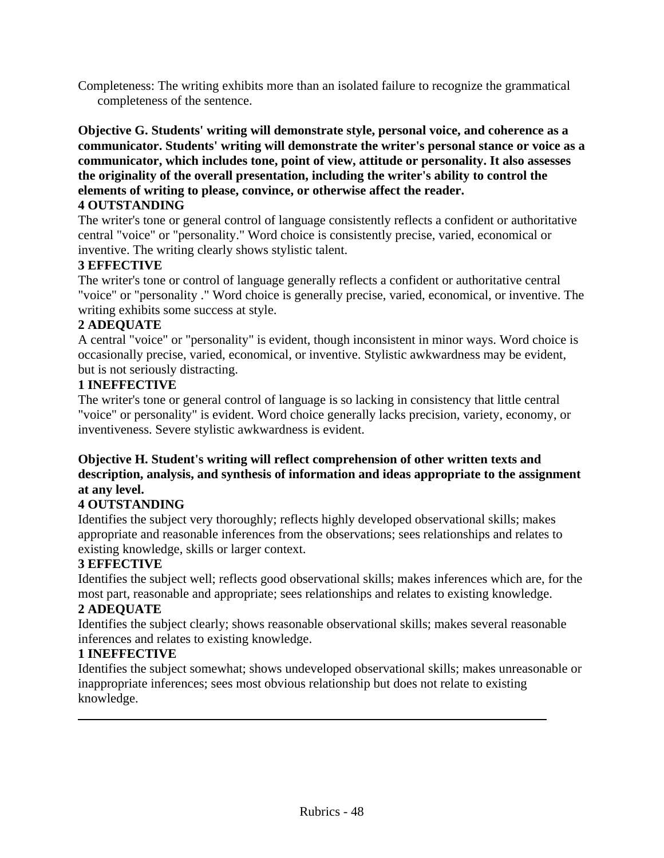Completeness: The writing exhibits more than an isolated failure to recognize the grammatical completeness of the sentence.

**Objective G. Students' writing will demonstrate style, personal voice, and coherence as a communicator. Students' writing will demonstrate the writer's personal stance or voice as a communicator, which includes tone, point of view, attitude or personality. It also assesses the originality of the overall presentation, including the writer's ability to control the elements of writing to please, convince, or otherwise affect the reader.**

#### **4 OUTSTANDING**

The writer's tone or general control of language consistently reflects a confident or authoritative central "voice" or "personality." Word choice is consistently precise, varied, economical or inventive. The writing clearly shows stylistic talent.

#### **3 EFFECTIVE**

The writer's tone or control of language generally reflects a confident or authoritative central "voice" or "personality ." Word choice is generally precise, varied, economical, or inventive. The writing exhibits some success at style.

#### **2 ADEQUATE**

A central "voice" or "personality" is evident, though inconsistent in minor ways. Word choice is occasionally precise, varied, economical, or inventive. Stylistic awkwardness may be evident, but is not seriously distracting.

#### **1 INEFFECTIVE**

The writer's tone or general control of language is so lacking in consistency that little central "voice" or personality" is evident. Word choice generally lacks precision, variety, economy, or inventiveness. Severe stylistic awkwardness is evident.

#### **Objective H. Student's writing will reflect comprehension of other written texts and description, analysis, and synthesis of information and ideas appropriate to the assignment at any level.**

#### **4 OUTSTANDING**

Identifies the subject very thoroughly; reflects highly developed observational skills; makes appropriate and reasonable inferences from the observations; sees relationships and relates to existing knowledge, skills or larger context.

#### **3 EFFECTIVE**

Identifies the subject well; reflects good observational skills; makes inferences which are, for the most part, reasonable and appropriate; sees relationships and relates to existing knowledge.

#### **2 ADEQUATE**

Identifies the subject clearly; shows reasonable observational skills; makes several reasonable inferences and relates to existing knowledge.

#### **1 INEFFECTIVE**

Identifies the subject somewhat; shows undeveloped observational skills; makes unreasonable or inappropriate inferences; sees most obvious relationship but does not relate to existing knowledge.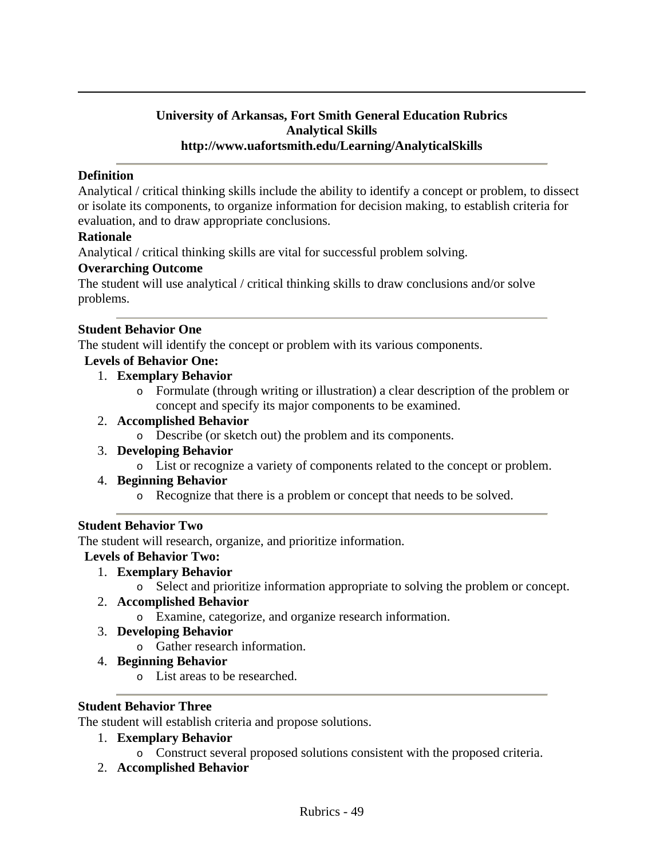#### **University of Arkansas, Fort Smith General Education Rubrics Analytical Skills http://www.uafortsmith.edu/Learning/AnalyticalSkills**

#### **Definition**

Analytical / critical thinking skills include the ability to identify a concept or problem, to dissect or isolate its components, to organize information for decision making, to establish criteria for evaluation, and to draw appropriate conclusions.

#### **Rationale**

Analytical / critical thinking skills are vital for successful problem solving.

#### **Overarching Outcome**

The student will use analytical / critical thinking skills to draw conclusions and/or solve problems.

#### **Student Behavior One**

The student will identify the concept or problem with its various components.

#### **Levels of Behavior One:**

- 1. **Exemplary Behavior**
	- o Formulate (through writing or illustration) a clear description of the problem or concept and specify its major components to be examined.
- 2. **Accomplished Behavior**
	- o Describe (or sketch out) the problem and its components.
- 3. **Developing Behavior**
	- o List or recognize a variety of components related to the concept or problem.
- 4. **Beginning Behavior**
	- o Recognize that there is a problem or concept that needs to be solved.

#### **Student Behavior Two**

The student will research, organize, and prioritize information.

#### **Levels of Behavior Two:**

- 1. **Exemplary Behavior**
	- o Select and prioritize information appropriate to solving the problem or concept.

#### 2. **Accomplished Behavior**

- o Examine, categorize, and organize research information.
- 3. **Developing Behavior**
	- o Gather research information.
- 4. **Beginning Behavior**
	- o List areas to be researched.

#### **Student Behavior Three**

The student will establish criteria and propose solutions.

#### 1. **Exemplary Behavior**

o Construct several proposed solutions consistent with the proposed criteria.

#### 2. **Accomplished Behavior**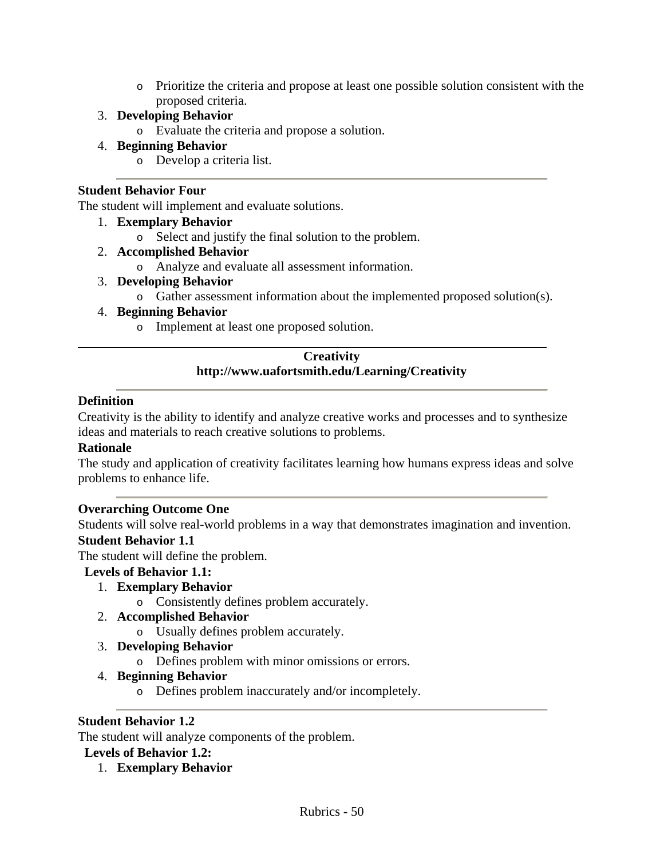o Prioritize the criteria and propose at least one possible solution consistent with the proposed criteria.

### 3. **Developing Behavior**

o Evaluate the criteria and propose a solution.

# 4. **Beginning Behavior**

o Develop a criteria list.

### **Student Behavior Four**

The student will implement and evaluate solutions.

#### 1. **Exemplary Behavior**

- o Select and justify the final solution to the problem.
- 2. **Accomplished Behavior**
	- o Analyze and evaluate all assessment information.
- 3. **Developing Behavior**
	- o Gather assessment information about the implemented proposed solution(s).

#### 4. **Beginning Behavior**

o Implement at least one proposed solution.

#### **Creativity http://www.uafortsmith.edu/Learning/Creativity**

#### **Definition**

Creativity is the ability to identify and analyze creative works and processes and to synthesize ideas and materials to reach creative solutions to problems.

#### **Rationale**

The study and application of creativity facilitates learning how humans express ideas and solve problems to enhance life.

#### **Overarching Outcome One**

Students will solve real-world problems in a way that demonstrates imagination and invention. **Student Behavior 1.1** 

#### The student will define the problem.

# **Levels of Behavior 1.1:**

- 1. **Exemplary Behavior**
	- o Consistently defines problem accurately.

#### 2. **Accomplished Behavior**

- o Usually defines problem accurately.
- 3. **Developing Behavior**
	- o Defines problem with minor omissions or errors.

# 4. **Beginning Behavior**

o Defines problem inaccurately and/or incompletely.

#### **Student Behavior 1.2**

The student will analyze components of the problem.

#### **Levels of Behavior 1.2:**

1. **Exemplary Behavior**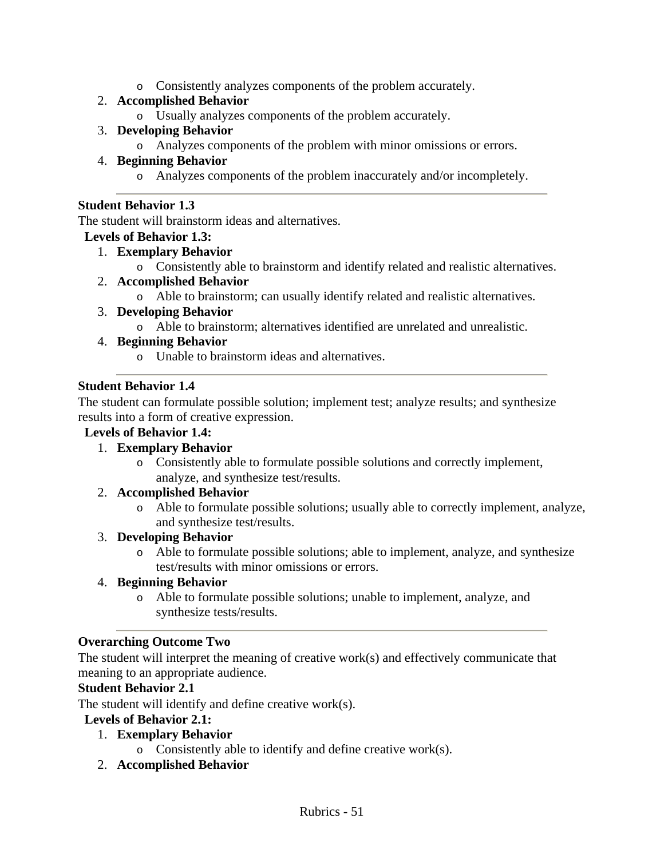o Consistently analyzes components of the problem accurately.

# 2. **Accomplished Behavior**

o Usually analyzes components of the problem accurately.

# 3. **Developing Behavior**

o Analyzes components of the problem with minor omissions or errors.

# 4. **Beginning Behavior**

o Analyzes components of the problem inaccurately and/or incompletely.

#### **Student Behavior 1.3**

The student will brainstorm ideas and alternatives.

# **Levels of Behavior 1.3:**

- 1. **Exemplary Behavior**
	- o Consistently able to brainstorm and identify related and realistic alternatives.

# 2. **Accomplished Behavior**

o Able to brainstorm; can usually identify related and realistic alternatives.

# 3. **Developing Behavior**

o Able to brainstorm; alternatives identified are unrelated and unrealistic.

# 4. **Beginning Behavior**

o Unable to brainstorm ideas and alternatives.

# **Student Behavior 1.4**

The student can formulate possible solution; implement test; analyze results; and synthesize results into a form of creative expression.

### **Levels of Behavior 1.4:**

# 1. **Exemplary Behavior**

o Consistently able to formulate possible solutions and correctly implement, analyze, and synthesize test/results.

#### 2. **Accomplished Behavior**

o Able to formulate possible solutions; usually able to correctly implement, analyze, and synthesize test/results.

# 3. **Developing Behavior**

o Able to formulate possible solutions; able to implement, analyze, and synthesize test/results with minor omissions or errors.

#### 4. **Beginning Behavior**

o Able to formulate possible solutions; unable to implement, analyze, and synthesize tests/results.

# **Overarching Outcome Two**

The student will interpret the meaning of creative work(s) and effectively communicate that meaning to an appropriate audience.

#### **Student Behavior 2.1**

The student will identify and define creative work(s).

#### **Levels of Behavior 2.1:**

- 1. **Exemplary Behavior**
	- o Consistently able to identify and define creative work(s).
- 2. **Accomplished Behavior**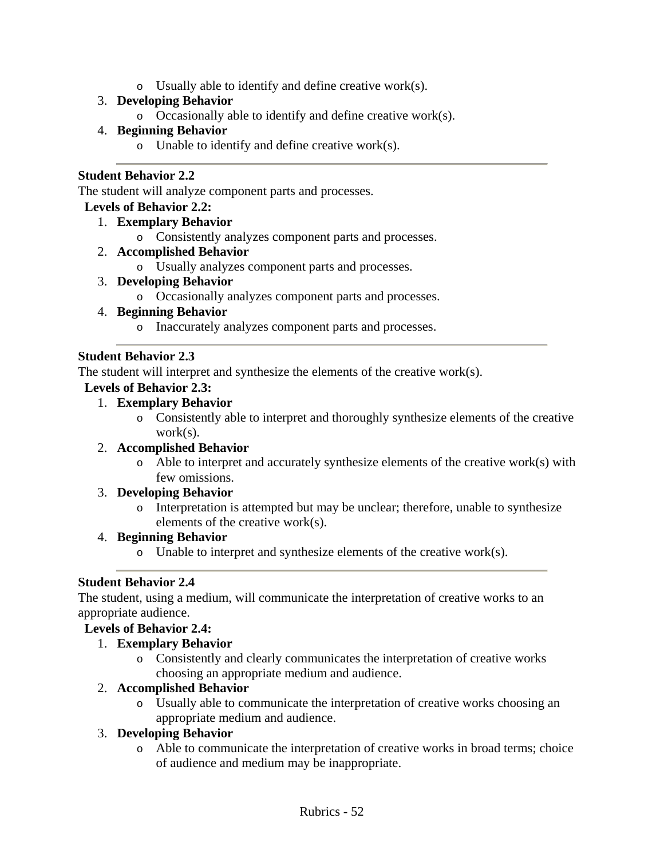o Usually able to identify and define creative work(s).

# 3. **Developing Behavior**

o Occasionally able to identify and define creative work(s).

# 4. **Beginning Behavior**

o Unable to identify and define creative work(s).

#### **Student Behavior 2.2**

The student will analyze component parts and processes.

#### **Levels of Behavior 2.2:**

- 1. **Exemplary Behavior**
	- o Consistently analyzes component parts and processes.
- 2. **Accomplished Behavior**
	- o Usually analyzes component parts and processes.
- 3. **Developing Behavior**
	- o Occasionally analyzes component parts and processes.

#### 4. **Beginning Behavior**

o Inaccurately analyzes component parts and processes.

#### **Student Behavior 2.3**

The student will interpret and synthesize the elements of the creative work(s).

#### **Levels of Behavior 2.3:**

#### 1. **Exemplary Behavior**

o Consistently able to interpret and thoroughly synthesize elements of the creative work(s).

#### 2. **Accomplished Behavior**

 $\circ$  Able to interpret and accurately synthesize elements of the creative work(s) with few omissions.

#### 3. **Developing Behavior**

o Interpretation is attempted but may be unclear; therefore, unable to synthesize elements of the creative work(s).

#### 4. **Beginning Behavior**

 $\circ$  Unable to interpret and synthesize elements of the creative work(s).

#### **Student Behavior 2.4**

The student, using a medium, will communicate the interpretation of creative works to an appropriate audience.

#### **Levels of Behavior 2.4:**

#### 1. **Exemplary Behavior**

o Consistently and clearly communicates the interpretation of creative works choosing an appropriate medium and audience.

#### 2. **Accomplished Behavior**

o Usually able to communicate the interpretation of creative works choosing an appropriate medium and audience.

#### 3. **Developing Behavior**

o Able to communicate the interpretation of creative works in broad terms; choice of audience and medium may be inappropriate.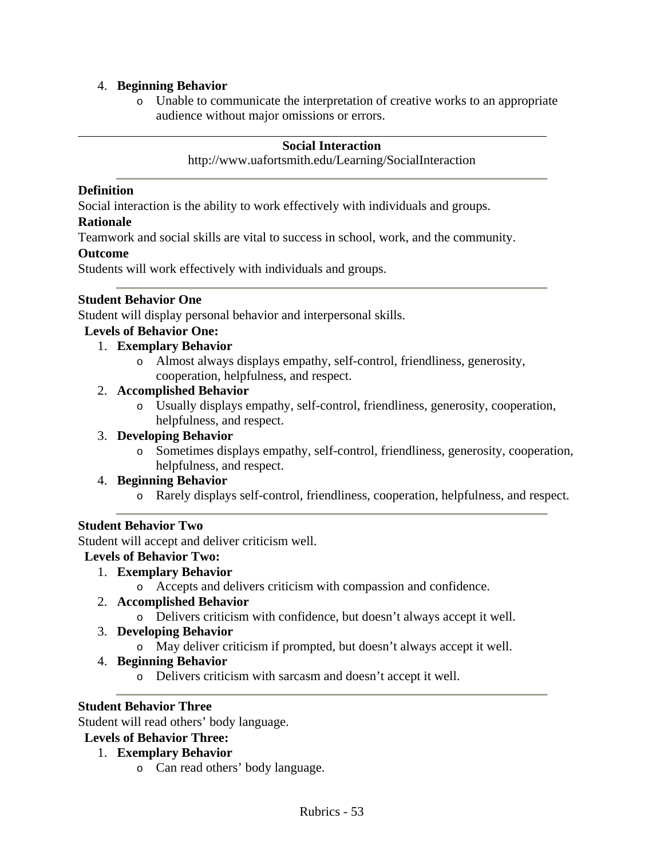#### 4. **Beginning Behavior**

o Unable to communicate the interpretation of creative works to an appropriate audience without major omissions or errors.

#### **Social Interaction**

#### http://www.uafortsmith.edu/Learning/SocialInteraction

#### **Definition**

Social interaction is the ability to work effectively with individuals and groups.

#### **Rationale**

Teamwork and social skills are vital to success in school, work, and the community.

#### **Outcome**

Students will work effectively with individuals and groups.

#### **Student Behavior One**

Student will display personal behavior and interpersonal skills.

#### **Levels of Behavior One:**

#### 1. **Exemplary Behavior**

o Almost always displays empathy, self-control, friendliness, generosity, cooperation, helpfulness, and respect.

#### 2. **Accomplished Behavior**

o Usually displays empathy, self-control, friendliness, generosity, cooperation, helpfulness, and respect.

#### 3. **Developing Behavior**

o Sometimes displays empathy, self-control, friendliness, generosity, cooperation, helpfulness, and respect.

#### 4. **Beginning Behavior**

o Rarely displays self-control, friendliness, cooperation, helpfulness, and respect.

#### **Student Behavior Two**

Student will accept and deliver criticism well.

#### **Levels of Behavior Two:**

- 1. **Exemplary Behavior**
	- o Accepts and delivers criticism with compassion and confidence.

#### 2. **Accomplished Behavior**

o Delivers criticism with confidence, but doesn't always accept it well.

#### 3. **Developing Behavior**

o May deliver criticism if prompted, but doesn't always accept it well.

#### 4. **Beginning Behavior**

o Delivers criticism with sarcasm and doesn't accept it well.

#### **Student Behavior Three**

Student will read others' body language.

#### **Levels of Behavior Three:**

#### 1. **Exemplary Behavior**

o Can read others' body language.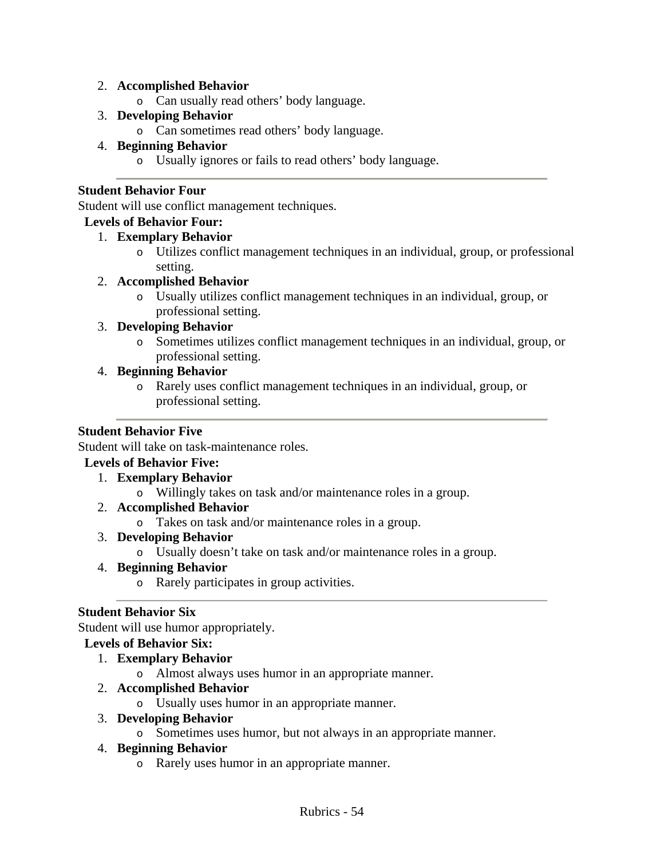#### 2. **Accomplished Behavior**

o Can usually read others' body language.

### 3. **Developing Behavior**

o Can sometimes read others' body language.

# 4. **Beginning Behavior**

o Usually ignores or fails to read others' body language.

### **Student Behavior Four**

Student will use conflict management techniques.

#### **Levels of Behavior Four:**

# 1. **Exemplary Behavior**

o Utilizes conflict management techniques in an individual, group, or professional setting.

#### 2. **Accomplished Behavior**

o Usually utilizes conflict management techniques in an individual, group, or professional setting.

# 3. **Developing Behavior**

o Sometimes utilizes conflict management techniques in an individual, group, or professional setting.

# 4. **Beginning Behavior**

o Rarely uses conflict management techniques in an individual, group, or professional setting.

# **Student Behavior Five**

Student will take on task-maintenance roles.

#### **Levels of Behavior Five:**

- 1. **Exemplary Behavior**
	- o Willingly takes on task and/or maintenance roles in a group.
- 2. **Accomplished Behavior**
	- o Takes on task and/or maintenance roles in a group.
- 3. **Developing Behavior**
	- o Usually doesn't take on task and/or maintenance roles in a group.

# 4. **Beginning Behavior**

o Rarely participates in group activities.

# **Student Behavior Six**

Student will use humor appropriately.

# **Levels of Behavior Six:**

- 1. **Exemplary Behavior**
	- o Almost always uses humor in an appropriate manner.

# 2. **Accomplished Behavior**

o Usually uses humor in an appropriate manner.

#### 3. **Developing Behavior**

o Sometimes uses humor, but not always in an appropriate manner.

#### 4. **Beginning Behavior**

o Rarely uses humor in an appropriate manner.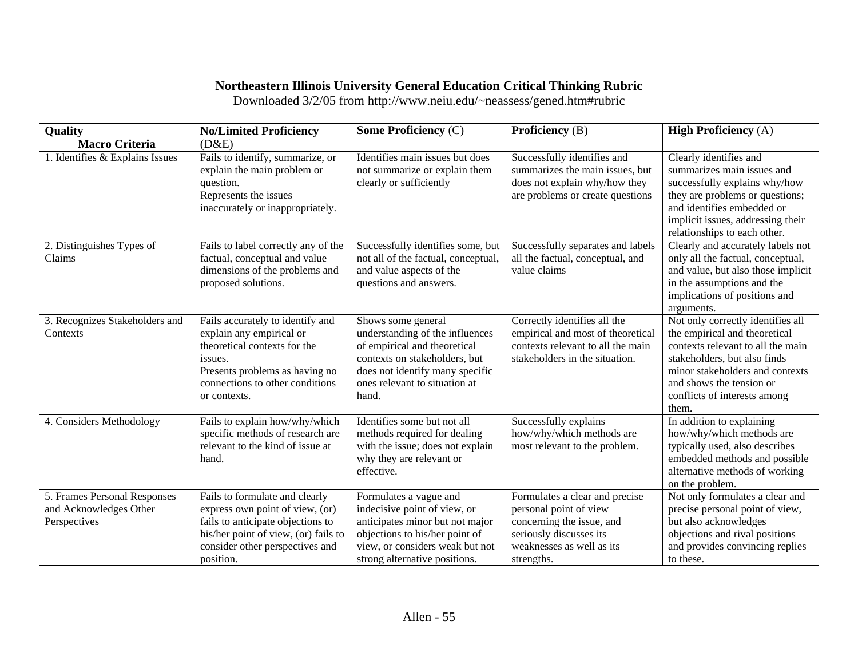# **Northeastern Illinois University General Education Critical Thinking Rubric**

Downloaded 3/2/05 from http://www.neiu.edu/~neassess/gened.htm#rubric

| Quality                                                                | <b>No/Limited Proficiency</b>                                                                                                                                                                  | <b>Some Proficiency (C)</b>                                                                                                                                                                         | Proficiency (B)                                                                                                                                             | <b>High Proficiency (A)</b>                                                                                                                                                                                                                     |
|------------------------------------------------------------------------|------------------------------------------------------------------------------------------------------------------------------------------------------------------------------------------------|-----------------------------------------------------------------------------------------------------------------------------------------------------------------------------------------------------|-------------------------------------------------------------------------------------------------------------------------------------------------------------|-------------------------------------------------------------------------------------------------------------------------------------------------------------------------------------------------------------------------------------------------|
| <b>Macro Criteria</b>                                                  | (D&E)                                                                                                                                                                                          |                                                                                                                                                                                                     |                                                                                                                                                             |                                                                                                                                                                                                                                                 |
| 1. Identifies & Explains Issues                                        | Fails to identify, summarize, or<br>explain the main problem or<br>question.<br>Represents the issues<br>inaccurately or inappropriately.                                                      | Identifies main issues but does<br>not summarize or explain them<br>clearly or sufficiently                                                                                                         | Successfully identifies and<br>summarizes the main issues, but<br>does not explain why/how they<br>are problems or create questions                         | Clearly identifies and<br>summarizes main issues and<br>successfully explains why/how<br>they are problems or questions;<br>and identifies embedded or<br>implicit issues, addressing their<br>relationships to each other.                     |
| 2. Distinguishes Types of<br>Claims                                    | Fails to label correctly any of the<br>factual, conceptual and value<br>dimensions of the problems and<br>proposed solutions.                                                                  | Successfully identifies some, but<br>not all of the factual, conceptual,<br>and value aspects of the<br>questions and answers.                                                                      | Successfully separates and labels<br>all the factual, conceptual, and<br>value claims                                                                       | Clearly and accurately labels not<br>only all the factual, conceptual,<br>and value, but also those implicit<br>in the assumptions and the<br>implications of positions and<br>arguments.                                                       |
| 3. Recognizes Stakeholders and<br>Contexts                             | Fails accurately to identify and<br>explain any empirical or<br>theoretical contexts for the<br>issues.<br>Presents problems as having no<br>connections to other conditions<br>or contexts.   | Shows some general<br>understanding of the influences<br>of empirical and theoretical<br>contexts on stakeholders, but<br>does not identify many specific<br>ones relevant to situation at<br>hand. | Correctly identifies all the<br>empirical and most of theoretical<br>contexts relevant to all the main<br>stakeholders in the situation.                    | Not only correctly identifies all<br>the empirical and theoretical<br>contexts relevant to all the main<br>stakeholders, but also finds<br>minor stakeholders and contexts<br>and shows the tension or<br>conflicts of interests among<br>them. |
| 4. Considers Methodology                                               | Fails to explain how/why/which<br>specific methods of research are<br>relevant to the kind of issue at<br>hand.                                                                                | Identifies some but not all<br>methods required for dealing<br>with the issue; does not explain<br>why they are relevant or<br>effective.                                                           | Successfully explains<br>how/why/which methods are<br>most relevant to the problem.                                                                         | In addition to explaining<br>how/why/which methods are<br>typically used, also describes<br>embedded methods and possible<br>alternative methods of working<br>on the problem.                                                                  |
| 5. Frames Personal Responses<br>and Acknowledges Other<br>Perspectives | Fails to formulate and clearly<br>express own point of view, (or)<br>fails to anticipate objections to<br>his/her point of view, (or) fails to<br>consider other perspectives and<br>position. | Formulates a vague and<br>indecisive point of view, or<br>anticipates minor but not major<br>objections to his/her point of<br>view, or considers weak but not<br>strong alternative positions.     | Formulates a clear and precise<br>personal point of view<br>concerning the issue, and<br>seriously discusses its<br>weaknesses as well as its<br>strengths. | Not only formulates a clear and<br>precise personal point of view,<br>but also acknowledges<br>objections and rival positions<br>and provides convincing replies<br>to these.                                                                   |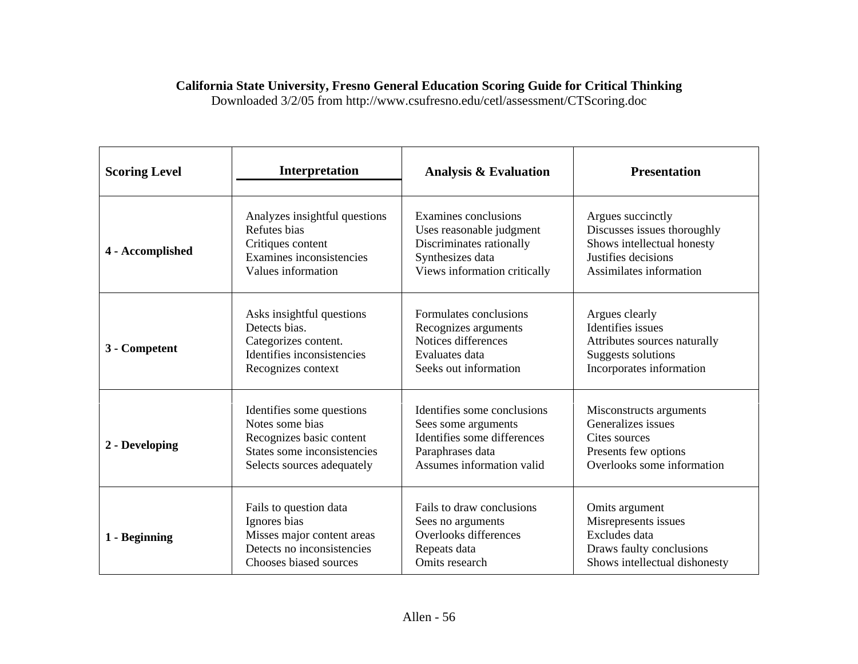# **California State University, Fresno General Education Scoring Guide for Critical Thinking**

Downloaded 3/2/05 from http://www.csufresno.edu/cetl/assessment/CTScoring.doc

| <b>Scoring Level</b> | Interpretation                | <b>Analysis &amp; Evaluation</b> | <b>Presentation</b>           |
|----------------------|-------------------------------|----------------------------------|-------------------------------|
| 4 - Accomplished     | Analyzes insightful questions | Examines conclusions             | Argues succinctly             |
|                      | Refutes bias                  | Uses reasonable judgment         | Discusses issues thoroughly   |
|                      | Critiques content             | Discriminates rationally         | Shows intellectual honesty    |
|                      | Examines inconsistencies      | Synthesizes data                 | Justifies decisions           |
|                      | Values information            | Views information critically     | Assimilates information       |
| 3 - Competent        | Asks insightful questions     | Formulates conclusions           | Argues clearly                |
|                      | Detects bias.                 | Recognizes arguments             | Identifies issues             |
|                      | Categorizes content.          | Notices differences              | Attributes sources naturally  |
|                      | Identifies inconsistencies    | Evaluates data                   | <b>Suggests solutions</b>     |
|                      | Recognizes context            | Seeks out information            | Incorporates information      |
| 2 - Developing       | Identifies some questions     | Identifies some conclusions      | Misconstructs arguments       |
|                      | Notes some bias               | Sees some arguments              | Generalizes issues            |
|                      | Recognizes basic content      | Identifies some differences      | Cites sources                 |
|                      | States some inconsistencies   | Paraphrases data                 | Presents few options          |
|                      | Selects sources adequately    | Assumes information valid        | Overlooks some information    |
| 1 - Beginning        | Fails to question data        | Fails to draw conclusions        | Omits argument                |
|                      | Ignores bias                  | Sees no arguments                | Misrepresents issues          |
|                      | Misses major content areas    | Overlooks differences            | Excludes data                 |
|                      | Detects no inconsistencies    | Repeats data                     | Draws faulty conclusions      |
|                      | Chooses biased sources        | Omits research                   | Shows intellectual dishonesty |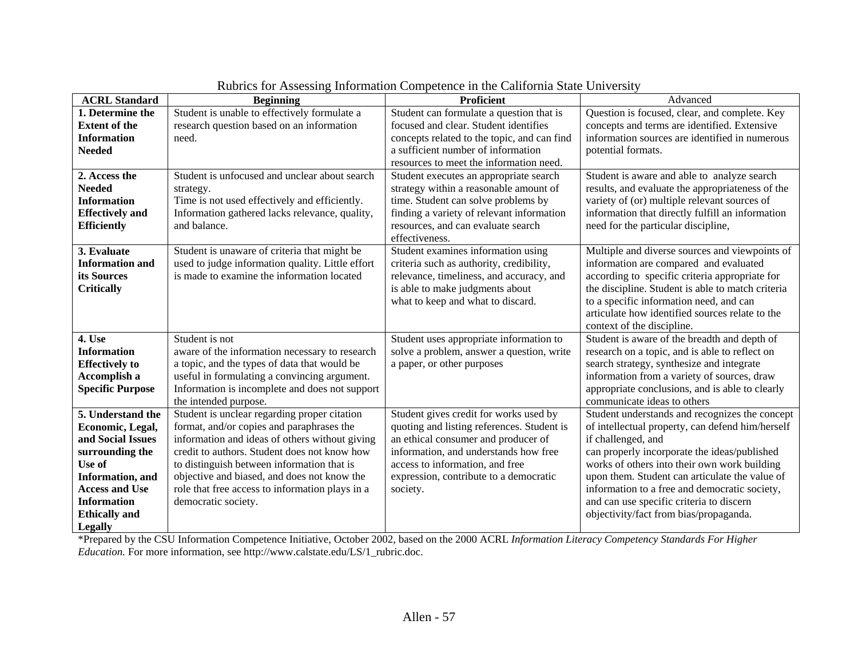| <b>ACRL Standard</b>     | <b>Beginning</b>                                 | <b>Proficient</b>                           | Advanced                                          |
|--------------------------|--------------------------------------------------|---------------------------------------------|---------------------------------------------------|
| 1. Determine the         | Student is unable to effectively formulate a     | Student can formulate a question that is    | Question is focused, clear, and complete. Key     |
| <b>Extent of the</b>     | research question based on an information        | focused and clear. Student identifies       | concepts and terms are identified. Extensive      |
| <b>Information</b>       | need.                                            | concepts related to the topic, and can find | information sources are identified in numerous    |
| <b>Needed</b>            |                                                  | a sufficient number of information          | potential formats.                                |
|                          |                                                  | resources to meet the information need.     |                                                   |
| 2. Access the            | Student is unfocused and unclear about search    | Student executes an appropriate search      | Student is aware and able to analyze search       |
| <b>Needed</b>            | strategy.                                        | strategy within a reasonable amount of      | results, and evaluate the appropriateness of the  |
| <b>Information</b>       | Time is not used effectively and efficiently.    | time. Student can solve problems by         | variety of (or) multiple relevant sources of      |
| <b>Effectively</b> and   | Information gathered lacks relevance, quality,   | finding a variety of relevant information   | information that directly fulfill an information  |
| <b>Efficiently</b>       | and balance.                                     | resources, and can evaluate search          | need for the particular discipline,               |
|                          |                                                  | effectiveness.                              |                                                   |
| 3. Evaluate              | Student is unaware of criteria that might be     | Student examines information using          | Multiple and diverse sources and viewpoints of    |
| <b>Information and</b>   | used to judge information quality. Little effort | criteria such as authority, credibility,    | information are compared and evaluated            |
| its Sources              | is made to examine the information located       | relevance, timeliness, and accuracy, and    | according to specific criteria appropriate for    |
| <b>Critically</b>        |                                                  | is able to make judgments about             | the discipline. Student is able to match criteria |
|                          |                                                  | what to keep and what to discard.           | to a specific information need, and can           |
|                          |                                                  |                                             | articulate how identified sources relate to the   |
|                          |                                                  |                                             | context of the discipline.                        |
| 4. Use                   | Student is not                                   | Student uses appropriate information to     | Student is aware of the breadth and depth of      |
| <b>Information</b>       | aware of the information necessary to research   | solve a problem, answer a question, write   | research on a topic, and is able to reflect on    |
| <b>Effectively to</b>    | a topic, and the types of data that would be     | a paper, or other purposes                  | search strategy, synthesize and integrate         |
| Accomplish a             | useful in formulating a convincing argument.     |                                             | information from a variety of sources, draw       |
| <b>Specific Purpose</b>  | Information is incomplete and does not support   |                                             | appropriate conclusions, and is able to clearly   |
|                          | the intended purpose.                            |                                             | communicate ideas to others                       |
| 5. Understand the        | Student is unclear regarding proper citation     | Student gives credit for works used by      | Student understands and recognizes the concept    |
| Economic, Legal,         | format, and/or copies and paraphrases the        | quoting and listing references. Student is  | of intellectual property, can defend him/herself  |
| and Social Issues        | information and ideas of others without giving   | an ethical consumer and producer of         | if challenged, and                                |
| surrounding the          | credit to authors. Student does not know how     | information, and understands how free       | can properly incorporate the ideas/published      |
| Use of                   | to distinguish between information that is       | access to information, and free             | works of others into their own work building      |
| <b>Information</b> , and | objective and biased, and does not know the      | expression, contribute to a democratic      | upon them. Student can articulate the value of    |
| <b>Access and Use</b>    | role that free access to information plays in a  | society.                                    | information to a free and democratic society,     |
| <b>Information</b>       | democratic society.                              |                                             | and can use specific criteria to discern          |
| <b>Ethically</b> and     |                                                  |                                             | objectivity/fact from bias/propaganda.            |
| <b>Legally</b>           |                                                  |                                             |                                                   |

Rubrics for Assessing Information Competence in the California State University

\*Prepared by the CSU Information Competence Initiative, October 2002, based on the 2000 ACRL *Information Literacy Competency Standards For Higher Education.* For more information, see http://www.calstate.edu/LS/1\_rubric.doc.